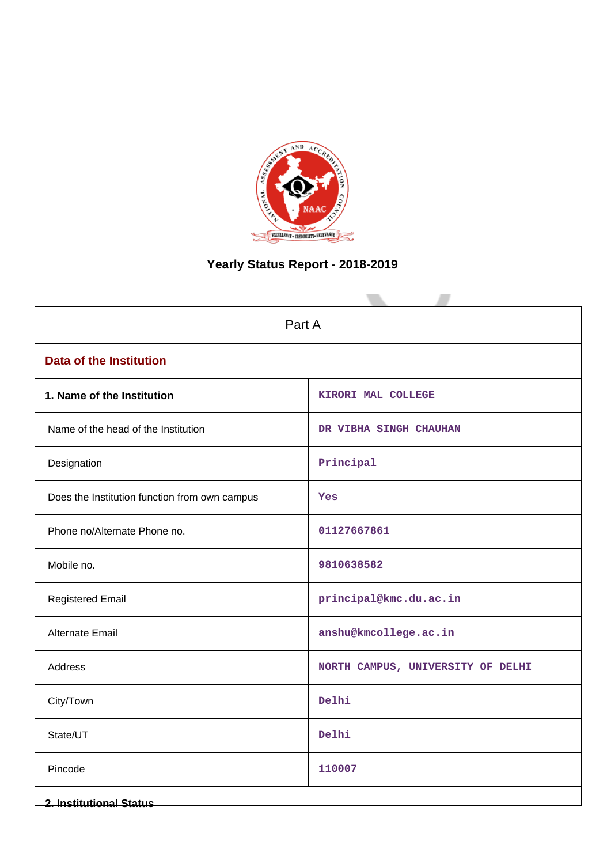

# **Yearly Status Report - 2018-2019**

| Part A                                        |                                   |  |  |  |
|-----------------------------------------------|-----------------------------------|--|--|--|
| <b>Data of the Institution</b>                |                                   |  |  |  |
| 1. Name of the Institution                    | KIRORI MAL COLLEGE                |  |  |  |
| Name of the head of the Institution           | DR VIBHA SINGH CHAUHAN            |  |  |  |
| Designation                                   | Principal                         |  |  |  |
| Does the Institution function from own campus | Yes                               |  |  |  |
| Phone no/Alternate Phone no.                  | 01127667861                       |  |  |  |
| Mobile no.                                    | 9810638582                        |  |  |  |
| <b>Registered Email</b>                       | principal@kmc.du.ac.in            |  |  |  |
| Alternate Email                               | anshu@kmcollege.ac.in             |  |  |  |
| <b>Address</b>                                | NORTH CAMPUS, UNIVERSITY OF DELHI |  |  |  |
| City/Town                                     | Delhi                             |  |  |  |
| State/UT                                      | Delhi                             |  |  |  |
| Pincode                                       | 110007                            |  |  |  |
| <b>2. Institutional Status</b>                |                                   |  |  |  |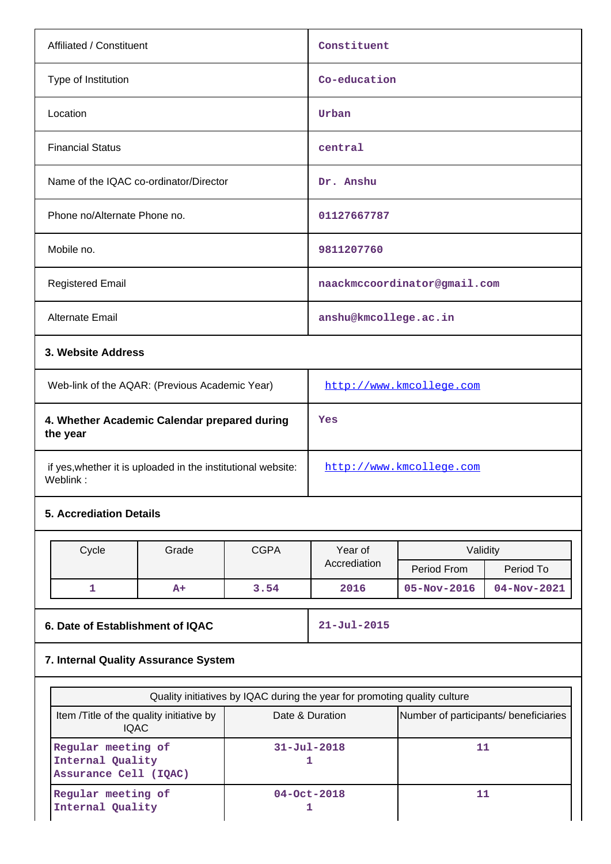| Affiliated / Constituent                                                 |                                                                           |             | Constituent                  |                                                          |             |  |
|--------------------------------------------------------------------------|---------------------------------------------------------------------------|-------------|------------------------------|----------------------------------------------------------|-------------|--|
| Type of Institution                                                      |                                                                           |             | Co-education                 |                                                          |             |  |
| Location                                                                 |                                                                           |             | Urban                        |                                                          |             |  |
| <b>Financial Status</b>                                                  |                                                                           |             | central                      |                                                          |             |  |
| Name of the IQAC co-ordinator/Director                                   |                                                                           |             | Dr. Anshu                    |                                                          |             |  |
| Phone no/Alternate Phone no.                                             |                                                                           |             | 01127667787                  |                                                          |             |  |
| Mobile no.                                                               |                                                                           |             | 9811207760                   |                                                          |             |  |
| <b>Registered Email</b>                                                  |                                                                           |             |                              | naackmccoordinator@gmail.com                             |             |  |
| Alternate Email                                                          |                                                                           |             | anshu@kmcollege.ac.in        |                                                          |             |  |
| 3. Website Address                                                       |                                                                           |             |                              |                                                          |             |  |
| Web-link of the AQAR: (Previous Academic Year)                           |                                                                           |             |                              | http://www.kmcollege.com                                 |             |  |
| 4. Whether Academic Calendar prepared during<br>the year                 |                                                                           |             | Yes                          |                                                          |             |  |
| if yes, whether it is uploaded in the institutional website:<br>Weblink: |                                                                           |             | http://www.kmcollege.com     |                                                          |             |  |
| <b>5. Accrediation Details</b>                                           |                                                                           |             |                              |                                                          |             |  |
| Cycle                                                                    | Grade                                                                     | <b>CGPA</b> | Year of                      | Validity                                                 |             |  |
|                                                                          |                                                                           |             | Accrediation                 | Period From                                              | Period To   |  |
| 1                                                                        | A+                                                                        | 3.54        | 2016                         | $05 - Nov - 2016$                                        | 04-Nov-2021 |  |
|                                                                          | 6. Date of Establishment of IQAC                                          |             | $21 - Jul - 2015$            |                                                          |             |  |
| 7. Internal Quality Assurance System                                     |                                                                           |             |                              |                                                          |             |  |
|                                                                          | Quality initiatives by IQAC during the year for promoting quality culture |             |                              |                                                          |             |  |
|                                                                          | Item /Title of the quality initiative by<br><b>IQAC</b>                   |             |                              | Date & Duration<br>Number of participants/ beneficiaries |             |  |
| Regular meeting of<br>Internal Quality<br>Assurance Cell (IQAC)          |                                                                           |             | 11<br>$31 - Ju1 - 2018$<br>1 |                                                          |             |  |

**04-Oct-2018 1**

**11**

**Regular meeting of Internal Quality**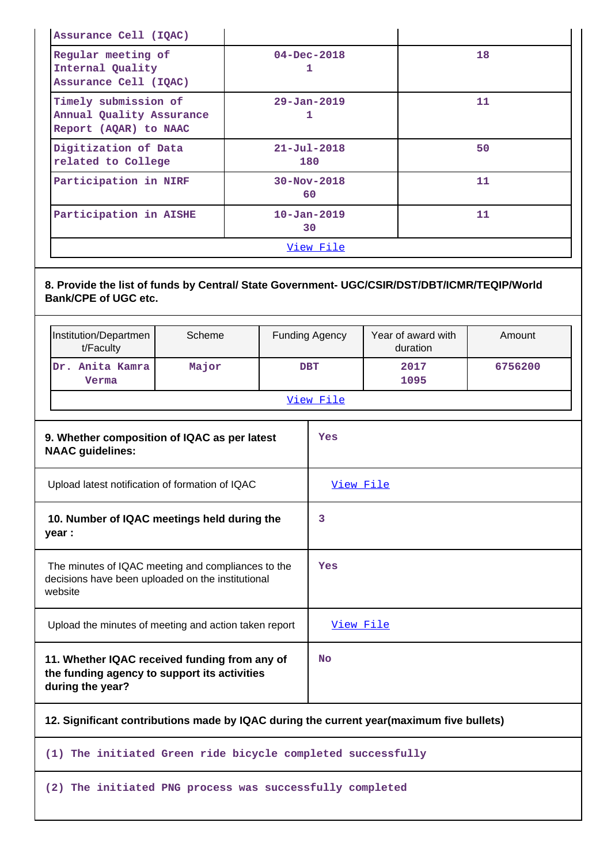| Assurance Cell (IQAC)                                                     |                          |    |
|---------------------------------------------------------------------------|--------------------------|----|
| Regular meeting of<br>Internal Quality<br>Assurance Cell (IQAC)           | $04 - Dec - 2018$<br>1   | 18 |
| Timely submission of<br>Annual Quality Assurance<br>Report (AQAR) to NAAC | $29 - Jan - 2019$        | 11 |
| Digitization of Data<br>related to College                                | $21 - Jul - 2018$<br>180 | 50 |
| Participation in NIRF                                                     | $30 - Nov - 2018$<br>60  | 11 |
| Participation in AISHE                                                    | $10 - Jan - 2019$<br>30  | 11 |
|                                                                           | View File                |    |

# **8. Provide the list of funds by Central/ State Government- UGC/CSIR/DST/DBT/ICMR/TEQIP/World Bank/CPE of UGC etc.**

|                                                                         | Institution/Departmen<br>t/Faculty                                                                                 | Scheme |  | <b>Funding Agency</b> | Year of award with<br>duration | Amount  |
|-------------------------------------------------------------------------|--------------------------------------------------------------------------------------------------------------------|--------|--|-----------------------|--------------------------------|---------|
|                                                                         | Dr. Anita Kamra<br>Verma                                                                                           | Major  |  | <b>DBT</b>            | 2017<br>1095                   | 6756200 |
|                                                                         |                                                                                                                    |        |  | View File             |                                |         |
| 9. Whether composition of IQAC as per latest<br><b>NAAC</b> guidelines: |                                                                                                                    |        |  | Yes                   |                                |         |
|                                                                         | Upload latest notification of formation of IQAC                                                                    |        |  | View File             |                                |         |
|                                                                         | 10. Number of IQAC meetings held during the<br>year :                                                              |        |  | 3                     |                                |         |
|                                                                         | The minutes of IQAC meeting and compliances to the<br>decisions have been uploaded on the institutional<br>website |        |  | Yes                   |                                |         |
|                                                                         | Upload the minutes of meeting and action taken report                                                              |        |  | View File             |                                |         |
|                                                                         | 11. Whether IQAC received funding from any of<br>the funding agency to support its activities<br>during the year?  |        |  | <b>No</b>             |                                |         |
|                                                                         | 12. Significant contributions made by IQAC during the current year (maximum five bullets)                          |        |  |                       |                                |         |

# **(1) The initiated Green ride bicycle completed successfully**

## **(2) The initiated PNG process was successfully completed**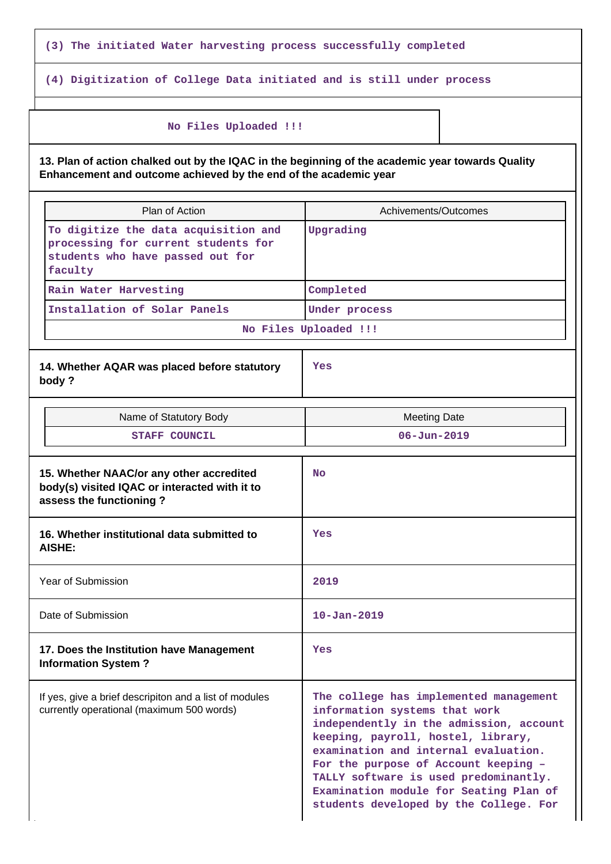**(3) The initiated Water harvesting process successfully completed**

**(4) Digitization of College Data initiated and is still under process**

#### **No Files Uploaded !!!**

**13. Plan of action chalked out by the IQAC in the beginning of the academic year towards Quality Enhancement and outcome achieved by the end of the academic year**

| Plan of Action                                                                                                             | Achivements/Outcomes                                                                                                                                                                                                                                                                                                                                                  |
|----------------------------------------------------------------------------------------------------------------------------|-----------------------------------------------------------------------------------------------------------------------------------------------------------------------------------------------------------------------------------------------------------------------------------------------------------------------------------------------------------------------|
| To digitize the data acquisition and<br>processing for current students for<br>students who have passed out for<br>faculty | Upgrading                                                                                                                                                                                                                                                                                                                                                             |
| Rain Water Harvesting                                                                                                      | Completed                                                                                                                                                                                                                                                                                                                                                             |
| Installation of Solar Panels                                                                                               | Under process                                                                                                                                                                                                                                                                                                                                                         |
|                                                                                                                            | No Files Uploaded !!!                                                                                                                                                                                                                                                                                                                                                 |
| 14. Whether AQAR was placed before statutory<br>body?                                                                      | Yes                                                                                                                                                                                                                                                                                                                                                                   |
| Name of Statutory Body                                                                                                     | <b>Meeting Date</b>                                                                                                                                                                                                                                                                                                                                                   |
| <b>STAFF COUNCIL</b>                                                                                                       | $06 - Jun - 2019$                                                                                                                                                                                                                                                                                                                                                     |
| 15. Whether NAAC/or any other accredited<br>body(s) visited IQAC or interacted with it to<br>assess the functioning?       | <b>No</b>                                                                                                                                                                                                                                                                                                                                                             |
| 16. Whether institutional data submitted to<br><b>AISHE:</b>                                                               | Yes                                                                                                                                                                                                                                                                                                                                                                   |
| Year of Submission                                                                                                         | 2019                                                                                                                                                                                                                                                                                                                                                                  |
| Date of Submission                                                                                                         | $10 - Jan - 2019$                                                                                                                                                                                                                                                                                                                                                     |
| 17. Does the Institution have Management<br><b>Information System?</b>                                                     | Yes                                                                                                                                                                                                                                                                                                                                                                   |
| If yes, give a brief descripiton and a list of modules<br>currently operational (maximum 500 words)                        | The college has implemented management<br>information systems that work<br>independently in the admission, account<br>keeping, payroll, hostel, library,<br>examination and internal evaluation.<br>For the purpose of Account keeping -<br>TALLY software is used predominantly.<br>Examination module for Seating Plan of<br>students developed by the College. For |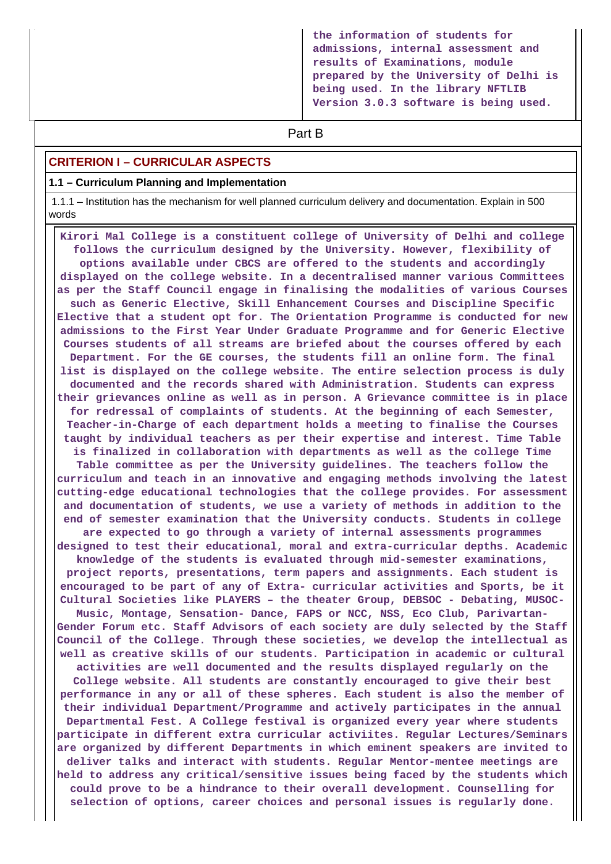**the information of students for admissions, internal assessment and results of Examinations, module prepared by the University of Delhi is being used. In the library NFTLIB Version 3.0.3 software is being used.**

# **Part B**

#### **CRITERION I – CURRICULAR ASPECTS**

#### **1.1 – Curriculum Planning and Implementation**

 1.1.1 – Institution has the mechanism for well planned curriculum delivery and documentation. Explain in 500 words

 **Kirori Mal College is a constituent college of University of Delhi and college follows the curriculum designed by the University. However, flexibility of options available under CBCS are offered to the students and accordingly displayed on the college website. In a decentralised manner various Committees as per the Staff Council engage in finalising the modalities of various Courses such as Generic Elective, Skill Enhancement Courses and Discipline Specific Elective that a student opt for. The Orientation Programme is conducted for new admissions to the First Year Under Graduate Programme and for Generic Elective Courses students of all streams are briefed about the courses offered by each Department. For the GE courses, the students fill an online form. The final list is displayed on the college website. The entire selection process is duly documented and the records shared with Administration. Students can express their grievances online as well as in person. A Grievance committee is in place for redressal of complaints of students. At the beginning of each Semester, Teacher-in-Charge of each department holds a meeting to finalise the Courses taught by individual teachers as per their expertise and interest. Time Table is finalized in collaboration with departments as well as the college Time Table committee as per the University guidelines. The teachers follow the curriculum and teach in an innovative and engaging methods involving the latest cutting-edge educational technologies that the college provides. For assessment and documentation of students, we use a variety of methods in addition to the end of semester examination that the University conducts. Students in college are expected to go through a variety of internal assessments programmes designed to test their educational, moral and extra-curricular depths. Academic knowledge of the students is evaluated through mid-semester examinations, project reports, presentations, term papers and assignments. Each student is encouraged to be part of any of Extra- curricular activities and Sports, be it Cultural Societies like PLAYERS – the theater Group, DEBSOC - Debating, MUSOC-Music, Montage, Sensation- Dance, FAPS or NCC, NSS, Eco Club, Parivartan-Gender Forum etc. Staff Advisors of each society are duly selected by the Staff Council of the College. Through these societies, we develop the intellectual as well as creative skills of our students. Participation in academic or cultural activities are well documented and the results displayed regularly on the College website. All students are constantly encouraged to give their best performance in any or all of these spheres. Each student is also the member of their individual Department/Programme and actively participates in the annual Departmental Fest. A College festival is organized every year where students participate in different extra curricular activiites. Regular Lectures/Seminars are organized by different Departments in which eminent speakers are invited to deliver talks and interact with students. Regular Mentor-mentee meetings are held to address any critical/sensitive issues being faced by the students which could prove to be a hindrance to their overall development. Counselling for selection of options, career choices and personal issues is regularly done.**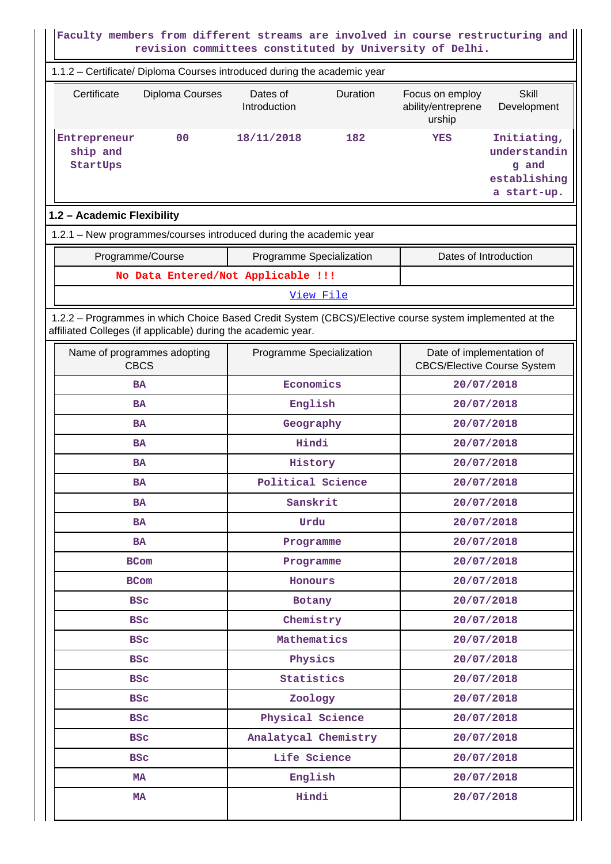| Faculty members from different streams are involved in course restructuring and<br>revision committees constituted by University of Delhi.                               |                          |           |                                                 |                                                                     |  |
|--------------------------------------------------------------------------------------------------------------------------------------------------------------------------|--------------------------|-----------|-------------------------------------------------|---------------------------------------------------------------------|--|
| 1.1.2 - Certificate/ Diploma Courses introduced during the academic year                                                                                                 |                          |           |                                                 |                                                                     |  |
| Certificate<br>Diploma Courses                                                                                                                                           | Dates of<br>Introduction | Duration  | Focus on employ<br>ability/entreprene<br>urship | Skill<br>Development                                                |  |
| 0 <sup>0</sup><br>Entrepreneur<br>ship and<br>StartUps                                                                                                                   | 18/11/2018               | 182       | YES                                             | Initiating,<br>understandin<br>g and<br>establishing<br>a start-up. |  |
| 1.2 - Academic Flexibility                                                                                                                                               |                          |           |                                                 |                                                                     |  |
| 1.2.1 - New programmes/courses introduced during the academic year                                                                                                       |                          |           |                                                 |                                                                     |  |
| Programme/Course                                                                                                                                                         | Programme Specialization |           |                                                 | Dates of Introduction                                               |  |
| No Data Entered/Not Applicable !!!                                                                                                                                       |                          |           |                                                 |                                                                     |  |
|                                                                                                                                                                          |                          | View File |                                                 |                                                                     |  |
| 1.2.2 - Programmes in which Choice Based Credit System (CBCS)/Elective course system implemented at the<br>affiliated Colleges (if applicable) during the academic year. |                          |           |                                                 |                                                                     |  |
| Name of programmes adopting<br><b>CBCS</b>                                                                                                                               | Programme Specialization |           | <b>CBCS/Elective Course System</b>              | Date of implementation of                                           |  |
| <b>BA</b>                                                                                                                                                                | Economics                |           | 20/07/2018                                      |                                                                     |  |
| <b>BA</b>                                                                                                                                                                | English                  |           | 20/07/2018                                      |                                                                     |  |
| <b>BA</b>                                                                                                                                                                | Geography                |           |                                                 | 20/07/2018                                                          |  |
| <b>BA</b>                                                                                                                                                                | Hindi                    |           |                                                 | 20/07/2018                                                          |  |
| <b>BA</b>                                                                                                                                                                | History                  |           | 20/07/2018                                      |                                                                     |  |
| <b>BA</b>                                                                                                                                                                | Political Science        |           | 20/07/2018                                      |                                                                     |  |
| <b>BA</b>                                                                                                                                                                | Sanskrit                 |           |                                                 | 20/07/2018                                                          |  |
| BA.                                                                                                                                                                      | Urdu                     |           |                                                 | 20/07/2018                                                          |  |
| BA.                                                                                                                                                                      | Programme                |           |                                                 | 20/07/2018                                                          |  |
| <b>BCom</b>                                                                                                                                                              | Programme                |           |                                                 | 20/07/2018                                                          |  |
| <b>BCom</b>                                                                                                                                                              | Honours                  |           |                                                 | 20/07/2018                                                          |  |
| <b>BSC</b>                                                                                                                                                               | Botany                   |           |                                                 | 20/07/2018                                                          |  |
| <b>BSC</b>                                                                                                                                                               | Chemistry                |           |                                                 | 20/07/2018                                                          |  |
| <b>BSC</b>                                                                                                                                                               | Mathematics              |           |                                                 | 20/07/2018                                                          |  |
| <b>BSC</b>                                                                                                                                                               | Physics                  |           |                                                 | 20/07/2018                                                          |  |
| <b>BSC</b>                                                                                                                                                               | Statistics               |           |                                                 | 20/07/2018                                                          |  |
| <b>BSC</b>                                                                                                                                                               | Zoology                  |           |                                                 | 20/07/2018                                                          |  |
| <b>BSC</b>                                                                                                                                                               | Physical Science         |           |                                                 | 20/07/2018                                                          |  |
| <b>BSC</b>                                                                                                                                                               | Analatycal Chemistry     |           |                                                 | 20/07/2018                                                          |  |
| <b>BSC</b>                                                                                                                                                               | Life Science             |           |                                                 | 20/07/2018                                                          |  |
| MA                                                                                                                                                                       | English                  |           |                                                 | 20/07/2018                                                          |  |
| Hindi<br><b>MA</b><br>20/07/2018                                                                                                                                         |                          |           |                                                 |                                                                     |  |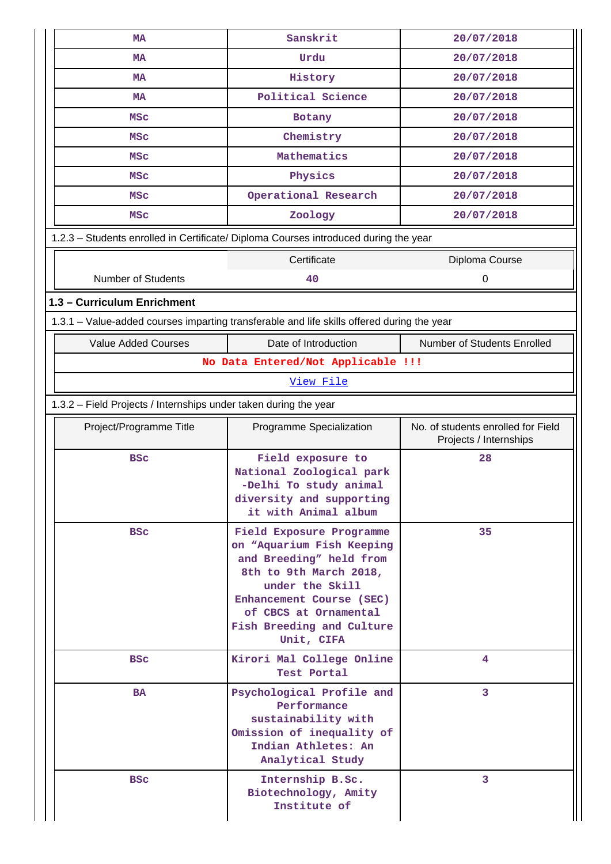| Sanskrit<br><b>MA</b>                                                                      |                                                                                                                                                                                                                               | 20/07/2018                                                   |  |  |  |  |  |
|--------------------------------------------------------------------------------------------|-------------------------------------------------------------------------------------------------------------------------------------------------------------------------------------------------------------------------------|--------------------------------------------------------------|--|--|--|--|--|
| <b>MA</b>                                                                                  | Urdu                                                                                                                                                                                                                          | 20/07/2018                                                   |  |  |  |  |  |
| <b>MA</b>                                                                                  | History                                                                                                                                                                                                                       | 20/07/2018                                                   |  |  |  |  |  |
| <b>MA</b>                                                                                  | Political Science                                                                                                                                                                                                             | 20/07/2018                                                   |  |  |  |  |  |
| <b>MSC</b>                                                                                 | Botany                                                                                                                                                                                                                        | 20/07/2018                                                   |  |  |  |  |  |
| <b>MSC</b>                                                                                 | Chemistry                                                                                                                                                                                                                     | 20/07/2018                                                   |  |  |  |  |  |
| <b>MSC</b>                                                                                 | Mathematics                                                                                                                                                                                                                   | 20/07/2018                                                   |  |  |  |  |  |
| <b>MSC</b>                                                                                 | Physics                                                                                                                                                                                                                       | 20/07/2018                                                   |  |  |  |  |  |
| <b>MSC</b>                                                                                 | Operational Research                                                                                                                                                                                                          | 20/07/2018                                                   |  |  |  |  |  |
| <b>MSC</b>                                                                                 | Zoology                                                                                                                                                                                                                       | 20/07/2018                                                   |  |  |  |  |  |
|                                                                                            |                                                                                                                                                                                                                               |                                                              |  |  |  |  |  |
| 1.2.3 - Students enrolled in Certificate/ Diploma Courses introduced during the year       |                                                                                                                                                                                                                               |                                                              |  |  |  |  |  |
|                                                                                            | Certificate                                                                                                                                                                                                                   | Diploma Course                                               |  |  |  |  |  |
| <b>Number of Students</b>                                                                  | 40                                                                                                                                                                                                                            | 0                                                            |  |  |  |  |  |
| 1.3 - Curriculum Enrichment                                                                |                                                                                                                                                                                                                               |                                                              |  |  |  |  |  |
| 1.3.1 - Value-added courses imparting transferable and life skills offered during the year |                                                                                                                                                                                                                               |                                                              |  |  |  |  |  |
| <b>Value Added Courses</b>                                                                 | Date of Introduction                                                                                                                                                                                                          | Number of Students Enrolled                                  |  |  |  |  |  |
|                                                                                            | No Data Entered/Not Applicable !!!                                                                                                                                                                                            |                                                              |  |  |  |  |  |
|                                                                                            | View File                                                                                                                                                                                                                     |                                                              |  |  |  |  |  |
|                                                                                            | 1.3.2 - Field Projects / Internships under taken during the year                                                                                                                                                              |                                                              |  |  |  |  |  |
| Project/Programme Title                                                                    | Programme Specialization                                                                                                                                                                                                      | No. of students enrolled for Field<br>Projects / Internships |  |  |  |  |  |
| <b>BSC</b>                                                                                 | Field exposure to<br>National Zoological park<br>-Delhi To study animal<br>diversity and supporting<br>it with Animal album                                                                                                   | 28                                                           |  |  |  |  |  |
| <b>BSC</b>                                                                                 | Field Exposure Programme<br>on "Aquarium Fish Keeping<br>and Breeding" held from<br>8th to 9th March 2018,<br>under the Skill<br>Enhancement Course (SEC)<br>of CBCS at Ornamental<br>Fish Breeding and Culture<br>Unit, CIFA | 35                                                           |  |  |  |  |  |
| <b>BSC</b>                                                                                 | Kirori Mal College Online<br>Test Portal                                                                                                                                                                                      | 4                                                            |  |  |  |  |  |
| <b>BA</b>                                                                                  | Psychological Profile and<br>Performance<br>sustainability with<br>Omission of inequality of<br>Indian Athletes: An<br>Analytical Study                                                                                       | 3                                                            |  |  |  |  |  |
| <b>BSC</b>                                                                                 | Internship B.Sc.<br>Biotechnology, Amity<br>Institute of                                                                                                                                                                      | 3                                                            |  |  |  |  |  |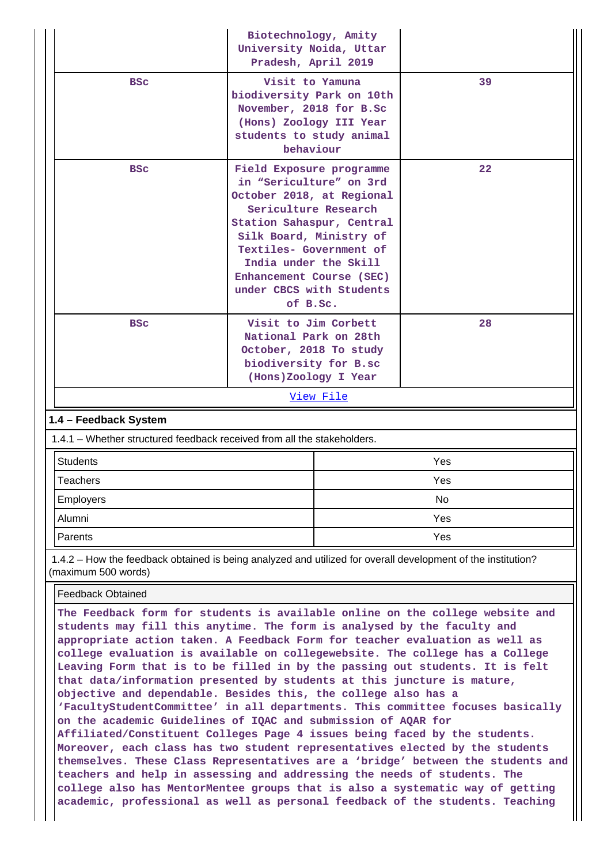|                                                                         | Biotechnology, Amity<br>University Noida, Uttar<br>Pradesh, April 2019                                                                                                                                                                                                                   |    |  |  |  |
|-------------------------------------------------------------------------|------------------------------------------------------------------------------------------------------------------------------------------------------------------------------------------------------------------------------------------------------------------------------------------|----|--|--|--|
| <b>BSC</b>                                                              | Visit to Yamuna<br>biodiversity Park on 10th<br>November, 2018 for B.Sc<br>(Hons) Zoology III Year<br>students to study animal<br>behaviour                                                                                                                                              | 39 |  |  |  |
| <b>BSC</b>                                                              | Field Exposure programme<br>in "Sericulture" on 3rd<br>October 2018, at Regional<br>Sericulture Research<br>Station Sahaspur, Central<br>Silk Board, Ministry of<br>Textiles- Government of<br>India under the Skill<br>Enhancement Course (SEC)<br>under CBCS with Students<br>of B.Sc. | 22 |  |  |  |
| <b>BSC</b>                                                              | Visit to Jim Corbett<br>National Park on 28th<br>October, 2018 To study<br>biodiversity for B.sc<br>(Hons)Zoology I Year                                                                                                                                                                 | 28 |  |  |  |
|                                                                         | View File                                                                                                                                                                                                                                                                                |    |  |  |  |
| 1.4 - Feedback System                                                   |                                                                                                                                                                                                                                                                                          |    |  |  |  |
| 1.4.1 – Whether structured feedback received from all the stakeholders. |                                                                                                                                                                                                                                                                                          |    |  |  |  |

| .         |     |  |  |  |
|-----------|-----|--|--|--|
| Students  | Yes |  |  |  |
| Teachers  | Yes |  |  |  |
| Employers | No  |  |  |  |
| Alumni    | Yes |  |  |  |
| Parents   | Yes |  |  |  |

 1.4.2 – How the feedback obtained is being analyzed and utilized for overall development of the institution? (maximum 500 words)

Feedback Obtained

**The Feedback form for students is available online on the college website and students may fill this anytime. The form is analysed by the faculty and appropriate action taken. A Feedback Form for teacher evaluation as well as college evaluation is available on collegewebsite. The college has a College Leaving Form that is to be filled in by the passing out students. It is felt that data/information presented by students at this juncture is mature, objective and dependable. Besides this, the college also has a 'FacultyStudentCommittee' in all departments. This committee focuses basically on the academic Guidelines of IQAC and submission of AQAR for Affiliated/Constituent Colleges Page 4 issues being faced by the students. Moreover, each class has two student representatives elected by the students themselves. These Class Representatives are a 'bridge' between the students and teachers and help in assessing and addressing the needs of students. The college also has MentorMentee groups that is also a systematic way of getting academic, professional as well as personal feedback of the students. Teaching**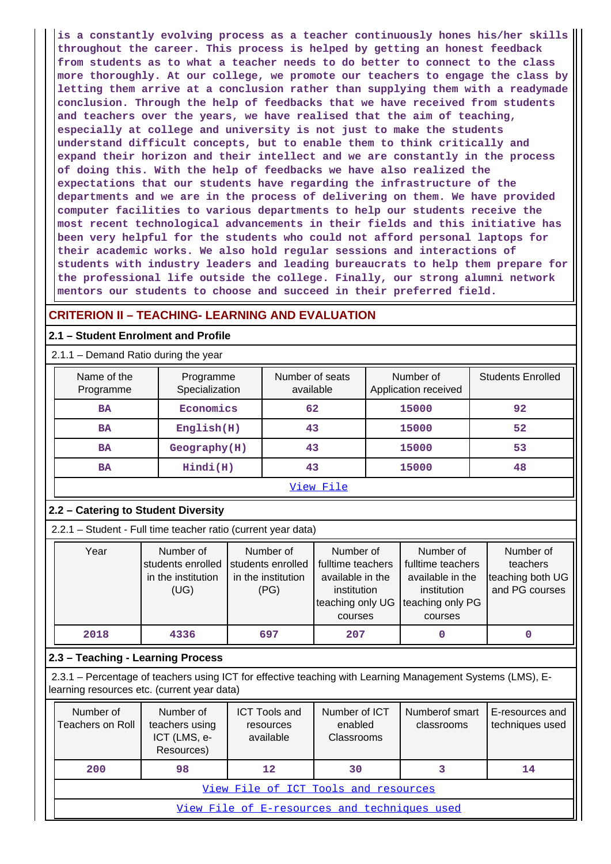**is a constantly evolving process as a teacher continuously hones his/her skills throughout the career. This process is helped by getting an honest feedback from students as to what a teacher needs to do better to connect to the class more thoroughly. At our college, we promote our teachers to engage the class by letting them arrive at a conclusion rather than supplying them with a readymade conclusion. Through the help of feedbacks that we have received from students and teachers over the years, we have realised that the aim of teaching, especially at college and university is not just to make the students understand difficult concepts, but to enable them to think critically and expand their horizon and their intellect and we are constantly in the process of doing this. With the help of feedbacks we have also realized the expectations that our students have regarding the infrastructure of the departments and we are in the process of delivering on them. We have provided computer facilities to various departments to help our students receive the most recent technological advancements in their fields and this initiative has been very helpful for the students who could not afford personal laptops for their academic works. We also hold regular sessions and interactions of students with industry leaders and leading bureaucrats to help them prepare for the professional life outside the college. Finally, our strong alumni network mentors our students to choose and succeed in their preferred field.**

## **CRITERION II – TEACHING- LEARNING AND EVALUATION**

#### **2.1 – Student Enrolment and Profile**

## 2.1.1 – Demand Ratio during the year

| Name of the<br>Programme | Programme<br>Specialization | Number of seats<br>available | Number of<br>Application received | <b>Students Enrolled</b> |
|--------------------------|-----------------------------|------------------------------|-----------------------------------|--------------------------|
| <b>BA</b>                | Economics                   | 62                           | 15000                             | 92                       |
| <b>BA</b>                | English(H)                  | 43                           | 15000                             | 52                       |
| <b>BA</b>                | Geography(H)                | 43                           | 15000                             | 53                       |
| <b>BA</b>                | Hindi(H)                    | 43                           | 15000                             | 48                       |
|                          |                             | View File                    |                                   |                          |

#### **2.2 – Catering to Student Diversity**

2.2.1 – Student - Full time teacher ratio (current year data)

| Year | Number of          | Number of          | Number of         | Number of         | Number of        |
|------|--------------------|--------------------|-------------------|-------------------|------------------|
|      | students enrolled  | students enrolled  | fulltime teachers | fulltime teachers | teachers         |
|      | in the institution | in the institution | available in the  | available in the  | teaching both UG |
|      | (UG)               | (PG)               | institution       | institution       | and PG courses   |
|      |                    |                    | teaching only UG  | teaching only PG  |                  |
|      |                    |                    | courses           | courses           |                  |
| 2018 | 4336               | 697                | 207               |                   | 0                |

#### **2.3 – Teaching - Learning Process**

 2.3.1 – Percentage of teachers using ICT for effective teaching with Learning Management Systems (LMS), Elearning resources etc. (current year data)

| Number of<br>Teachers on Roll                | Number of<br>teachers using<br>ICT (LMS, e-<br>Resources) | <b>ICT Tools and</b><br>resources<br>available | Number of ICT<br>enabled<br><b>Classrooms</b> | Numberof smart<br>classrooms | E-resources and<br>techniques used |  |
|----------------------------------------------|-----------------------------------------------------------|------------------------------------------------|-----------------------------------------------|------------------------------|------------------------------------|--|
| 200                                          | 98                                                        | 12                                             | 30                                            |                              | 14                                 |  |
| View File of ICT Tools and resources         |                                                           |                                                |                                               |                              |                                    |  |
| View File of E-resources and techniques used |                                                           |                                                |                                               |                              |                                    |  |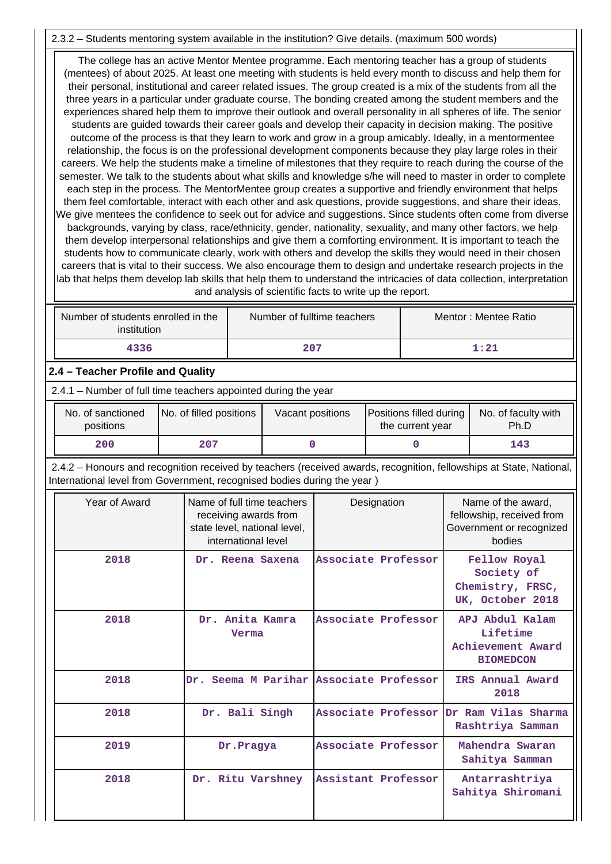## 2.3.2 – Students mentoring system available in the institution? Give details. (maximum 500 words)

 The college has an active Mentor Mentee programme. Each mentoring teacher has a group of students (mentees) of about 2025. At least one meeting with students is held every month to discuss and help them for their personal, institutional and career related issues. The group created is a mix of the students from all the three years in a particular under graduate course. The bonding created among the student members and the experiences shared help them to improve their outlook and overall personality in all spheres of life. The senior students are guided towards their career goals and develop their capacity in decision making. The positive outcome of the process is that they learn to work and grow in a group amicably. Ideally, in a mentormentee relationship, the focus is on the professional development components because they play large roles in their careers. We help the students make a timeline of milestones that they require to reach during the course of the semester. We talk to the students about what skills and knowledge s/he will need to master in order to complete each step in the process. The MentorMentee group creates a supportive and friendly environment that helps them feel comfortable, interact with each other and ask questions, provide suggestions, and share their ideas. We give mentees the confidence to seek out for advice and suggestions. Since students often come from diverse backgrounds, varying by class, race/ethnicity, gender, nationality, sexuality, and many other factors, we help them develop interpersonal relationships and give them a comforting environment. It is important to teach the students how to communicate clearly, work with others and develop the skills they would need in their chosen careers that is vital to their success. We also encourage them to design and undertake research projects in the lab that helps them develop lab skills that help them to understand the intricacies of data collection, interpretation and analysis of scientific facts to write up the report.

| Number of students enrolled in the<br>institution | Number of fulltime teachers | Mentor: Mentee Ratio |
|---------------------------------------------------|-----------------------------|----------------------|
| 4336                                              | 207                         | $1\!:\!21$           |

## **2.4 – Teacher Profile and Quality**

2.4.1 – Number of full time teachers appointed during the year

| No. of sanctioned<br>positions | No. of filled positions | Vacant positions | <b>Positions filled during  </b><br>the current year | No. of faculty with<br>Ph.D |
|--------------------------------|-------------------------|------------------|------------------------------------------------------|-----------------------------|
| 200                            | 207                     |                  |                                                      | 143                         |

 2.4.2 – Honours and recognition received by teachers (received awards, recognition, fellowships at State, National, International level from Government, recognised bodies during the year )

| Year of Award | Name of full time teachers<br>receiving awards from<br>state level, national level,<br>international level | Designation         | Name of the award,<br>fellowship, received from<br>Government or recognized<br>bodies |
|---------------|------------------------------------------------------------------------------------------------------------|---------------------|---------------------------------------------------------------------------------------|
| 2018          | Dr. Reena Saxena                                                                                           | Associate Professor | Fellow Royal<br>Society of<br>Chemistry, FRSC,<br>UK, October 2018                    |
| 2018          | Dr. Anita Kamra<br>Verma                                                                                   | Associate Professor | APJ Abdul Kalam<br>Lifetime<br>Achievement Award<br><b>BIOMEDCON</b>                  |
| 2018          | Dr. Seema M Parihar Associate Professor                                                                    |                     | IRS Annual Award<br>2018                                                              |
| 2018          | Dr. Bali Singh                                                                                             | Associate Professor | Dr Ram Vilas Sharma<br>Rashtriya Samman                                               |
| 2019          | Dr.Pragya                                                                                                  | Associate Professor | Mahendra Swaran<br>Sahitya Samman                                                     |
| 2018          | Dr. Ritu Varshney                                                                                          | Assistant Professor | Antarrashtriya<br>Sahitya Shiromani                                                   |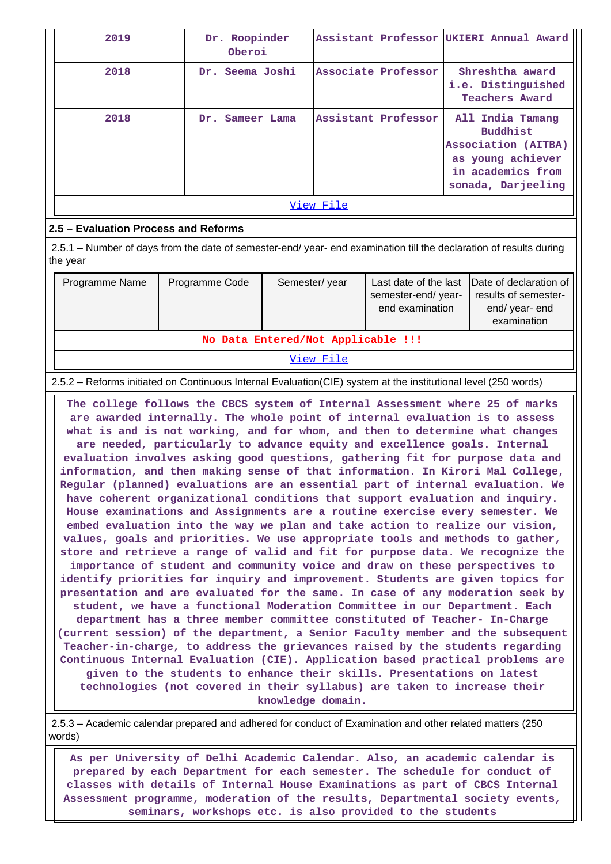| 2019                                                                                                               | Dr. Roopinder<br>Oberoi |                     | Assistant Professor UKIERI Annual Award                                                                                    |  |  |  |  |  |  |  |
|--------------------------------------------------------------------------------------------------------------------|-------------------------|---------------------|----------------------------------------------------------------------------------------------------------------------------|--|--|--|--|--|--|--|
| 2018                                                                                                               | Dr. Seema Joshi         | Associate Professor | Shreshtha award<br>i.e. Distinguished<br><b>Teachers Award</b>                                                             |  |  |  |  |  |  |  |
| 2018                                                                                                               | Sameer Lama<br>Dr.      | Assistant Professor | All India Tamang<br><b>Buddhist</b><br>Association (AITBA)<br>as young achiever<br>in academics from<br>sonada, Darjeeling |  |  |  |  |  |  |  |
|                                                                                                                    | View File               |                     |                                                                                                                            |  |  |  |  |  |  |  |
| 2.5 – Evaluation Process and Reforms                                                                               |                         |                     |                                                                                                                            |  |  |  |  |  |  |  |
| 2.5.1 – Number of days from the date of semester-end/ year- end examination till the declaration of results during |                         |                     |                                                                                                                            |  |  |  |  |  |  |  |

the  $y_{02}$ 

| ulte veal                          |                |               |                                       |                                                                                                       |  |  |  |  |  |  |
|------------------------------------|----------------|---------------|---------------------------------------|-------------------------------------------------------------------------------------------------------|--|--|--|--|--|--|
| Programme Name                     | Programme Code | Semester/year | semester-end/year-<br>end examination | Last date of the last   Date of declaration of<br>results of semester-<br>end/year-end<br>examination |  |  |  |  |  |  |
| No Data Entered/Not Applicable !!! |                |               |                                       |                                                                                                       |  |  |  |  |  |  |

View File

2.5.2 – Reforms initiated on Continuous Internal Evaluation(CIE) system at the institutional level (250 words)

 **The college follows the CBCS system of Internal Assessment where 25 of marks are awarded internally. The whole point of internal evaluation is to assess what is and is not working, and for whom, and then to determine what changes are needed, particularly to advance equity and excellence goals. Internal evaluation involves asking good questions, gathering fit for purpose data and information, and then making sense of that information. In Kirori Mal College, Regular (planned) evaluations are an essential part of internal evaluation. We have coherent organizational conditions that support evaluation and inquiry. House examinations and Assignments are a routine exercise every semester. We embed evaluation into the way we plan and take action to realize our vision, values, goals and priorities. We use appropriate tools and methods to gather, store and retrieve a range of valid and fit for purpose data. We recognize the importance of student and community voice and draw on these perspectives to identify priorities for inquiry and improvement. Students are given topics for presentation and are evaluated for the same. In case of any moderation seek by student, we have a functional Moderation Committee in our Department. Each department has a three member committee constituted of Teacher- In-Charge (current session) of the department, a Senior Faculty member and the subsequent Teacher-in-charge, to address the grievances raised by the students regarding Continuous Internal Evaluation (CIE). Application based practical problems are given to the students to enhance their skills. Presentations on latest technologies (not covered in their syllabus) are taken to increase their knowledge domain.**

 2.5.3 – Academic calendar prepared and adhered for conduct of Examination and other related matters (250 words)

 **As per University of Delhi Academic Calendar. Also, an academic calendar is prepared by each Department for each semester. The schedule for conduct of classes with details of Internal House Examinations as part of CBCS Internal Assessment programme, moderation of the results, Departmental society events, seminars, workshops etc. is also provided to the students**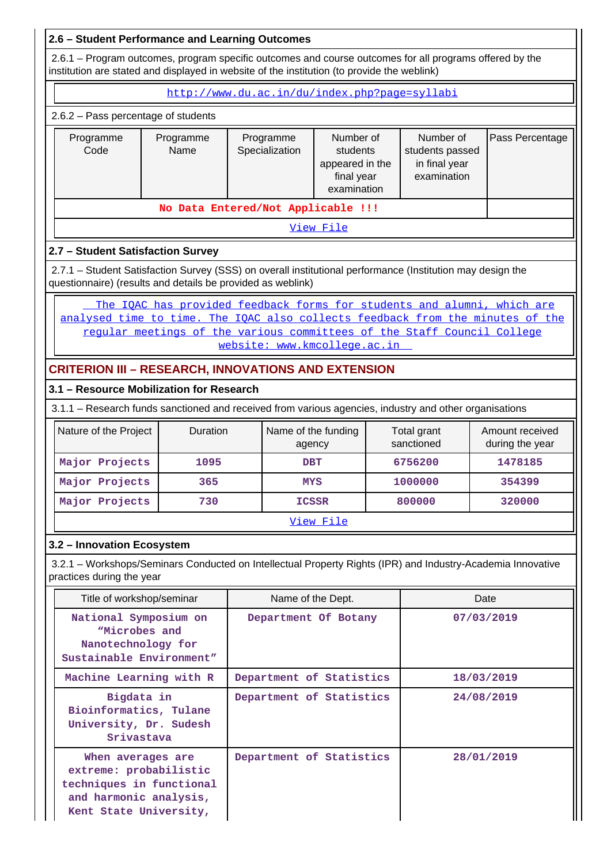# **2.6 – Student Performance and Learning Outcomes**

 2.6.1 – Program outcomes, program specific outcomes and course outcomes for all programs offered by the institution are stated and displayed in website of the institution (to provide the weblink)

http://www.du.ac.in/du/index.php?page=syllabi

#### 2.6.2 – Pass percentage of students

| Programme<br>Code | Programme<br>Name | Programme<br>Specialization | Number of<br>students<br>appeared in the<br>final year<br>examination | Number of<br>students passed<br>in final year<br>examination | Pass Percentage |
|-------------------|-------------------|-----------------------------|-----------------------------------------------------------------------|--------------------------------------------------------------|-----------------|
|                   |                   |                             |                                                                       |                                                              |                 |
|                   |                   |                             |                                                                       |                                                              |                 |

View File

# **2.7 – Student Satisfaction Survey**

 2.7.1 – Student Satisfaction Survey (SSS) on overall institutional performance (Institution may design the questionnaire) (results and details be provided as weblink)

The IOAC has provided feedback forms for students and alumni, which are analysed time to time. The IQAC also collects feedback from the minutes of the regular meetings of the various committees of the Staff Council College website: www.kmcollege.ac.in

# **CRITERION III – RESEARCH, INNOVATIONS AND EXTENSION**

## **3.1 – Resource Mobilization for Research**

3.1.1 – Research funds sanctioned and received from various agencies, industry and other organisations

| Nature of the Project | <b>Duration</b> | Name of the funding<br>agency | Total grant<br>sanctioned | Amount received<br>during the year |  |  |  |  |
|-----------------------|-----------------|-------------------------------|---------------------------|------------------------------------|--|--|--|--|
| Major Projects        | 1095            | <b>DBT</b>                    | 6756200                   | 1478185                            |  |  |  |  |
| Major Projects        | 365             | <b>MYS</b>                    | 1000000                   | 354399                             |  |  |  |  |
| Major Projects        | 730             | <b>ICSSR</b>                  | 800000                    | 320000                             |  |  |  |  |
| View File             |                 |                               |                           |                                    |  |  |  |  |

#### **3.2 – Innovation Ecosystem**

 3.2.1 – Workshops/Seminars Conducted on Intellectual Property Rights (IPR) and Industry-Academia Innovative practices during the year

| Title of workshop/seminar                                                                                                   | Name of the Dept.        | Date       |
|-----------------------------------------------------------------------------------------------------------------------------|--------------------------|------------|
| National Symposium on<br>"Microbes and<br>Nanotechnology for<br>Sustainable Environment"                                    | Department Of Botany     | 07/03/2019 |
| Machine Learning with R                                                                                                     | Department of Statistics | 18/03/2019 |
| Bigdata in<br>Bioinformatics, Tulane<br>University, Dr. Sudesh<br>Srivastava                                                | Department of Statistics | 24/08/2019 |
| When averages are<br>extreme: probabilistic<br>techniques in functional<br>and harmonic analysis,<br>Kent State University, | Department of Statistics | 28/01/2019 |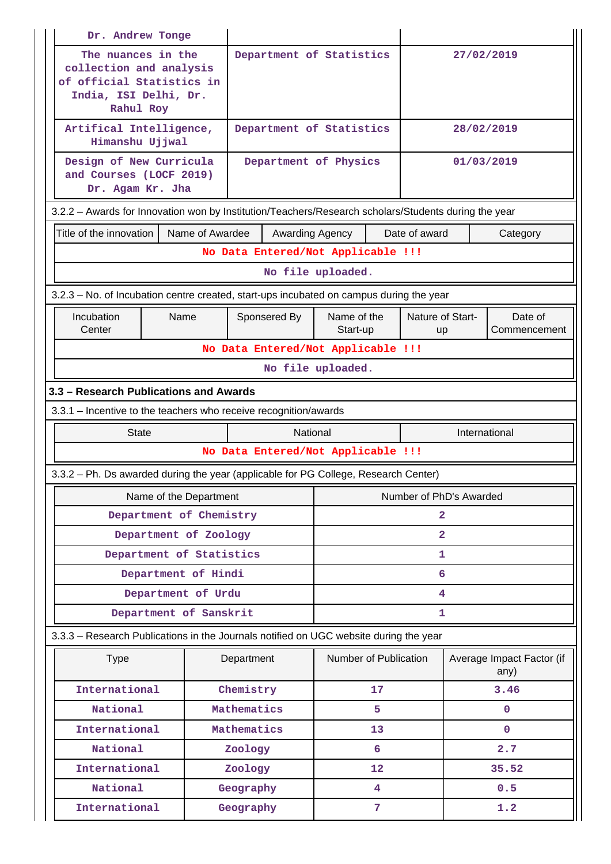| Dr. Andrew Tonge                                                                                                 |                                                                                  |                                    |                 |                         |    |                         |            |                                   |  |
|------------------------------------------------------------------------------------------------------------------|----------------------------------------------------------------------------------|------------------------------------|-----------------|-------------------------|----|-------------------------|------------|-----------------------------------|--|
| The nuances in the<br>collection and analysis<br>of official Statistics in<br>India, ISI Delhi, Dr.<br>Rahul Roy | Department of Statistics                                                         |                                    |                 |                         |    | 27/02/2019              |            |                                   |  |
| Artifical Intelligence,<br>Himanshu Ujjwal                                                                       |                                                                                  | Department of Statistics           |                 |                         |    |                         | 28/02/2019 |                                   |  |
| Design of New Curricula<br>Department of Physics<br>01/03/2019<br>and Courses (LOCF 2019)<br>Dr. Agam Kr. Jha    |                                                                                  |                                    |                 |                         |    |                         |            |                                   |  |
| 3.2.2 - Awards for Innovation won by Institution/Teachers/Research scholars/Students during the year             |                                                                                  |                                    |                 |                         |    |                         |            |                                   |  |
| Title of the innovation                                                                                          | Name of Awardee                                                                  |                                    | Awarding Agency |                         |    | Date of award           |            | Category                          |  |
|                                                                                                                  |                                                                                  | No Data Entered/Not Applicable !!! |                 |                         |    |                         |            |                                   |  |
|                                                                                                                  |                                                                                  |                                    |                 | No file uploaded.       |    |                         |            |                                   |  |
| 3.2.3 – No. of Incubation centre created, start-ups incubated on campus during the year                          |                                                                                  |                                    |                 |                         |    |                         |            |                                   |  |
| Incubation<br>Center                                                                                             | Name of the<br>Nature of Start-<br>Name<br>Sponsered By<br>Start-up<br><b>up</b> |                                    |                 | Date of<br>Commencement |    |                         |            |                                   |  |
|                                                                                                                  |                                                                                  | No Data Entered/Not Applicable !!! |                 |                         |    |                         |            |                                   |  |
|                                                                                                                  | No file uploaded.                                                                |                                    |                 |                         |    |                         |            |                                   |  |
| 3.3 – Research Publications and Awards                                                                           |                                                                                  |                                    |                 |                         |    |                         |            |                                   |  |
|                                                                                                                  | 3.3.1 - Incentive to the teachers who receive recognition/awards                 |                                    |                 |                         |    |                         |            |                                   |  |
| <b>State</b><br>National<br>International                                                                        |                                                                                  |                                    |                 |                         |    |                         |            |                                   |  |
| No Data Entered/Not Applicable !!!                                                                               |                                                                                  |                                    |                 |                         |    |                         |            |                                   |  |
|                                                                                                                  |                                                                                  |                                    |                 |                         |    |                         |            |                                   |  |
| 3.3.2 - Ph. Ds awarded during the year (applicable for PG College, Research Center)                              |                                                                                  |                                    |                 |                         |    |                         |            |                                   |  |
| Name of the Department                                                                                           |                                                                                  |                                    |                 |                         |    | Number of PhD's Awarded |            |                                   |  |
| Department of Chemistry                                                                                          |                                                                                  |                                    |                 |                         |    | $\mathbf{2}$            |            |                                   |  |
| Department of Zoology                                                                                            |                                                                                  |                                    |                 |                         |    | $\overline{2}$          |            |                                   |  |
| Department of Statistics                                                                                         |                                                                                  |                                    |                 |                         |    | 1                       |            |                                   |  |
| Department of Hindi                                                                                              |                                                                                  |                                    |                 |                         |    | 6                       |            |                                   |  |
| Department of Urdu                                                                                               |                                                                                  |                                    |                 |                         |    | 4                       |            |                                   |  |
| Department of Sanskrit                                                                                           |                                                                                  |                                    |                 |                         |    | 1                       |            |                                   |  |
| 3.3.3 - Research Publications in the Journals notified on UGC website during the year                            |                                                                                  |                                    |                 |                         |    |                         |            |                                   |  |
| <b>Type</b>                                                                                                      |                                                                                  | Department                         |                 | Number of Publication   |    |                         |            | Average Impact Factor (if<br>any) |  |
| International                                                                                                    |                                                                                  | Chemistry                          |                 |                         | 17 |                         |            | 3.46                              |  |
| National                                                                                                         |                                                                                  | Mathematics                        |                 |                         | 5  |                         |            | $\mathbf{0}$                      |  |
| International                                                                                                    |                                                                                  | Mathematics                        |                 |                         | 13 |                         |            | $\mathbf{0}$                      |  |
| National                                                                                                         |                                                                                  | Zoology                            |                 |                         | 6  |                         |            | 2.7                               |  |
| International                                                                                                    |                                                                                  | Zoology                            |                 |                         | 12 |                         |            | 35.52                             |  |
| National                                                                                                         |                                                                                  | Geography                          |                 |                         | 4  |                         |            | 0.5                               |  |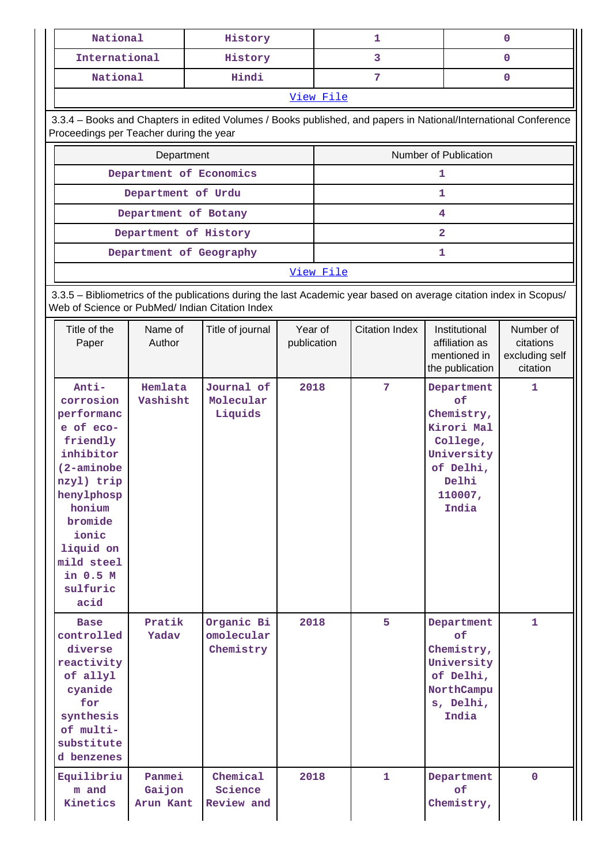| National                                                                                                                                                                                                     |                               | History                                                                                                            |                        | 1         |                       |                                                                                                                  | 0                                                    |  |  |  |
|--------------------------------------------------------------------------------------------------------------------------------------------------------------------------------------------------------------|-------------------------------|--------------------------------------------------------------------------------------------------------------------|------------------------|-----------|-----------------------|------------------------------------------------------------------------------------------------------------------|------------------------------------------------------|--|--|--|
| International                                                                                                                                                                                                |                               | History                                                                                                            |                        | 3<br>0    |                       |                                                                                                                  |                                                      |  |  |  |
| Hindi<br>National                                                                                                                                                                                            |                               |                                                                                                                    | 7<br>$\mathbf{0}$      |           |                       |                                                                                                                  |                                                      |  |  |  |
|                                                                                                                                                                                                              | View File                     |                                                                                                                    |                        |           |                       |                                                                                                                  |                                                      |  |  |  |
| 3.3.4 - Books and Chapters in edited Volumes / Books published, and papers in National/International Conference<br>Proceedings per Teacher during the year                                                   |                               |                                                                                                                    |                        |           |                       |                                                                                                                  |                                                      |  |  |  |
| Number of Publication<br>Department                                                                                                                                                                          |                               |                                                                                                                    |                        |           |                       |                                                                                                                  |                                                      |  |  |  |
|                                                                                                                                                                                                              | Department of Economics       |                                                                                                                    |                        |           |                       | 1                                                                                                                |                                                      |  |  |  |
|                                                                                                                                                                                                              | Department of Urdu            |                                                                                                                    |                        |           |                       | $\mathbf{1}$                                                                                                     |                                                      |  |  |  |
|                                                                                                                                                                                                              | Department of Botany          |                                                                                                                    |                        |           |                       | 4                                                                                                                |                                                      |  |  |  |
|                                                                                                                                                                                                              | Department of History         |                                                                                                                    |                        |           |                       | $\overline{\mathbf{2}}$                                                                                          |                                                      |  |  |  |
|                                                                                                                                                                                                              | Department of Geography       |                                                                                                                    |                        |           |                       | 1                                                                                                                |                                                      |  |  |  |
|                                                                                                                                                                                                              |                               |                                                                                                                    |                        | View File |                       |                                                                                                                  |                                                      |  |  |  |
| Web of Science or PubMed/ Indian Citation Index                                                                                                                                                              |                               | 3.3.5 - Bibliometrics of the publications during the last Academic year based on average citation index in Scopus/ |                        |           |                       |                                                                                                                  |                                                      |  |  |  |
| Title of the<br>Paper                                                                                                                                                                                        | Name of<br>Author             | Title of journal                                                                                                   | Year of<br>publication |           | <b>Citation Index</b> | Institutional<br>affiliation as<br>mentioned in<br>the publication                                               | Number of<br>citations<br>excluding self<br>citation |  |  |  |
| Anti-<br>corrosion<br>performanc<br>e of eco-<br>friendly<br>inhibitor<br>$(2-aminobe)$<br>nzyl) trip<br>henylphosp<br>honium<br>bromide<br>ionic<br>liquid on<br>mild steel<br>in 0.5 M<br>sulfuric<br>acid | Hemlata<br>Vashisht           | Journal of<br>Molecular<br>Liquids                                                                                 | 2018                   |           | 7                     | Department<br>of<br>Chemistry,<br>Kirori Mal<br>College,<br>University<br>of Delhi,<br>Delhi<br>110007,<br>India | 1                                                    |  |  |  |
| <b>Base</b><br>controlled<br>diverse<br>reactivity<br>of allyl<br>cyanide<br>for<br>synthesis<br>of multi-<br>substitute<br>d benzenes                                                                       | Pratik<br>Yadav               | Organic Bi<br>omolecular<br>Chemistry                                                                              | 2018                   |           | 5                     | Department<br>of<br>Chemistry,<br>University<br>of Delhi,<br>NorthCampu<br>s, Delhi,<br>India                    | $\mathbf{1}$                                         |  |  |  |
| Equilibriu<br>m and<br>Kinetics                                                                                                                                                                              | Panmei<br>Gaijon<br>Arun Kant | Chemical<br>Science<br>Review and                                                                                  | 2018                   |           | 1                     | Department<br>of<br>Chemistry,                                                                                   | $\mathbf{0}$                                         |  |  |  |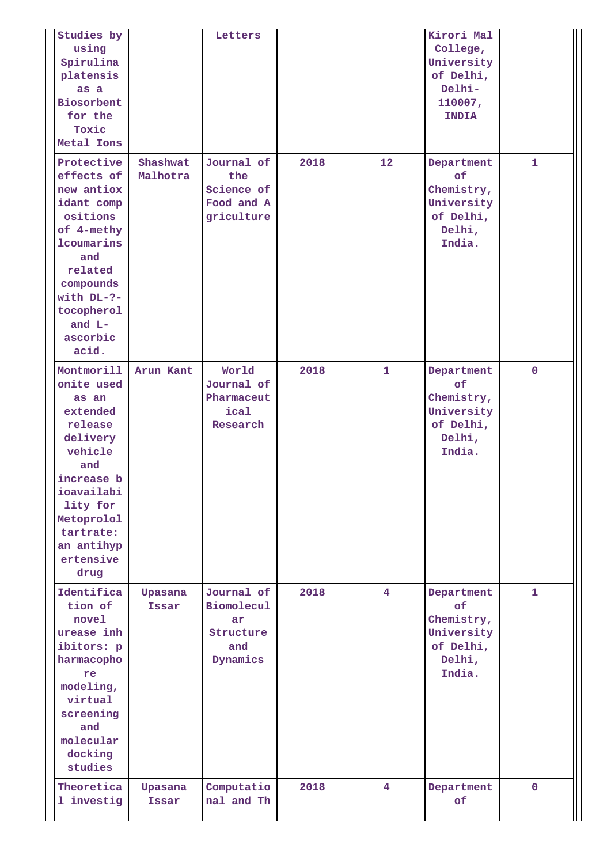| Studies by<br>using<br>Spirulina<br>platensis<br>as a<br>Biosorbent<br>for the<br>Toxic<br>Metal Ions                                                                                        |                      | Letters                                                         |      |                | Kirori Mal<br>College,<br>University<br>of Delhi,<br>Delhi-<br>110007,<br><b>INDIA</b> |              |
|----------------------------------------------------------------------------------------------------------------------------------------------------------------------------------------------|----------------------|-----------------------------------------------------------------|------|----------------|----------------------------------------------------------------------------------------|--------------|
| Protective<br>effects of<br>new antiox<br>idant comp<br>ositions<br>of 4-methy<br>lcoumarins<br>and<br>related<br>compounds<br>with $DL-?-$<br>tocopherol<br>and L-<br>ascorbic<br>acid.     | Shashwat<br>Malhotra | Journal of<br>the<br>Science of<br>Food and A<br>griculture     | 2018 | 12             | Department<br>of<br>Chemistry,<br>University<br>of Delhi,<br>Delhi,<br>India.          | $\mathbf{1}$ |
| Montmorill<br>onite used<br>as an<br>extended<br>release<br>delivery<br>vehicle<br>and<br>increase b<br>ioavailabi<br>lity for<br>Metoprolol<br>tartrate:<br>an antihyp<br>ertensive<br>drug | Arun Kant            | World<br>Journal of<br>Pharmaceut<br>ical<br>Research           | 2018 | $\mathbf{1}$   | Department<br>of<br>Chemistry,<br>University<br>of Delhi,<br>Delhi,<br>India.          | $\mathbf{0}$ |
| Identifica<br>tion of<br>novel<br>urease inh<br>ibitors: p<br>harmacopho<br>re<br>modeling,<br>virtual<br>screening<br>and<br>molecular<br>docking<br>studies                                | Upasana<br>Issar     | Journal of<br>Biomolecul<br>ar.<br>Structure<br>and<br>Dynamics | 2018 | $\overline{4}$ | Department<br>of<br>Chemistry,<br>University<br>of Delhi,<br>Delhi,<br>India.          | $\mathbf{1}$ |
| Theoretica<br>1 investig                                                                                                                                                                     | Upasana<br>Issar     | Computatio<br>nal and Th                                        | 2018 | 4              | Department<br><b>of</b>                                                                | $\mathbf{0}$ |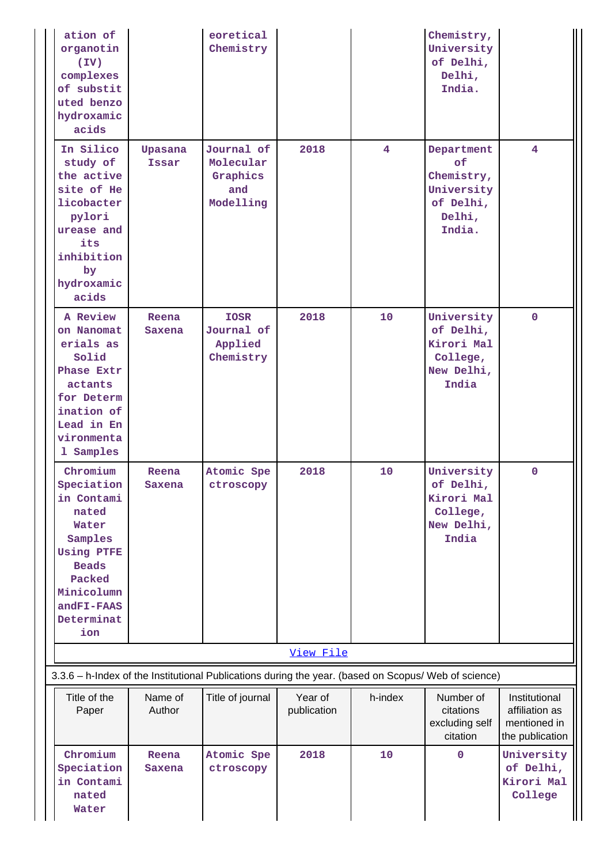| ation of<br>organotin<br>(TV)<br>complexes<br>of substit<br>uted benzo<br>hydroxamic<br>acids                                                                     |                   | eoretical<br>Chemistry                                  |                        |         | Chemistry,<br>University<br>of Delhi,<br>Delhi,<br>India.                     |                                                                    |
|-------------------------------------------------------------------------------------------------------------------------------------------------------------------|-------------------|---------------------------------------------------------|------------------------|---------|-------------------------------------------------------------------------------|--------------------------------------------------------------------|
| In Silico<br>study of<br>the active<br>site of He<br>licobacter<br>pylori<br>urease and<br>its<br>inhibition<br>by<br>hydroxamic<br>acids                         | Upasana<br>Issar  | Journal of<br>Molecular<br>Graphics<br>and<br>Modelling | 2018                   | 4       | Department<br>of<br>Chemistry,<br>University<br>of Delhi,<br>Delhi,<br>India. | $\overline{\mathbf{4}}$                                            |
| A Review<br>on Nanomat<br>erials as<br>Solid<br>Phase Extr<br>actants<br>for Determ<br>ination of<br>Lead in En<br>vironmenta<br>1 Samples                        | Reena<br>Saxena   | <b>IOSR</b><br>Journal of<br>Applied<br>Chemistry       | 2018                   | 10      | University<br>of Delhi,<br>Kirori Mal<br>College,<br>New Delhi,<br>India      | $\mathbf 0$                                                        |
| Chromium<br>Speciation<br>in Contami<br>nated<br>Water<br>Samples<br><b>Using PTFE</b><br><b>Beads</b><br>Packed<br>Minicolumn<br>andFI-FAAS<br>Determinat<br>ion | Reena<br>Saxena   | Atomic Spe<br>ctroscopy                                 | 2018                   | 10      | University<br>of Delhi,<br>Kirori Mal<br>College,<br>New Delhi,<br>India      | 0                                                                  |
| 3.3.6 - h-Index of the Institutional Publications during the year. (based on Scopus/ Web of science)                                                              |                   |                                                         | View File              |         |                                                                               |                                                                    |
| Title of the<br>Paper                                                                                                                                             | Name of<br>Author | Title of journal                                        | Year of<br>publication | h-index | Number of<br>citations<br>excluding self<br>citation                          | Institutional<br>affiliation as<br>mentioned in<br>the publication |
| Chromium<br>Speciation<br>in Contami<br>nated<br>Water                                                                                                            | Reena<br>Saxena   | Atomic Spe<br>ctroscopy                                 | 2018                   | 10      | $\mathbf 0$                                                                   | University<br>of Delhi,<br>Kirori Mal<br>College                   |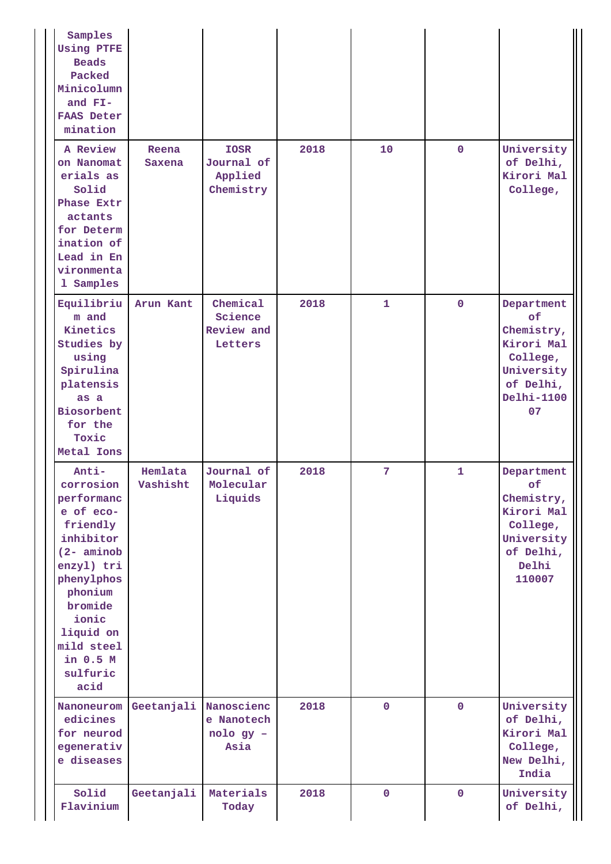| Samples<br><b>Using PTFE</b><br><b>Beads</b><br>Packed<br>Minicolumn<br>and FI-<br><b>FAAS Deter</b><br>mination                                                                                              |                     |                                                   |      |              |              |                                                                                                                |
|---------------------------------------------------------------------------------------------------------------------------------------------------------------------------------------------------------------|---------------------|---------------------------------------------------|------|--------------|--------------|----------------------------------------------------------------------------------------------------------------|
| A Review<br>on Nanomat<br>erials as<br>Solid<br>Phase Extr<br>actants<br>for Determ<br>ination of<br>Lead in En<br>vironmenta<br>1 Samples                                                                    | Reena<br>Saxena     | <b>IOSR</b><br>Journal of<br>Applied<br>Chemistry | 2018 | 10           | $\mathbf{0}$ | University<br>of Delhi,<br>Kirori Mal<br>College,                                                              |
| Equilibriu<br>m and<br>Kinetics<br>Studies by<br>using<br>Spirulina<br>platensis<br>as a<br>Biosorbent<br>for the<br>Toxic<br>Metal Ions                                                                      | Arun Kant           | Chemical<br>Science<br>Review and<br>Letters      | 2018 | $\mathbf{1}$ | $\mathbf{0}$ | Department<br>of<br>Chemistry,<br>Kirori Mal<br>College,<br>University<br>of Delhi,<br><b>Delhi-1100</b><br>07 |
| Anti-<br>corrosion<br>performanc<br>e of eco-<br>friendly<br>inhibitor<br>$(2$ - aminob<br>enzyl) tri<br>phenylphos<br>phonium<br>bromide<br>ionic<br>liquid on<br>mild steel<br>in 0.5 M<br>sulfuric<br>acid | Hemlata<br>Vashisht | Journal of<br>Molecular<br>Liquids                | 2018 | 7            | 1            | Department<br>оf<br>Chemistry,<br>Kirori Mal<br>College,<br>University<br>of Delhi,<br>Delhi<br>110007         |
| Nanoneurom<br>edicines<br>for neurod<br>egenerativ<br>e diseases                                                                                                                                              | Geetanjali          | Nanoscienc<br>e Nanotech<br>nolo gy -<br>Asia     | 2018 | $\mathbf{0}$ | $\mathbf{0}$ | University<br>of Delhi,<br>Kirori Mal<br>College,<br>New Delhi,<br>India                                       |
| Solid<br>Flavinium                                                                                                                                                                                            | Geetanjali          | Materials<br>Today                                | 2018 | $\mathbf 0$  | $\mathbf 0$  | University<br>of Delhi,                                                                                        |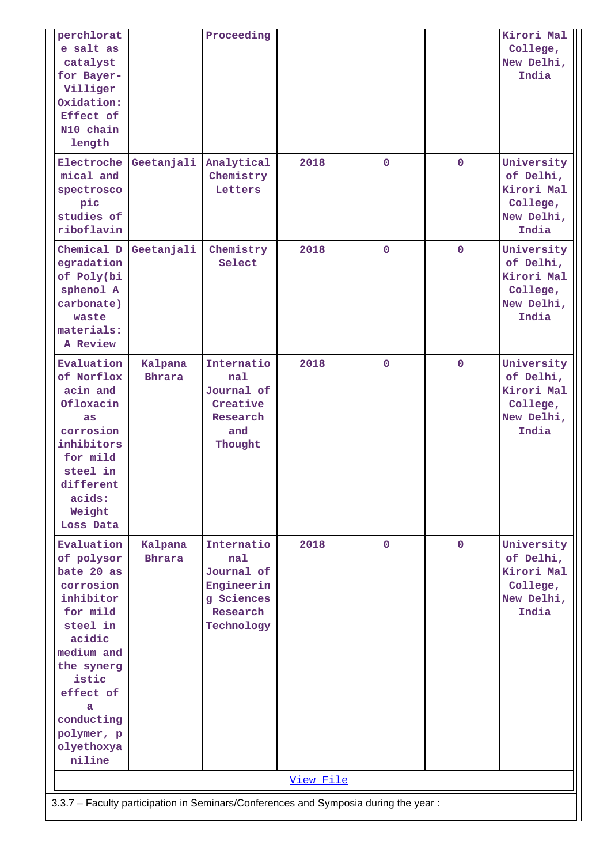| perchlorat<br>e salt as<br>catalyst<br>for Bayer-<br>Villiger<br>Oxidation:<br>Effect of<br>N10 chain<br>length                                                                                               |                          | Proceeding                                                                            |           |              |             | Kirori Mal<br>College,<br>New Delhi,<br>India                            |
|---------------------------------------------------------------------------------------------------------------------------------------------------------------------------------------------------------------|--------------------------|---------------------------------------------------------------------------------------|-----------|--------------|-------------|--------------------------------------------------------------------------|
| Electroche<br>mical and<br>spectrosco<br>pic<br>studies of<br>riboflavin                                                                                                                                      | Geetanjali               | Analytical<br>Chemistry<br>Letters                                                    | 2018      | $\mathbf 0$  | $\mathbf 0$ | University<br>of Delhi,<br>Kirori Mal<br>College,<br>New Delhi,<br>India |
| Chemical D<br>egradation<br>of Poly(bi<br>sphenol A<br>carbonate)<br>waste<br>materials:<br>A Review                                                                                                          | Geetanjali               | Chemistry<br>Select                                                                   | 2018      | $\mathbf 0$  | $\mathbf 0$ | University<br>of Delhi,<br>Kirori Mal<br>College,<br>New Delhi,<br>India |
| Evaluation<br>of Norflox<br>acin and<br>Ofloxacin<br>as<br>corrosion<br>inhibitors<br>for mild<br>steel in<br>different<br>acids:<br>Weight<br>Loss Data                                                      | Kalpana<br><b>Bhrara</b> | Internatio<br>nal<br>Journal of<br>Creative<br>Research<br>and<br>Thought             | 2018      | $\mathbf 0$  | $\mathbf 0$ | University<br>of Delhi,<br>Kirori Mal<br>College,<br>New Delhi,<br>India |
| Evaluation<br>of polysor<br>bate 20 as<br>corrosion<br>inhibitor<br>for mild<br>steel in<br>acidic<br>medium and<br>the synerg<br>istic<br>effect of<br>a<br>conducting<br>polymer, p<br>olyethoxya<br>niline | Kalpana<br><b>Bhrara</b> | Internatio<br>nal<br>Journal of<br>Engineerin<br>g Sciences<br>Research<br>Technology | 2018      | $\mathbf{0}$ | $\mathbf 0$ | University<br>of Delhi,<br>Kirori Mal<br>College,<br>New Delhi,<br>India |
|                                                                                                                                                                                                               |                          |                                                                                       | View File |              |             |                                                                          |
| 3.3.7 - Faculty participation in Seminars/Conferences and Symposia during the year:                                                                                                                           |                          |                                                                                       |           |              |             |                                                                          |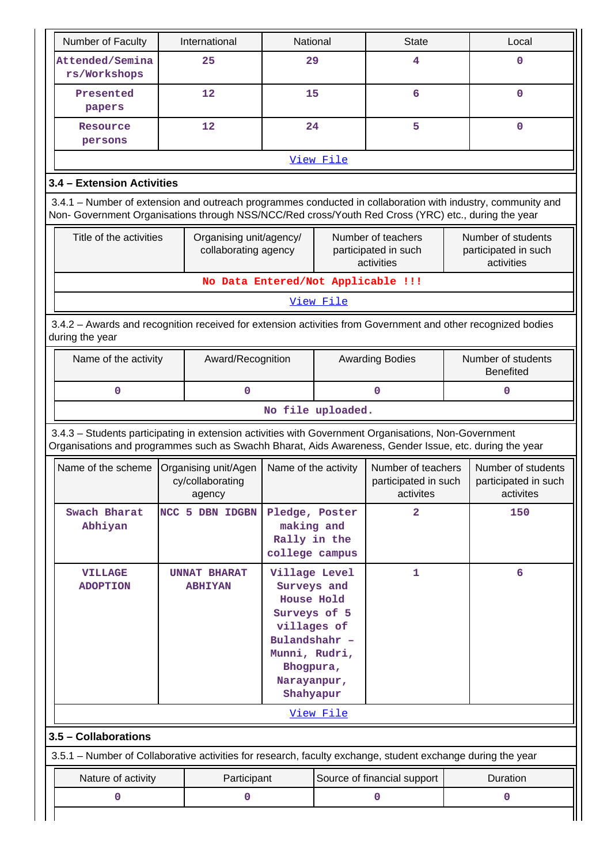| Number of Faculty                                                                                                                                                                                                  |                                                                            | International                                                                                                                                        | National                                                       |           | <b>State</b>                                             |                                        | Local                                                    |  |  |
|--------------------------------------------------------------------------------------------------------------------------------------------------------------------------------------------------------------------|----------------------------------------------------------------------------|------------------------------------------------------------------------------------------------------------------------------------------------------|----------------------------------------------------------------|-----------|----------------------------------------------------------|----------------------------------------|----------------------------------------------------------|--|--|
| Attended/Semina<br>rs/Workshops                                                                                                                                                                                    |                                                                            | 25                                                                                                                                                   | 29                                                             |           | 4                                                        |                                        | 0                                                        |  |  |
| Presented<br>papers                                                                                                                                                                                                |                                                                            | 12                                                                                                                                                   | 15                                                             |           | 6                                                        |                                        | 0                                                        |  |  |
| Resource<br>persons                                                                                                                                                                                                |                                                                            | 12                                                                                                                                                   | 24                                                             |           | 5                                                        |                                        | $\mathbf 0$                                              |  |  |
|                                                                                                                                                                                                                    | View File                                                                  |                                                                                                                                                      |                                                                |           |                                                          |                                        |                                                          |  |  |
| 3.4 - Extension Activities                                                                                                                                                                                         |                                                                            |                                                                                                                                                      |                                                                |           |                                                          |                                        |                                                          |  |  |
| 3.4.1 – Number of extension and outreach programmes conducted in collaboration with industry, community and<br>Non- Government Organisations through NSS/NCC/Red cross/Youth Red Cross (YRC) etc., during the year |                                                                            |                                                                                                                                                      |                                                                |           |                                                          |                                        |                                                          |  |  |
|                                                                                                                                                                                                                    | Title of the activities<br>Organising unit/agency/<br>collaborating agency |                                                                                                                                                      |                                                                |           | Number of teachers<br>participated in such<br>activities |                                        | Number of students<br>participated in such<br>activities |  |  |
|                                                                                                                                                                                                                    |                                                                            | No Data Entered/Not Applicable !!!                                                                                                                   |                                                                |           |                                                          |                                        |                                                          |  |  |
|                                                                                                                                                                                                                    |                                                                            |                                                                                                                                                      |                                                                | View File |                                                          |                                        |                                                          |  |  |
| 3.4.2 - Awards and recognition received for extension activities from Government and other recognized bodies<br>during the year                                                                                    |                                                                            |                                                                                                                                                      |                                                                |           |                                                          |                                        |                                                          |  |  |
| Name of the activity<br>Award/Recognition                                                                                                                                                                          |                                                                            |                                                                                                                                                      |                                                                |           | <b>Awarding Bodies</b>                                   | Number of students<br><b>Benefited</b> |                                                          |  |  |
| 0                                                                                                                                                                                                                  | $\mathbf 0$                                                                |                                                                                                                                                      |                                                                |           | $\mathbf 0$                                              |                                        |                                                          |  |  |
|                                                                                                                                                                                                                    |                                                                            |                                                                                                                                                      | No file uploaded.                                              |           |                                                          |                                        |                                                          |  |  |
| 3.4.3 - Students participating in extension activities with Government Organisations, Non-Government<br>Organisations and programmes such as Swachh Bharat, Aids Awareness, Gender Issue, etc. during the year     |                                                                            |                                                                                                                                                      |                                                                |           |                                                          |                                        |                                                          |  |  |
| Name of the scheme                                                                                                                                                                                                 |                                                                            | Organising unit/Agen<br>cy/collaborating<br>agency                                                                                                   | Name of the activity                                           |           | Number of teachers<br>participated in such<br>activites  |                                        | Number of students<br>participated in such<br>activites  |  |  |
| Swach Bharat<br>Abhiyan                                                                                                                                                                                            |                                                                            | NCC 5 DBN IDGBN                                                                                                                                      | Pledge, Poster<br>making and<br>Rally in the<br>college campus |           | $\mathbf{2}$                                             |                                        | 150                                                      |  |  |
| <b>VILLAGE</b><br><b>UNNAT BHARAT</b><br><b>ADOPTION</b><br><b>ABHIYAN</b>                                                                                                                                         |                                                                            | Village Level<br>Surveys and<br>House Hold<br>Surveys of 5<br>villages of<br>Bulandshahr -<br>Munni, Rudri,<br>Bhogpura,<br>Narayanpur,<br>Shahyapur |                                                                | 1         |                                                          | 6                                      |                                                          |  |  |
| <u>View File</u>                                                                                                                                                                                                   |                                                                            |                                                                                                                                                      |                                                                |           |                                                          |                                        |                                                          |  |  |
|                                                                                                                                                                                                                    | 3.5 - Collaborations                                                       |                                                                                                                                                      |                                                                |           |                                                          |                                        |                                                          |  |  |
| 3.5.1 – Number of Collaborative activities for research, faculty exchange, student exchange during the year                                                                                                        |                                                                            |                                                                                                                                                      |                                                                |           |                                                          |                                        |                                                          |  |  |
| Nature of activity                                                                                                                                                                                                 |                                                                            | Participant                                                                                                                                          |                                                                |           | Source of financial support                              |                                        | Duration                                                 |  |  |
| 0                                                                                                                                                                                                                  | $\mathbf 0$                                                                |                                                                                                                                                      |                                                                |           | 0                                                        | 0                                      |                                                          |  |  |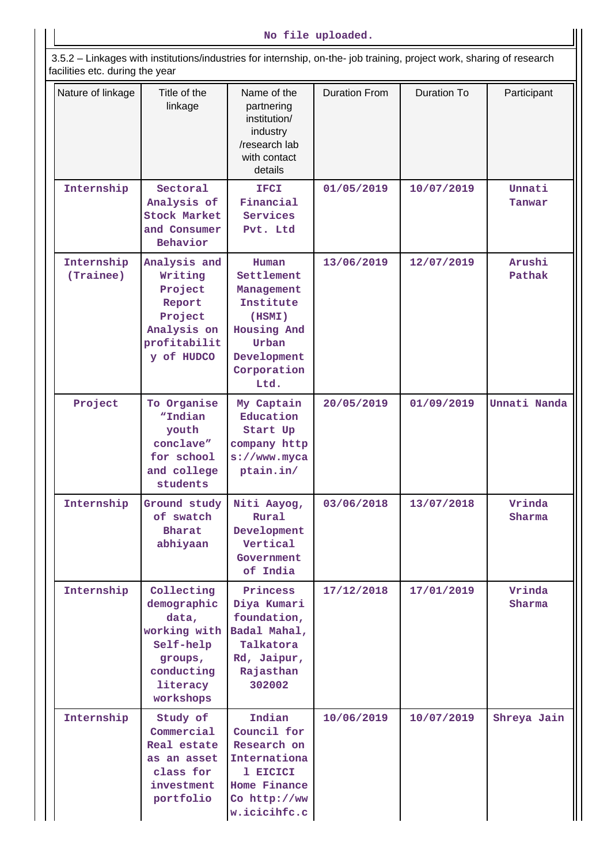3.5.2 – Linkages with institutions/industries for internship, on-the- job training, project work, sharing of research facilities etc. during the year

| rading oto. during the year |                                                                                                                   |                                                                                                                        |                      |                    |                  |
|-----------------------------|-------------------------------------------------------------------------------------------------------------------|------------------------------------------------------------------------------------------------------------------------|----------------------|--------------------|------------------|
| Nature of linkage           | Title of the<br>linkage                                                                                           | Name of the<br>partnering<br>institution/<br>industry<br>/research lab<br>with contact<br>details                      | <b>Duration From</b> | <b>Duration To</b> | Participant      |
| Internship                  | Sectoral<br>Analysis of<br><b>Stock Market</b><br>and Consumer<br>Behavior                                        | <b>IFCI</b><br>Financial<br>Services<br>Pvt. Ltd                                                                       | 01/05/2019           | 10/07/2019         | Unnati<br>Tanwar |
| Internship<br>(Trainee)     | Analysis and<br>Writing<br>Project<br>Report<br>Project<br>Analysis on<br>profitabilit<br>y of HUDCO              | Human<br>Settlement<br>Management<br>Institute<br>(HSMI)<br>Housing And<br>Urban<br>Development<br>Corporation<br>Ltd. | 13/06/2019           | 12/07/2019         | Arushi<br>Pathak |
| Project                     | To Organise<br>"Indian<br>youth<br>conclave"<br>for school<br>and college<br>students                             | My Captain<br>Education<br>Start Up<br>company http<br>$s$ ://www.myca<br>ptain.in/                                    | 20/05/2019           | 01/09/2019         | Unnati Nanda     |
| Internship                  | Ground study<br>of swatch<br><b>Bharat</b><br>abhiyaan                                                            | Niti Aayog,<br>Rural<br>Development<br>Vertical<br>Government<br>of India                                              | 03/06/2018           | 13/07/2018         | Vrinda<br>Sharma |
| Internship                  | Collecting<br>demographic<br>data,<br>working with<br>Self-help<br>groups,<br>conducting<br>literacy<br>workshops | Princess<br>Diya Kumari<br>foundation,<br>Badal Mahal,<br>Talkatora<br>Rd, Jaipur,<br>Rajasthan<br>302002              | 17/12/2018           | 17/01/2019         | Vrinda<br>Sharma |
| Internship                  | Study of<br>Commercial<br>Real estate<br>as an asset<br>class for<br>investment<br>portfolio                      | Indian<br>Council for<br>Research on<br>Internationa<br>1 EICICI<br>Home Finance<br>Co http://ww<br>w.icicihfc.c       | 10/06/2019           | 10/07/2019         | Shreya Jain      |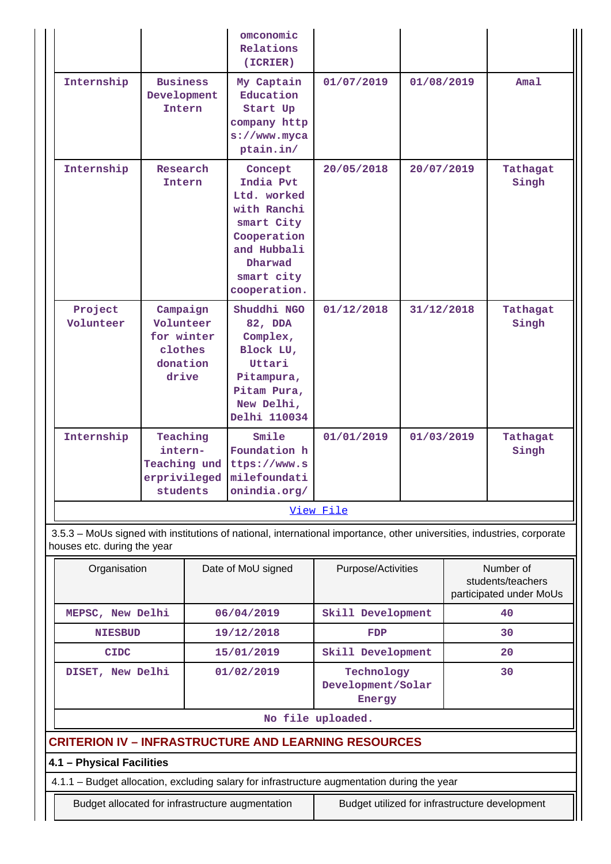|                      |                                                                     | omconomic<br>Relations<br>(ICRIER)                                                                                                      |            |            |                   |  |  |
|----------------------|---------------------------------------------------------------------|-----------------------------------------------------------------------------------------------------------------------------------------|------------|------------|-------------------|--|--|
| Internship           | <b>Business</b><br>Development<br>Intern                            | My Captain<br>Education<br>Start Up<br>company http<br>$s$ ://www.myca<br>ptain.in/                                                     | 01/07/2019 | 01/08/2019 | Amal              |  |  |
| Internship           | Research<br>Intern                                                  | Concept<br>India Pvt<br>Ltd. worked<br>with Ranchi<br>smart City<br>Cooperation<br>and Hubbali<br>Dharwad<br>smart city<br>cooperation. | 20/05/2018 | 20/07/2019 | Tathagat<br>Singh |  |  |
| Project<br>Volunteer | Campaign<br>Volunteer<br>for winter<br>clothes<br>donation<br>drive | Shuddhi NGO<br>82, DDA<br>Complex,<br>Block LU,<br>Uttari<br>Pitampura,<br>Pitam Pura,<br>New Delhi,<br>Delhi 110034                    | 01/12/2018 | 31/12/2018 | Tathagat<br>Singh |  |  |
| Internship           | Teaching<br>intern-<br>Teaching und<br>erprivileged<br>students     | Smile<br>Foundation h<br>ttps://www.s<br>milefoundati<br>onindia.org/                                                                   | 01/01/2019 | 01/03/2019 | Tathagat<br>Singh |  |  |
| View File            |                                                                     |                                                                                                                                         |            |            |                   |  |  |

 3.5.3 – MoUs signed with institutions of national, international importance, other universities, industries, corporate houses etc. during the year

| Organisation                                         | Date of MoU signed | Purpose/Activities                        | Number of<br>students/teachers<br>participated under MoUs |  |  |  |  |
|------------------------------------------------------|--------------------|-------------------------------------------|-----------------------------------------------------------|--|--|--|--|
| MEPSC, New Delhi                                     | 06/04/2019         | Skill Development                         | 40                                                        |  |  |  |  |
| <b>NIESBUD</b>                                       | 19/12/2018         | FDP                                       | 30                                                        |  |  |  |  |
| <b>CIDC</b>                                          | 15/01/2019         | Skill Development                         | 20                                                        |  |  |  |  |
| DISET, New Delhi                                     | 01/02/2019         | Technology<br>Development/Solar<br>Energy | 30                                                        |  |  |  |  |
| No file uploaded.                                    |                    |                                           |                                                           |  |  |  |  |
| CDITEDION IV _ INEDASTDHCTHDE AND LEADNING DESOHDCES |                    |                                           |                                                           |  |  |  |  |

# **CRITERION IV – INFRASTRUCTURE AND LEARNING RESOURCES**

# **4.1 – Physical Facilities**

4.1.1 – Budget allocation, excluding salary for infrastructure augmentation during the year

Budget allocated for infrastructure augmentation <br>Budget utilized for infrastructure augmentation <br>Budget utilized for infrastructure development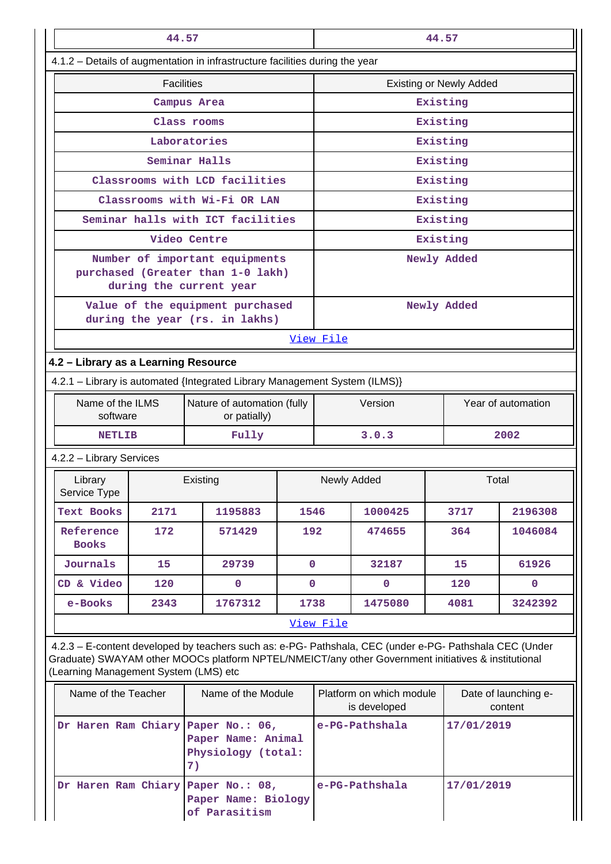|                                                                                                                                                                                                                                                         | 44.57                                                                                |                                                                                                |              | 44.57                                    |                |                                 |                    |  |
|---------------------------------------------------------------------------------------------------------------------------------------------------------------------------------------------------------------------------------------------------------|--------------------------------------------------------------------------------------|------------------------------------------------------------------------------------------------|--------------|------------------------------------------|----------------|---------------------------------|--------------------|--|
| 4.1.2 - Details of augmentation in infrastructure facilities during the year                                                                                                                                                                            |                                                                                      |                                                                                                |              |                                          |                |                                 |                    |  |
|                                                                                                                                                                                                                                                         | <b>Facilities</b>                                                                    |                                                                                                |              |                                          |                | <b>Existing or Newly Added</b>  |                    |  |
| Campus Area                                                                                                                                                                                                                                             |                                                                                      |                                                                                                |              |                                          | Existing       |                                 |                    |  |
| Class rooms                                                                                                                                                                                                                                             |                                                                                      |                                                                                                |              |                                          | Existing       |                                 |                    |  |
|                                                                                                                                                                                                                                                         |                                                                                      | Laboratories                                                                                   |              |                                          |                | Existing                        |                    |  |
|                                                                                                                                                                                                                                                         |                                                                                      | Seminar Halls                                                                                  |              |                                          |                | Existing                        |                    |  |
|                                                                                                                                                                                                                                                         |                                                                                      | Classrooms with LCD facilities                                                                 |              |                                          |                | Existing                        |                    |  |
|                                                                                                                                                                                                                                                         |                                                                                      | Classrooms with Wi-Fi OR LAN                                                                   |              |                                          |                | Existing                        |                    |  |
|                                                                                                                                                                                                                                                         |                                                                                      | Seminar halls with ICT facilities                                                              |              |                                          |                | Existing                        |                    |  |
|                                                                                                                                                                                                                                                         |                                                                                      | Video Centre                                                                                   |              |                                          |                | Existing                        |                    |  |
|                                                                                                                                                                                                                                                         |                                                                                      | Number of important equipments<br>purchased (Greater than 1-0 lakh)<br>during the current year |              |                                          |                | Newly Added                     |                    |  |
|                                                                                                                                                                                                                                                         | Value of the equipment purchased<br>during the year (rs. in lakhs)                   |                                                                                                |              |                                          |                | Newly Added                     |                    |  |
|                                                                                                                                                                                                                                                         |                                                                                      |                                                                                                |              | View File                                |                |                                 |                    |  |
| 4.2 - Library as a Learning Resource                                                                                                                                                                                                                    |                                                                                      |                                                                                                |              |                                          |                |                                 |                    |  |
| 4.2.1 - Library is automated {Integrated Library Management System (ILMS)}                                                                                                                                                                              |                                                                                      |                                                                                                |              |                                          |                |                                 |                    |  |
| software                                                                                                                                                                                                                                                | Name of the ILMS<br>Nature of automation (fully<br>or patially)                      |                                                                                                |              | Version                                  |                |                                 | Year of automation |  |
| <b>NETLIB</b>                                                                                                                                                                                                                                           |                                                                                      | Fully                                                                                          |              |                                          | 3.0.3<br>2002  |                                 |                    |  |
| 4.2.2 - Library Services                                                                                                                                                                                                                                |                                                                                      |                                                                                                |              |                                          |                |                                 |                    |  |
| Library<br>Service Type                                                                                                                                                                                                                                 |                                                                                      | Existing                                                                                       |              | Newly Added<br>Total                     |                |                                 |                    |  |
| <b>Text Books</b>                                                                                                                                                                                                                                       | 2171                                                                                 | 1195883                                                                                        | 1546         |                                          | 1000425        | 3717                            | 2196308            |  |
| Reference<br><b>Books</b>                                                                                                                                                                                                                               | 172                                                                                  | 571429                                                                                         | 192          |                                          | 474655         | 364                             | 1046084            |  |
| Journals                                                                                                                                                                                                                                                | 15                                                                                   | 29739                                                                                          | $\mathbf{0}$ |                                          | 32187          | 15                              | 61926              |  |
| CD & Video                                                                                                                                                                                                                                              | 120                                                                                  | $\mathbf 0$                                                                                    | 0            |                                          | 0              | 120                             | 0                  |  |
| e-Books                                                                                                                                                                                                                                                 | 2343                                                                                 | 1767312                                                                                        | 1738         |                                          | 1475080        | 4081                            | 3242392            |  |
|                                                                                                                                                                                                                                                         |                                                                                      |                                                                                                |              | View File                                |                |                                 |                    |  |
| 4.2.3 - E-content developed by teachers such as: e-PG- Pathshala, CEC (under e-PG- Pathshala CEC (Under<br>Graduate) SWAYAM other MOOCs platform NPTEL/NMEICT/any other Government initiatives & institutional<br>(Learning Management System (LMS) etc |                                                                                      |                                                                                                |              |                                          |                |                                 |                    |  |
| Name of the Teacher<br>Name of the Module                                                                                                                                                                                                               |                                                                                      |                                                                                                |              | Platform on which module<br>is developed |                | Date of launching e-<br>content |                    |  |
|                                                                                                                                                                                                                                                         | Dr Haren Ram Chiary Paper No.: 06,<br>Paper Name: Animal<br>Physiology (total:<br>7) |                                                                                                |              |                                          | e-PG-Pathshala | 17/01/2019                      |                    |  |
| Dr Haren Ram Chiary Paper No.: 08,                                                                                                                                                                                                                      |                                                                                      | Paper Name: Biology<br>of Parasitism                                                           |              |                                          | e-PG-Pathshala | 17/01/2019                      |                    |  |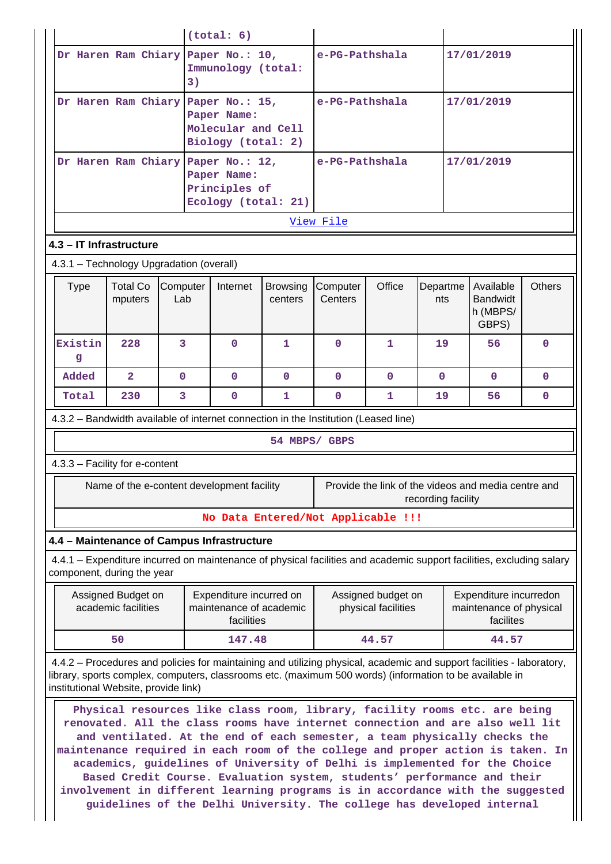|                                                                                                                                                                                                                                                                          |                                           |                 | (total: 6)                                                                                                                                                                                                                                                                                                                                                                                                                                                                                                                                                                                                                                       |                     |                     |                                           |                    |                                                                |               |
|--------------------------------------------------------------------------------------------------------------------------------------------------------------------------------------------------------------------------------------------------------------------------|-------------------------------------------|-----------------|--------------------------------------------------------------------------------------------------------------------------------------------------------------------------------------------------------------------------------------------------------------------------------------------------------------------------------------------------------------------------------------------------------------------------------------------------------------------------------------------------------------------------------------------------------------------------------------------------------------------------------------------------|---------------------|---------------------|-------------------------------------------|--------------------|----------------------------------------------------------------|---------------|
|                                                                                                                                                                                                                                                                          |                                           | 3)              | Dr Haren Ram Chiary Paper No.: 10,<br>Immunology (total:                                                                                                                                                                                                                                                                                                                                                                                                                                                                                                                                                                                         |                     | e-PG-Pathshala      |                                           |                    | 17/01/2019                                                     |               |
|                                                                                                                                                                                                                                                                          |                                           |                 | Dr Haren Ram Chiary Paper No.: 15,<br>Paper Name:<br>Molecular and Cell<br>Biology (total: 2)                                                                                                                                                                                                                                                                                                                                                                                                                                                                                                                                                    |                     | e-PG-Pathshala      |                                           |                    | 17/01/2019                                                     |               |
| Dr Haren Ram Chiary Paper No.: 12,<br>17/01/2019<br>e-PG-Pathshala<br>Paper Name:<br>Principles of<br>Ecology (total: 21)                                                                                                                                                |                                           |                 |                                                                                                                                                                                                                                                                                                                                                                                                                                                                                                                                                                                                                                                  |                     |                     |                                           |                    |                                                                |               |
|                                                                                                                                                                                                                                                                          |                                           |                 |                                                                                                                                                                                                                                                                                                                                                                                                                                                                                                                                                                                                                                                  |                     | View File           |                                           |                    |                                                                |               |
| 4.3 - IT Infrastructure                                                                                                                                                                                                                                                  |                                           |                 |                                                                                                                                                                                                                                                                                                                                                                                                                                                                                                                                                                                                                                                  |                     |                     |                                           |                    |                                                                |               |
| 4.3.1 - Technology Upgradation (overall)                                                                                                                                                                                                                                 |                                           |                 |                                                                                                                                                                                                                                                                                                                                                                                                                                                                                                                                                                                                                                                  |                     |                     |                                           |                    |                                                                |               |
| <b>Type</b>                                                                                                                                                                                                                                                              | <b>Total Co</b><br>mputers                | Computer<br>Lab | Internet                                                                                                                                                                                                                                                                                                                                                                                                                                                                                                                                                                                                                                         | Browsing<br>centers | Computer<br>Centers | Office                                    | Departme<br>nts    | Available<br><b>Bandwidt</b><br>h (MBPS/<br>GBPS)              | <b>Others</b> |
| Existin<br>g                                                                                                                                                                                                                                                             | 228                                       | 3               | $\mathbf{0}$                                                                                                                                                                                                                                                                                                                                                                                                                                                                                                                                                                                                                                     | 1                   | $\mathbf{0}$        | 1                                         | 19                 | 56                                                             | $\mathbf{0}$  |
| Added                                                                                                                                                                                                                                                                    | $\overline{2}$                            | $\mathbf 0$     | $\mathbf{O}$                                                                                                                                                                                                                                                                                                                                                                                                                                                                                                                                                                                                                                     | $\mathbf{0}$        | $\mathbf{0}$        | $\mathbf{0}$                              | $\mathbf{0}$       | $\mathbf{0}$                                                   | $\mathbf{0}$  |
| Total                                                                                                                                                                                                                                                                    | 230                                       | 3               | $\mathbf{0}$                                                                                                                                                                                                                                                                                                                                                                                                                                                                                                                                                                                                                                     | 1                   | $\mathbf{0}$        | 1                                         | 19                 | 56                                                             | $\mathbf{0}$  |
| 4.3.3 - Facility for e-content                                                                                                                                                                                                                                           |                                           |                 |                                                                                                                                                                                                                                                                                                                                                                                                                                                                                                                                                                                                                                                  |                     | 54 MBPS/ GBPS       |                                           |                    |                                                                |               |
|                                                                                                                                                                                                                                                                          |                                           |                 | Name of the e-content development facility                                                                                                                                                                                                                                                                                                                                                                                                                                                                                                                                                                                                       |                     |                     |                                           | recording facility | Provide the link of the videos and media centre and            |               |
|                                                                                                                                                                                                                                                                          |                                           |                 | No Data Entered/Not Applicable !!!                                                                                                                                                                                                                                                                                                                                                                                                                                                                                                                                                                                                               |                     |                     |                                           |                    |                                                                |               |
|                                                                                                                                                                                                                                                                          |                                           |                 | 4.4 - Maintenance of Campus Infrastructure                                                                                                                                                                                                                                                                                                                                                                                                                                                                                                                                                                                                       |                     |                     |                                           |                    |                                                                |               |
| component, during the year                                                                                                                                                                                                                                               |                                           |                 | 4.4.1 – Expenditure incurred on maintenance of physical facilities and academic support facilities, excluding salary                                                                                                                                                                                                                                                                                                                                                                                                                                                                                                                             |                     |                     |                                           |                    |                                                                |               |
|                                                                                                                                                                                                                                                                          | Assigned Budget on<br>academic facilities |                 | Expenditure incurred on<br>maintenance of academic<br>facilities                                                                                                                                                                                                                                                                                                                                                                                                                                                                                                                                                                                 |                     |                     | Assigned budget on<br>physical facilities |                    | Expenditure incurredon<br>maintenance of physical<br>facilites |               |
|                                                                                                                                                                                                                                                                          | 50                                        |                 | 147.48                                                                                                                                                                                                                                                                                                                                                                                                                                                                                                                                                                                                                                           |                     |                     | 44.57                                     |                    | 44.57                                                          |               |
| 4.4.2 – Procedures and policies for maintaining and utilizing physical, academic and support facilities - laboratory,<br>library, sports complex, computers, classrooms etc. (maximum 500 words) (information to be available in<br>institutional Website, provide link) |                                           |                 |                                                                                                                                                                                                                                                                                                                                                                                                                                                                                                                                                                                                                                                  |                     |                     |                                           |                    |                                                                |               |
|                                                                                                                                                                                                                                                                          |                                           |                 | Physical resources like class room, library, facility rooms etc. are being<br>renovated. All the class rooms have internet connection and are also well lit<br>and ventilated. At the end of each semester, a team physically checks the<br>maintenance required in each room of the college and proper action is taken. In<br>academics, guidelines of University of Delhi is implemented for the Choice<br>Based Credit Course. Evaluation system, students' performance and their<br>involvement in different learning programs is in accordance with the suggested<br>guidelines of the Delhi University. The college has developed internal |                     |                     |                                           |                    |                                                                |               |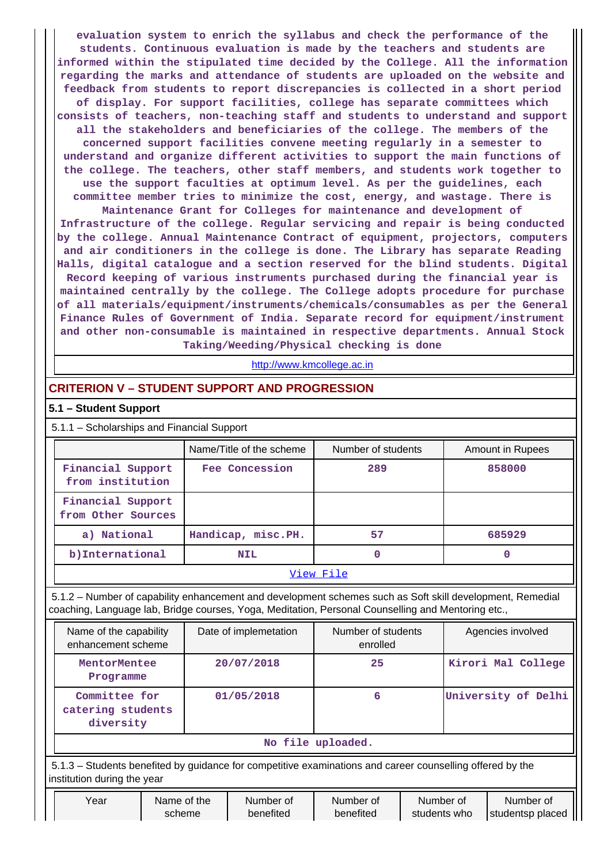**evaluation system to enrich the syllabus and check the performance of the students. Continuous evaluation is made by the teachers and students are informed within the stipulated time decided by the College. All the information regarding the marks and attendance of students are uploaded on the website and feedback from students to report discrepancies is collected in a short period of display. For support facilities, college has separate committees which consists of teachers, non-teaching staff and students to understand and support all the stakeholders and beneficiaries of the college. The members of the concerned support facilities convene meeting regularly in a semester to understand and organize different activities to support the main functions of the college. The teachers, other staff members, and students work together to use the support faculties at optimum level. As per the guidelines, each committee member tries to minimize the cost, energy, and wastage. There is Maintenance Grant for Colleges for maintenance and development of Infrastructure of the college. Regular servicing and repair is being conducted by the college. Annual Maintenance Contract of equipment, projectors, computers and air conditioners in the college is done. The Library has separate Reading Halls, digital catalogue and a section reserved for the blind students. Digital Record keeping of various instruments purchased during the financial year is maintained centrally by the college. The College adopts procedure for purchase of all materials/equipment/instruments/chemicals/consumables as per the General Finance Rules of Government of India. Separate record for equipment/instrument and other non-consumable is maintained in respective departments. Annual Stock**

**Taking/Weeding/Physical checking is done**

http://www.kmcollege.ac.in

# **CRITERION V – STUDENT SUPPORT AND PROGRESSION**

#### **5.1 – Student Support**

5.1.1 – Scholarships and Financial Support

|                                         | Name/Title of the scheme | Number of students | Amount in Rupees |  |  |  |
|-----------------------------------------|--------------------------|--------------------|------------------|--|--|--|
| Financial Support<br>from institution   | Fee Concession           | 289                | 858000           |  |  |  |
| Financial Support<br>from Other Sources |                          |                    |                  |  |  |  |
| a) National                             | Handicap, misc.PH.       | 57                 | 685929           |  |  |  |
| b) International                        | <b>NIL</b>               | 0                  |                  |  |  |  |
| View File                               |                          |                    |                  |  |  |  |

 5.1.2 – Number of capability enhancement and development schemes such as Soft skill development, Remedial coaching, Language lab, Bridge courses, Yoga, Meditation, Personal Counselling and Mentoring etc.,

| Name of the capability<br>enhancement scheme    | Date of implemetation | Number of students<br>enrolled | Agencies involved   |  |  |
|-------------------------------------------------|-----------------------|--------------------------------|---------------------|--|--|
| MentorMentee<br>Programme                       | 20/07/2018            | 25                             | Kirori Mal College  |  |  |
| Committee for<br>catering students<br>diversity | 01/05/2018            | 6                              | University of Delhi |  |  |
| No file uploaded.                               |                       |                                |                     |  |  |

 5.1.3 – Students benefited by guidance for competitive examinations and career counselling offered by the institution during the year

| Year | Name of the | Number of | Number of | Number of    | Number of           |
|------|-------------|-----------|-----------|--------------|---------------------|
|      | scheme      | benefited | benefited | students who | studentsp placed II |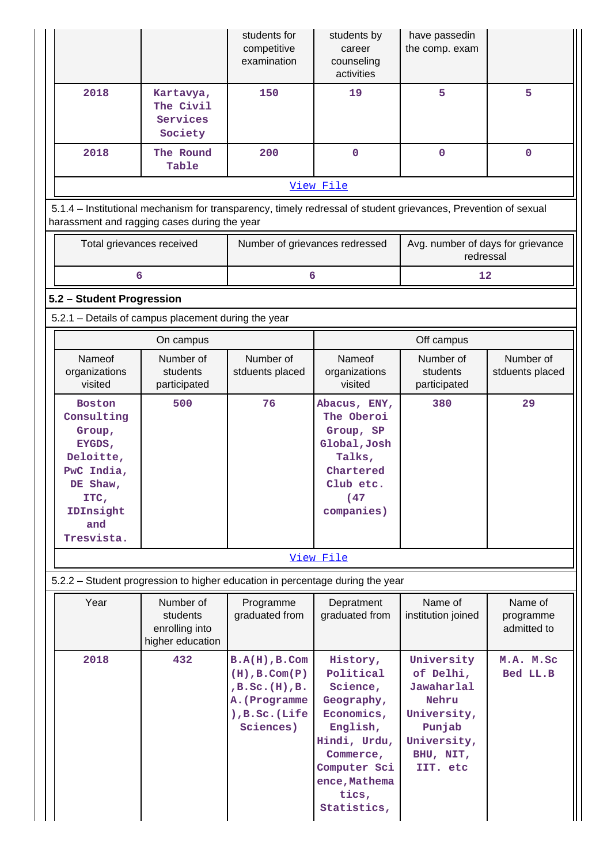|                                                                                                                                                                |                                                             | students for<br>competitive<br>examination                                                                           | students by<br>career<br>counseling<br>activities                                                                                                               | have passedin<br>the comp. exam                                                                                 |                                     |
|----------------------------------------------------------------------------------------------------------------------------------------------------------------|-------------------------------------------------------------|----------------------------------------------------------------------------------------------------------------------|-----------------------------------------------------------------------------------------------------------------------------------------------------------------|-----------------------------------------------------------------------------------------------------------------|-------------------------------------|
| 2018                                                                                                                                                           | Kartavya,<br>The Civil<br>Services<br>Society               | 150                                                                                                                  | 19                                                                                                                                                              | 5                                                                                                               | 5                                   |
| 2018                                                                                                                                                           | The Round<br>Table                                          | 200                                                                                                                  | $\mathbf 0$                                                                                                                                                     | $\mathbf 0$                                                                                                     | $\mathbf 0$                         |
|                                                                                                                                                                |                                                             |                                                                                                                      | View File                                                                                                                                                       |                                                                                                                 |                                     |
| 5.1.4 – Institutional mechanism for transparency, timely redressal of student grievances, Prevention of sexual<br>harassment and ragging cases during the year |                                                             |                                                                                                                      |                                                                                                                                                                 |                                                                                                                 |                                     |
| Total grievances received                                                                                                                                      |                                                             | Number of grievances redressed                                                                                       |                                                                                                                                                                 | Avg. number of days for grievance<br>redressal                                                                  |                                     |
| 6                                                                                                                                                              |                                                             | 6                                                                                                                    |                                                                                                                                                                 | 12                                                                                                              |                                     |
| 5.2 - Student Progression                                                                                                                                      |                                                             |                                                                                                                      |                                                                                                                                                                 |                                                                                                                 |                                     |
| 5.2.1 - Details of campus placement during the year                                                                                                            |                                                             |                                                                                                                      |                                                                                                                                                                 |                                                                                                                 |                                     |
| Nameof                                                                                                                                                         | On campus<br>Number of                                      | Number of                                                                                                            | Nameof                                                                                                                                                          | Off campus<br>Number of                                                                                         | Number of                           |
| organizations<br>visited                                                                                                                                       | students<br>participated                                    | stduents placed                                                                                                      | organizations<br>visited                                                                                                                                        | students<br>participated                                                                                        | stduents placed                     |
| <b>Boston</b><br>Consulting<br>Group,<br>EYGDS,<br>Deloitte,<br>PwC India,<br>DE Shaw,<br>ITC,<br>IDInsight<br>and<br>Tresvista.                               | 500                                                         | 76                                                                                                                   | Abacus, ENY,<br>The Oberoi<br>Group, SP<br>Global, Josh<br>Talks,<br>Chartered<br>Club etc.<br>(47)<br>companies)                                               | 380                                                                                                             | 29                                  |
|                                                                                                                                                                |                                                             |                                                                                                                      | View File                                                                                                                                                       |                                                                                                                 |                                     |
| 5.2.2 - Student progression to higher education in percentage during the year                                                                                  |                                                             |                                                                                                                      |                                                                                                                                                                 |                                                                                                                 |                                     |
| Year                                                                                                                                                           | Number of<br>students<br>enrolling into<br>higher education | Programme<br>graduated from                                                                                          | Depratment<br>graduated from                                                                                                                                    | Name of<br>institution joined                                                                                   | Name of<br>programme<br>admitted to |
| 2018                                                                                                                                                           | 432                                                         | $B.A(H)$ , $B.Com$<br>$(H)$ , B. Com $(P)$<br>$,B.$ Sc. $(H)$ , $B.$<br>A. (Programme<br>), B.Sc. (Life<br>Sciences) | History,<br>Political<br>Science,<br>Geography,<br>Economics,<br>English,<br>Hindi, Urdu,<br>Commerce,<br>Computer Sci<br>ence, Mathema<br>tics,<br>Statistics, | University<br>of Delhi,<br>Jawaharlal<br>Nehru<br>University,<br>Punjab<br>University,<br>BHU, NIT,<br>IIT. etc | M.A. M.Sc<br>Bed LL.B               |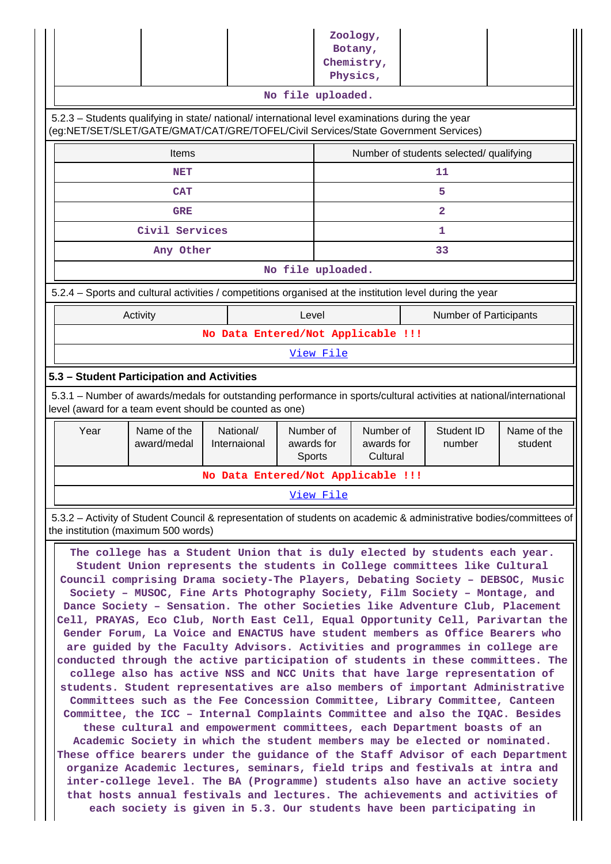|                                                                                                                                                                                |                                                                                                                                                                                                                                          |                                    |                                   | Zoology,<br>Botany,<br>Chemistry,       |                |                               |                        |
|--------------------------------------------------------------------------------------------------------------------------------------------------------------------------------|------------------------------------------------------------------------------------------------------------------------------------------------------------------------------------------------------------------------------------------|------------------------------------|-----------------------------------|-----------------------------------------|----------------|-------------------------------|------------------------|
|                                                                                                                                                                                |                                                                                                                                                                                                                                          |                                    |                                   | Physics,                                |                |                               |                        |
|                                                                                                                                                                                |                                                                                                                                                                                                                                          |                                    | No file uploaded.                 |                                         |                |                               |                        |
|                                                                                                                                                                                | 5.2.3 - Students qualifying in state/ national/ international level examinations during the year<br>(eg:NET/SET/SLET/GATE/GMAT/CAT/GRE/TOFEL/Civil Services/State Government Services)                                                   |                                    |                                   |                                         |                |                               |                        |
|                                                                                                                                                                                | Items                                                                                                                                                                                                                                    |                                    |                                   | Number of students selected/ qualifying |                |                               |                        |
|                                                                                                                                                                                | <b>NET</b>                                                                                                                                                                                                                               |                                    |                                   |                                         | 11             |                               |                        |
|                                                                                                                                                                                | <b>CAT</b>                                                                                                                                                                                                                               |                                    |                                   |                                         | 5              |                               |                        |
|                                                                                                                                                                                | <b>GRE</b>                                                                                                                                                                                                                               |                                    |                                   |                                         | $\overline{2}$ |                               |                        |
|                                                                                                                                                                                | Civil Services                                                                                                                                                                                                                           |                                    |                                   |                                         | 1              |                               |                        |
|                                                                                                                                                                                | Any Other                                                                                                                                                                                                                                |                                    |                                   |                                         | 33             |                               |                        |
|                                                                                                                                                                                |                                                                                                                                                                                                                                          |                                    | No file uploaded.                 |                                         |                |                               |                        |
|                                                                                                                                                                                | 5.2.4 - Sports and cultural activities / competitions organised at the institution level during the year                                                                                                                                 |                                    |                                   |                                         |                |                               |                        |
|                                                                                                                                                                                | Activity                                                                                                                                                                                                                                 |                                    | Level                             |                                         |                | <b>Number of Participants</b> |                        |
|                                                                                                                                                                                |                                                                                                                                                                                                                                          | No Data Entered/Not Applicable !!! |                                   |                                         |                |                               |                        |
|                                                                                                                                                                                |                                                                                                                                                                                                                                          |                                    | View File                         |                                         |                |                               |                        |
|                                                                                                                                                                                | 5.3 - Student Participation and Activities                                                                                                                                                                                               |                                    |                                   |                                         |                |                               |                        |
| 5.3.1 – Number of awards/medals for outstanding performance in sports/cultural activities at national/international<br>level (award for a team event should be counted as one) |                                                                                                                                                                                                                                          |                                    |                                   |                                         |                |                               |                        |
|                                                                                                                                                                                |                                                                                                                                                                                                                                          |                                    |                                   |                                         |                |                               |                        |
| Year                                                                                                                                                                           | Name of the<br>award/medal                                                                                                                                                                                                               | National/<br>Internaional          | Number of<br>awards for<br>Sports | Number of<br>awards for<br>Cultural     |                | Student ID<br>number          | Name of the<br>student |
|                                                                                                                                                                                |                                                                                                                                                                                                                                          | No Data Entered/Not Applicable !!! |                                   |                                         |                |                               |                        |
|                                                                                                                                                                                |                                                                                                                                                                                                                                          |                                    | View File                         |                                         |                |                               |                        |
|                                                                                                                                                                                | 5.3.2 – Activity of Student Council & representation of students on academic & administrative bodies/committees of<br>the institution (maximum 500 words)<br>The college has a Student Union that is duly elected by students each year. |                                    |                                   |                                         |                |                               |                        |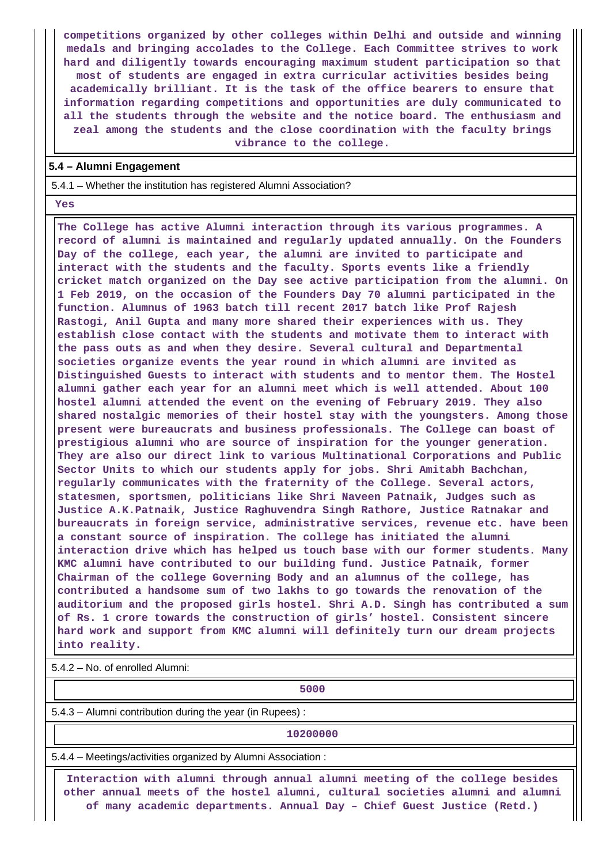**competitions organized by other colleges within Delhi and outside and winning medals and bringing accolades to the College. Each Committee strives to work hard and diligently towards encouraging maximum student participation so that most of students are engaged in extra curricular activities besides being academically brilliant. It is the task of the office bearers to ensure that information regarding competitions and opportunities are duly communicated to all the students through the website and the notice board. The enthusiasm and zeal among the students and the close coordination with the faculty brings vibrance to the college.**

#### **5.4 – Alumni Engagement**

5.4.1 – Whether the institution has registered Alumni Association?

 **Yes**

 **The College has active Alumni interaction through its various programmes. A record of alumni is maintained and regularly updated annually. On the Founders Day of the college, each year, the alumni are invited to participate and interact with the students and the faculty. Sports events like a friendly cricket match organized on the Day see active participation from the alumni. On 1 Feb 2019, on the occasion of the Founders Day 70 alumni participated in the function. Alumnus of 1963 batch till recent 2017 batch like Prof Rajesh Rastogi, Anil Gupta and many more shared their experiences with us. They establish close contact with the students and motivate them to interact with the pass outs as and when they desire. Several cultural and Departmental societies organize events the year round in which alumni are invited as Distinguished Guests to interact with students and to mentor them. The Hostel alumni gather each year for an alumni meet which is well attended. About 100 hostel alumni attended the event on the evening of February 2019. They also shared nostalgic memories of their hostel stay with the youngsters. Among those present were bureaucrats and business professionals. The College can boast of prestigious alumni who are source of inspiration for the younger generation. They are also our direct link to various Multinational Corporations and Public Sector Units to which our students apply for jobs. Shri Amitabh Bachchan, regularly communicates with the fraternity of the College. Several actors, statesmen, sportsmen, politicians like Shri Naveen Patnaik, Judges such as Justice A.K.Patnaik, Justice Raghuvendra Singh Rathore, Justice Ratnakar and bureaucrats in foreign service, administrative services, revenue etc. have been a constant source of inspiration. The college has initiated the alumni interaction drive which has helped us touch base with our former students. Many KMC alumni have contributed to our building fund. Justice Patnaik, former Chairman of the college Governing Body and an alumnus of the college, has contributed a handsome sum of two lakhs to go towards the renovation of the auditorium and the proposed girls hostel. Shri A.D. Singh has contributed a sum of Rs. 1 crore towards the construction of girls' hostel. Consistent sincere hard work and support from KMC alumni will definitely turn our dream projects into reality.**

5.4.2 – No. of enrolled Alumni:

**1** 

5.4.3 – Alumni contribution during the year (in Rupees) :

**10200000**

5.4.4 – Meetings/activities organized by Alumni Association :

 **Interaction with alumni through annual alumni meeting of the college besides other annual meets of the hostel alumni, cultural societies alumni and alumni of many academic departments. Annual Day – Chief Guest Justice (Retd.)**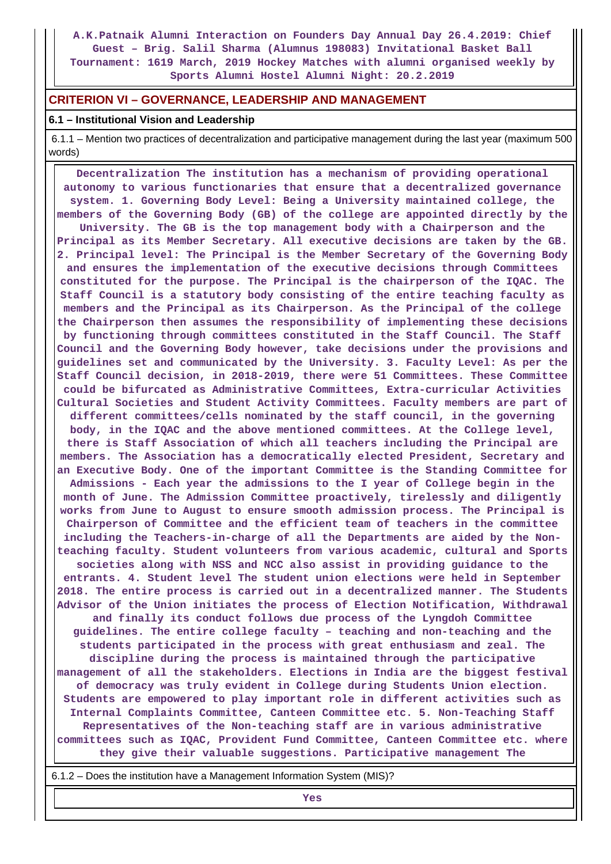**A.K.Patnaik Alumni Interaction on Founders Day Annual Day 26.4.2019: Chief Guest – Brig. Salil Sharma (Alumnus 198083) Invitational Basket Ball Tournament: 1619 March, 2019 Hockey Matches with alumni organised weekly by Sports Alumni Hostel Alumni Night: 20.2.2019**

#### **CRITERION VI – GOVERNANCE, LEADERSHIP AND MANAGEMENT**

#### **6.1 – Institutional Vision and Leadership**

 6.1.1 – Mention two practices of decentralization and participative management during the last year (maximum 500 words)

 **Decentralization The institution has a mechanism of providing operational autonomy to various functionaries that ensure that a decentralized governance system. 1. Governing Body Level: Being a University maintained college, the members of the Governing Body (GB) of the college are appointed directly by the University. The GB is the top management body with a Chairperson and the Principal as its Member Secretary. All executive decisions are taken by the GB. 2. Principal level: The Principal is the Member Secretary of the Governing Body and ensures the implementation of the executive decisions through Committees constituted for the purpose. The Principal is the chairperson of the IQAC. The Staff Council is a statutory body consisting of the entire teaching faculty as members and the Principal as its Chairperson. As the Principal of the college the Chairperson then assumes the responsibility of implementing these decisions by functioning through committees constituted in the Staff Council. The Staff Council and the Governing Body however, take decisions under the provisions and guidelines set and communicated by the University. 3. Faculty Level: As per the Staff Council decision, in 2018-2019, there were 51 Committees. These Committee could be bifurcated as Administrative Committees, Extra-curricular Activities Cultural Societies and Student Activity Committees. Faculty members are part of different committees/cells nominated by the staff council, in the governing body, in the IQAC and the above mentioned committees. At the College level, there is Staff Association of which all teachers including the Principal are members. The Association has a democratically elected President, Secretary and an Executive Body. One of the important Committee is the Standing Committee for Admissions - Each year the admissions to the I year of College begin in the month of June. The Admission Committee proactively, tirelessly and diligently works from June to August to ensure smooth admission process. The Principal is Chairperson of Committee and the efficient team of teachers in the committee including the Teachers-in-charge of all the Departments are aided by the Nonteaching faculty. Student volunteers from various academic, cultural and Sports societies along with NSS and NCC also assist in providing guidance to the entrants. 4. Student level The student union elections were held in September 2018. The entire process is carried out in a decentralized manner. The Students Advisor of the Union initiates the process of Election Notification, Withdrawal and finally its conduct follows due process of the Lyngdoh Committee guidelines. The entire college faculty – teaching and non-teaching and the students participated in the process with great enthusiasm and zeal. The discipline during the process is maintained through the participative management of all the stakeholders. Elections in India are the biggest festival of democracy was truly evident in College during Students Union election. Students are empowered to play important role in different activities such as Internal Complaints Committee, Canteen Committee etc. 5. Non-Teaching Staff Representatives of the Non-teaching staff are in various administrative committees such as IQAC, Provident Fund Committee, Canteen Committee etc. where they give their valuable suggestions. Participative management The**

6.1.2 – Does the institution have a Management Information System (MIS)?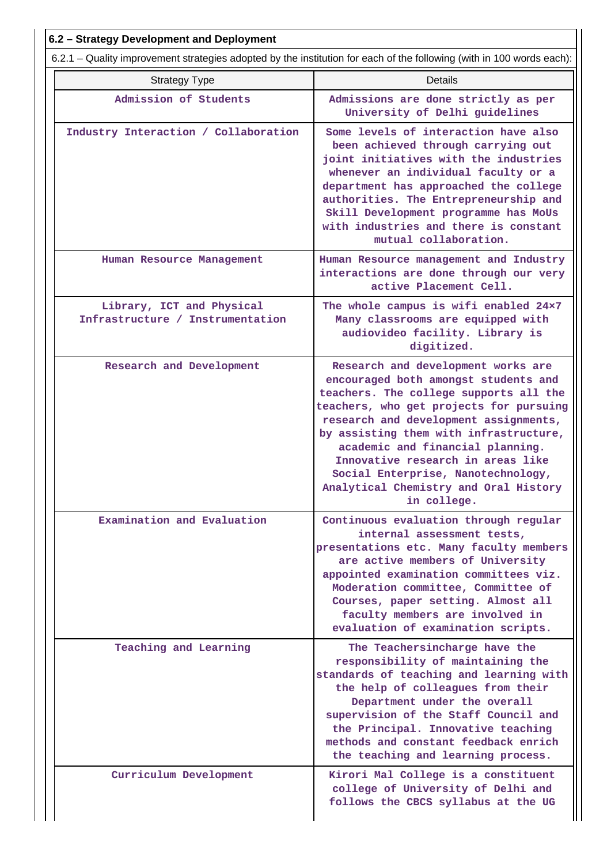| 6.2 - Strategy Development and Deployment                                                                             |                                                                                                                                                                                                                                                                                                                                                                                                                           |  |  |  |  |  |  |
|-----------------------------------------------------------------------------------------------------------------------|---------------------------------------------------------------------------------------------------------------------------------------------------------------------------------------------------------------------------------------------------------------------------------------------------------------------------------------------------------------------------------------------------------------------------|--|--|--|--|--|--|
| 6.2.1 – Quality improvement strategies adopted by the institution for each of the following (with in 100 words each): |                                                                                                                                                                                                                                                                                                                                                                                                                           |  |  |  |  |  |  |
| <b>Strategy Type</b>                                                                                                  | <b>Details</b>                                                                                                                                                                                                                                                                                                                                                                                                            |  |  |  |  |  |  |
| Admission of Students                                                                                                 | Admissions are done strictly as per<br>University of Delhi guidelines                                                                                                                                                                                                                                                                                                                                                     |  |  |  |  |  |  |
| Industry Interaction / Collaboration                                                                                  | Some levels of interaction have also<br>been achieved through carrying out<br>joint initiatives with the industries<br>whenever an individual faculty or a<br>department has approached the college<br>authorities. The Entrepreneurship and<br>Skill Development programme has MoUs<br>with industries and there is constant<br>mutual collaboration.                                                                    |  |  |  |  |  |  |
| Human Resource Management                                                                                             | Human Resource management and Industry<br>interactions are done through our very<br>active Placement Cell.                                                                                                                                                                                                                                                                                                                |  |  |  |  |  |  |
| Library, ICT and Physical<br>Infrastructure / Instrumentation                                                         | The whole campus is wifi enabled 24x7<br>Many classrooms are equipped with<br>audiovideo facility. Library is<br>digitized.                                                                                                                                                                                                                                                                                               |  |  |  |  |  |  |
| Research and Development                                                                                              | Research and development works are<br>encouraged both amongst students and<br>teachers. The college supports all the<br>teachers, who get projects for pursuing<br>research and development assignments,<br>by assisting them with infrastructure,<br>academic and financial planning.<br>Innovative research in areas like<br>Social Enterprise, Nanotechnology,<br>Analytical Chemistry and Oral History<br>in college. |  |  |  |  |  |  |
| Examination and Evaluation                                                                                            | Continuous evaluation through regular<br>internal assessment tests,<br>presentations etc. Many faculty members<br>are active members of University<br>appointed examination committees viz.<br>Moderation committee, Committee of<br>Courses, paper setting. Almost all<br>faculty members are involved in<br>evaluation of examination scripts.                                                                          |  |  |  |  |  |  |
| Teaching and Learning                                                                                                 | The Teachersincharge have the<br>responsibility of maintaining the<br>standards of teaching and learning with<br>the help of colleagues from their<br>Department under the overall<br>supervision of the Staff Council and<br>the Principal. Innovative teaching<br>methods and constant feedback enrich<br>the teaching and learning process.                                                                            |  |  |  |  |  |  |
| Curriculum Development                                                                                                | Kirori Mal College is a constituent<br>college of University of Delhi and<br>follows the CBCS syllabus at the UG                                                                                                                                                                                                                                                                                                          |  |  |  |  |  |  |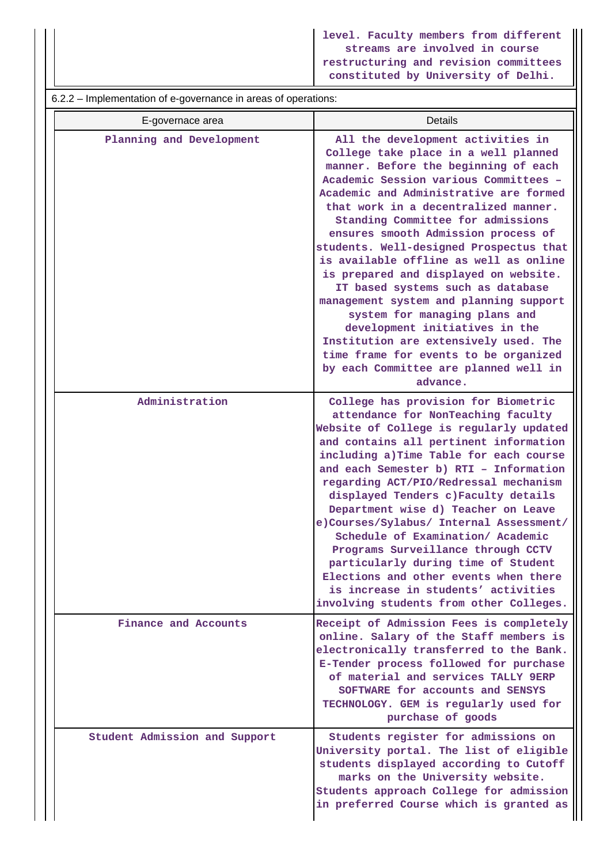**level. Faculty members from different streams are involved in course restructuring and revision committees constituted by University of Delhi.**

6.2.2 – Implementation of e-governance in areas of operations:

| E-governace area              | Details                                                                                                                                                                                                                                                                                                                                                                                                                                                                                                                                                                                                                                                                                                                                         |
|-------------------------------|-------------------------------------------------------------------------------------------------------------------------------------------------------------------------------------------------------------------------------------------------------------------------------------------------------------------------------------------------------------------------------------------------------------------------------------------------------------------------------------------------------------------------------------------------------------------------------------------------------------------------------------------------------------------------------------------------------------------------------------------------|
| Planning and Development      | All the development activities in<br>College take place in a well planned<br>manner. Before the beginning of each<br>Academic Session various Committees -<br>Academic and Administrative are formed<br>that work in a decentralized manner.<br>Standing Committee for admissions<br>ensures smooth Admission process of<br>students. Well-designed Prospectus that<br>is available offline as well as online<br>is prepared and displayed on website.<br>IT based systems such as database<br>management system and planning support<br>system for managing plans and<br>development initiatives in the<br>Institution are extensively used. The<br>time frame for events to be organized<br>by each Committee are planned well in<br>advance. |
| Administration                | College has provision for Biometric<br>attendance for NonTeaching faculty<br>Website of College is regularly updated<br>and contains all pertinent information<br>including a) Time Table for each course<br>and each Semester b) RTI - Information<br>regarding ACT/PIO/Redressal mechanism<br>displayed Tenders c)Faculty details<br>Department wise d) Teacher on Leave<br>e)Courses/Sylabus/ Internal Assessment/<br>Schedule of Examination/ Academic<br>Programs Surveillance through CCTV<br>particularly during time of Student<br>Elections and other events when there<br>is increase in students' activities<br>involving students from other Colleges.                                                                              |
| Finance and Accounts          | Receipt of Admission Fees is completely<br>online. Salary of the Staff members is<br>electronically transferred to the Bank.<br>E-Tender process followed for purchase<br>of material and services TALLY 9ERP<br>SOFTWARE for accounts and SENSYS<br>TECHNOLOGY. GEM is regularly used for<br>purchase of goods                                                                                                                                                                                                                                                                                                                                                                                                                                 |
| Student Admission and Support | Students register for admissions on<br>University portal. The list of eligible<br>students displayed according to Cutoff<br>marks on the University website.<br>Students approach College for admission<br>in preferred Course which is granted as                                                                                                                                                                                                                                                                                                                                                                                                                                                                                              |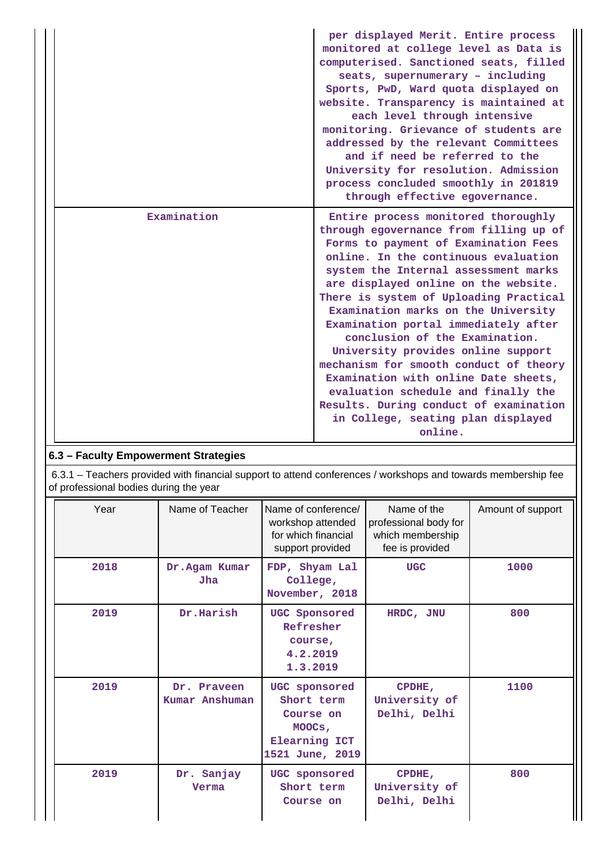|             | per displayed Merit. Entire process<br>monitored at college level as Data is<br>computerised. Sanctioned seats, filled<br>seats, supernumerary - including<br>Sports, PwD, Ward quota displayed on<br>website. Transparency is maintained at<br>each level through intensive<br>monitoring. Grievance of students are<br>addressed by the relevant Committees<br>and if need be referred to the<br>University for resolution. Admission<br>process concluded smoothly in 201819<br>through effective egovernance.                                                                                                                                                  |
|-------------|--------------------------------------------------------------------------------------------------------------------------------------------------------------------------------------------------------------------------------------------------------------------------------------------------------------------------------------------------------------------------------------------------------------------------------------------------------------------------------------------------------------------------------------------------------------------------------------------------------------------------------------------------------------------|
| Examination | Entire process monitored thoroughly<br>through egovernance from filling up of<br>Forms to payment of Examination Fees<br>online. In the continuous evaluation<br>system the Internal assessment marks<br>are displayed online on the website.<br>There is system of Uploading Practical<br>Examination marks on the University<br>Examination portal immediately after<br>conclusion of the Examination.<br>University provides online support<br>mechanism for smooth conduct of theory<br>Examination with online Date sheets,<br>evaluation schedule and finally the<br>Results. During conduct of examination<br>in College, seating plan displayed<br>online. |

# **6.3 – Faculty Empowerment Strategies**

 6.3.1 – Teachers provided with financial support to attend conferences / workshops and towards membership fee of professional bodies during the year

| Year | Name of Teacher               | Name of conference/<br>workshop attended<br>for which financial<br>support provided    | Name of the<br>professional body for<br>which membership<br>fee is provided | Amount of support |
|------|-------------------------------|----------------------------------------------------------------------------------------|-----------------------------------------------------------------------------|-------------------|
| 2018 | Dr.Agam Kumar<br>Jha          | FDP, Shyam Lal<br>College,<br>November, 2018                                           | <b>UGC</b>                                                                  | 1000              |
| 2019 | Dr.Harish                     | UGC Sponsored<br>Refresher<br>course,<br>4.2.2019<br>1.3.2019                          | HRDC, JNU                                                                   | 800               |
| 2019 | Dr. Praveen<br>Kumar Anshuman | UGC sponsored<br>Short term<br>Course on<br>MOOCs,<br>Elearning ICT<br>1521 June, 2019 | CPDHE,<br>University of<br>Delhi, Delhi                                     | 1100              |
| 2019 | Dr. Sanjay<br>Verma           | UGC sponsored<br>Short term<br>Course on                                               | CPDHE,<br>University of<br>Delhi, Delhi                                     | 800               |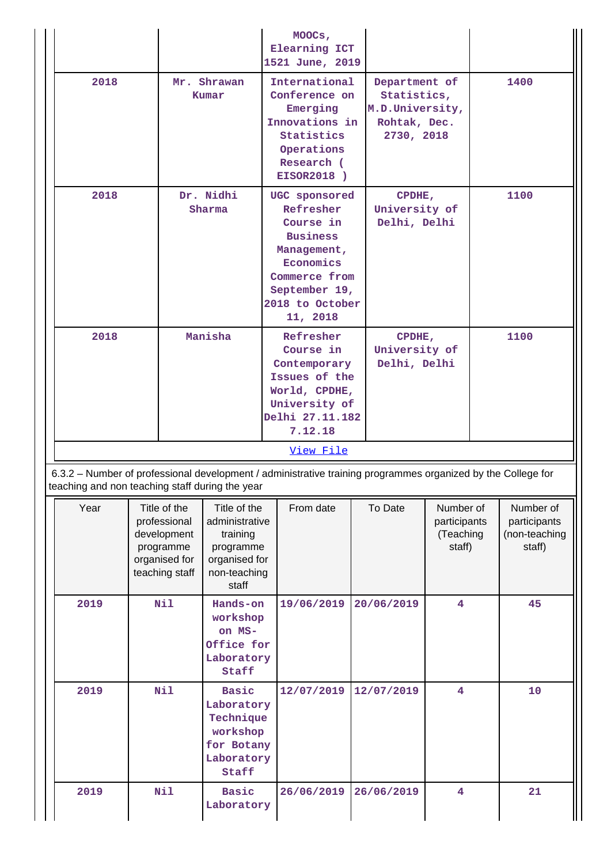|                                                 |                     |                                                                                             |                                                                                                                       | MOOCs,<br>Elearning ICT<br>1521 June, 2019                                                                                                                                                         |                                                                                                                               |                              |                                                  |      |                                                      |
|-------------------------------------------------|---------------------|---------------------------------------------------------------------------------------------|-----------------------------------------------------------------------------------------------------------------------|----------------------------------------------------------------------------------------------------------------------------------------------------------------------------------------------------|-------------------------------------------------------------------------------------------------------------------------------|------------------------------|--------------------------------------------------|------|------------------------------------------------------|
| 2018<br>Mr. Shrawan<br>Kumar                    |                     |                                                                                             | International<br>Conference on<br>Emerging<br>Innovations in<br>Statistics<br>Operations<br>Research (<br>EISOR2018 ) |                                                                                                                                                                                                    | Department of<br>Statistics,<br>M.D.University,<br>Rohtak, Dec.<br>2730, 2018                                                 |                              |                                                  | 1400 |                                                      |
| 2018                                            | Dr. Nidhi<br>Sharma |                                                                                             |                                                                                                                       | UGC sponsored<br>CPDHE,<br>Refresher<br>University of<br>Course in<br>Delhi, Delhi<br><b>Business</b><br>Management,<br>Economics<br>Commerce from<br>September 19,<br>2018 to October<br>11, 2018 |                                                                                                                               |                              | 1100                                             |      |                                                      |
| 2018                                            |                     |                                                                                             | Manisha                                                                                                               | Refresher<br>Course in<br>7.12.18                                                                                                                                                                  | CPDHE,<br>University of<br>Delhi, Delhi<br>Contemporary<br>Issues of the<br>World, CPDHE,<br>University of<br>Delhi 27.11.182 |                              |                                                  | 1100 |                                                      |
|                                                 |                     |                                                                                             |                                                                                                                       | View File                                                                                                                                                                                          |                                                                                                                               |                              |                                                  |      |                                                      |
| teaching and non teaching staff during the year |                     |                                                                                             |                                                                                                                       | 6.3.2 - Number of professional development / administrative training programmes organized by the College for                                                                                       |                                                                                                                               |                              |                                                  |      |                                                      |
| Year                                            |                     | Title of the<br>professional<br>development<br>programme<br>organised for<br>teaching staff | Title of the<br>administrative<br>training<br>programme<br>organised for<br>non-teaching<br>staff                     | From date                                                                                                                                                                                          |                                                                                                                               | To Date                      | Number of<br>participants<br>(Teaching<br>staff) |      | Number of<br>participants<br>(non-teaching<br>staff) |
| 2019                                            | Nil                 |                                                                                             | Hands-on<br>workshop<br>on MS-<br>Office for<br>Laboratory<br>Staff                                                   | 19/06/2019                                                                                                                                                                                         |                                                                                                                               | 20/06/2019<br>$\overline{4}$ |                                                  |      | 45                                                   |
| 2019                                            | Nil                 |                                                                                             | <b>Basic</b><br>Laboratory<br>Technique<br>workshop<br>for Botany<br>Laboratory<br>Staff                              | 12/07/2019                                                                                                                                                                                         |                                                                                                                               | 12/07/2019                   | $\overline{4}$                                   |      | 10                                                   |
| 2019                                            |                     | Nil                                                                                         | Basic<br>Laboratory                                                                                                   | 26/06/2019                                                                                                                                                                                         |                                                                                                                               | 26/06/2019                   | $\overline{\mathbf{4}}$                          |      | 21                                                   |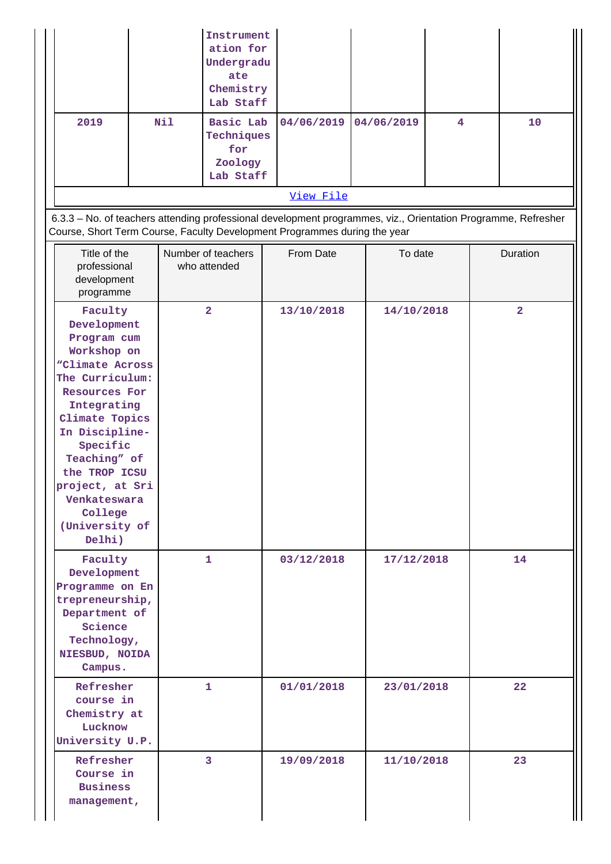|                                                                                                                                                                                                                                                                                                            |     | Instrument<br>ation for<br>Undergradu<br>ate<br>Chemistry<br>Lab Staff |            |            |   |                         |
|------------------------------------------------------------------------------------------------------------------------------------------------------------------------------------------------------------------------------------------------------------------------------------------------------------|-----|------------------------------------------------------------------------|------------|------------|---|-------------------------|
| 2019                                                                                                                                                                                                                                                                                                       | Nil | Basic Lab<br>Techniques<br>for<br>Zoology<br>Lab Staff                 | 04/06/2019 | 04/06/2019 | 4 | 10                      |
|                                                                                                                                                                                                                                                                                                            |     |                                                                        | View File  |            |   |                         |
| 6.3.3 - No. of teachers attending professional development programmes, viz., Orientation Programme, Refresher<br>Course, Short Term Course, Faculty Development Programmes during the year                                                                                                                 |     |                                                                        |            |            |   |                         |
| Title of the<br>professional<br>development<br>programme                                                                                                                                                                                                                                                   |     | Number of teachers<br>who attended                                     | From Date  | To date    |   | Duration                |
| Faculty<br>Development<br>Program cum<br>Workshop on<br><i><b>"Climate Across</b></i><br>The Curriculum:<br><b>Resources For</b><br>Integrating<br>Climate Topics<br>In Discipline-<br>Specific<br>Teaching" of<br>the TROP ICSU<br>project, at Sri<br>Venkateswara<br>College<br>(University of<br>Delhi) |     | $\overline{\mathbf{2}}$                                                | 13/10/2018 | 14/10/2018 |   | $\overline{\mathbf{2}}$ |
| Faculty<br>Development<br>Programme on En                                                                                                                                                                                                                                                                  |     | 1                                                                      | 03/12/2018 | 17/12/2018 |   | 14                      |

**1 01/01/2018 23/01/2018 22**

**3 19/09/2018 11/10/2018 23**

**trepreneurship, Department of Science Technology, NIESBUD, NOIDA Campus.**

**Refresher course in Chemistry at Lucknow University U.P.**

> **Refresher Course in Business management,**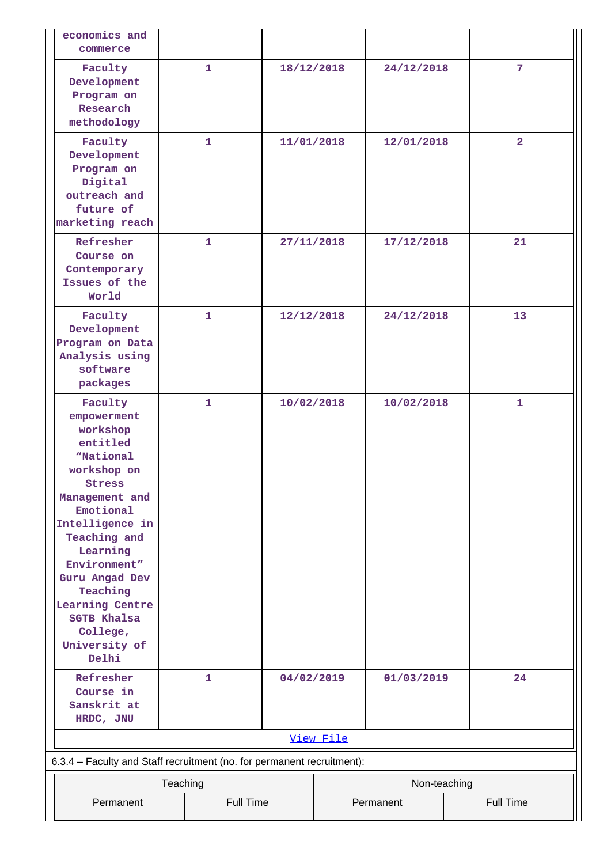| economics and<br>commerce                                                                                                                                                                                                                                                                       |          |              |            |           |              |                  |
|-------------------------------------------------------------------------------------------------------------------------------------------------------------------------------------------------------------------------------------------------------------------------------------------------|----------|--------------|------------|-----------|--------------|------------------|
| Faculty<br>Development<br>Program on<br>Research<br>methodology                                                                                                                                                                                                                                 |          | 1            | 18/12/2018 |           | 24/12/2018   | 7                |
| Faculty<br>Development<br>Program on<br>Digital<br>outreach and<br>future of<br>marketing reach                                                                                                                                                                                                 |          | $\mathbf{1}$ | 11/01/2018 |           | 12/01/2018   | $\overline{2}$   |
| Refresher<br>Course on<br>Contemporary<br>Issues of the<br>World                                                                                                                                                                                                                                |          | $\mathbf{1}$ | 27/11/2018 |           | 17/12/2018   | 21               |
| Faculty<br>Development<br>Program on Data<br>Analysis using<br>software<br>packages                                                                                                                                                                                                             |          | $\mathbf{1}$ | 12/12/2018 |           | 24/12/2018   | 13               |
| Faculty<br>empowerment<br>workshop<br>entitled<br>"National<br>workshop on<br>Stress<br>Management and<br>Emotional<br>Intelligence in<br>Teaching and<br>Learning<br>Environment"<br>Guru Angad Dev<br>Teaching<br>Learning Centre<br><b>SGTB Khalsa</b><br>College,<br>University of<br>Delhi |          | 1            | 10/02/2018 |           | 10/02/2018   | 1                |
| Refresher<br>Course in<br>Sanskrit at<br>HRDC, JNU                                                                                                                                                                                                                                              |          | 1            | 04/02/2019 |           | 01/03/2019   | 24               |
|                                                                                                                                                                                                                                                                                                 |          |              |            | View File |              |                  |
| 6.3.4 - Faculty and Staff recruitment (no. for permanent recruitment):                                                                                                                                                                                                                          |          |              |            |           |              |                  |
|                                                                                                                                                                                                                                                                                                 | Teaching |              |            |           | Non-teaching |                  |
| Permanent<br><b>Full Time</b>                                                                                                                                                                                                                                                                   |          |              |            |           | Permanent    | <b>Full Time</b> |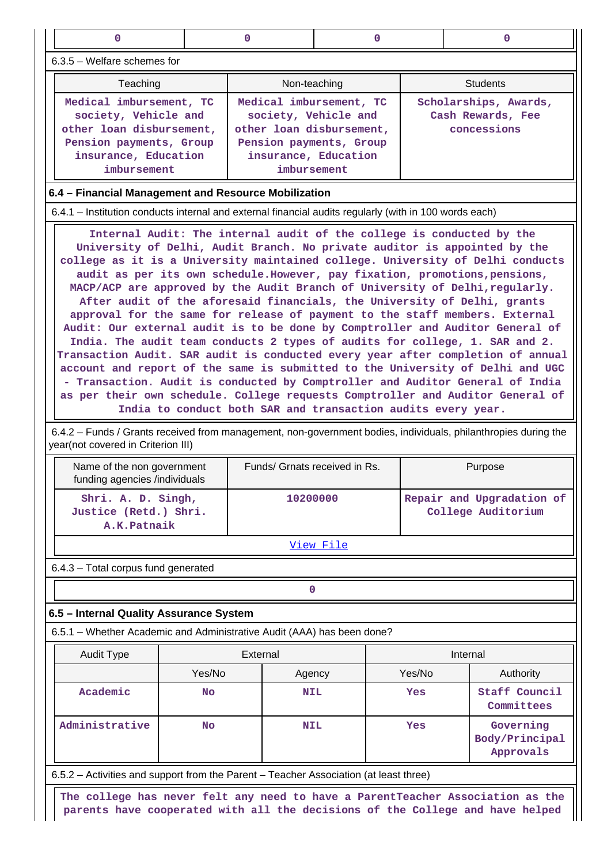| $\mathbf 0$                                                                                                                                                                                                                                                                                                                                                                                                                                                                                                                                                                                                                                                                                                                                                                                                                                                                                                                                                                                                                                                                                                                                                                                                                                              |        | 0                                                                                             | $\Omega$<br>0                                |                                                           |                                                                                                                                                                 |  |  |  |  |
|----------------------------------------------------------------------------------------------------------------------------------------------------------------------------------------------------------------------------------------------------------------------------------------------------------------------------------------------------------------------------------------------------------------------------------------------------------------------------------------------------------------------------------------------------------------------------------------------------------------------------------------------------------------------------------------------------------------------------------------------------------------------------------------------------------------------------------------------------------------------------------------------------------------------------------------------------------------------------------------------------------------------------------------------------------------------------------------------------------------------------------------------------------------------------------------------------------------------------------------------------------|--------|-----------------------------------------------------------------------------------------------|----------------------------------------------|-----------------------------------------------------------|-----------------------------------------------------------------------------------------------------------------------------------------------------------------|--|--|--|--|
| $6.3.5$ – Welfare schemes for                                                                                                                                                                                                                                                                                                                                                                                                                                                                                                                                                                                                                                                                                                                                                                                                                                                                                                                                                                                                                                                                                                                                                                                                                            |        |                                                                                               |                                              |                                                           |                                                                                                                                                                 |  |  |  |  |
| Non-teaching<br><b>Students</b><br>Teaching                                                                                                                                                                                                                                                                                                                                                                                                                                                                                                                                                                                                                                                                                                                                                                                                                                                                                                                                                                                                                                                                                                                                                                                                              |        |                                                                                               |                                              |                                                           |                                                                                                                                                                 |  |  |  |  |
| Medical imbursement, TC<br>society, Vehicle and<br>other loan disbursement,<br>Pension payments, Group<br>insurance, Education<br>imbursement                                                                                                                                                                                                                                                                                                                                                                                                                                                                                                                                                                                                                                                                                                                                                                                                                                                                                                                                                                                                                                                                                                            |        | Medical imbursement, TC<br>other loan disbursement,<br>Pension payments, Group<br>imbursement | society, Vehicle and<br>insurance, Education | Scholarships, Awards,<br>Cash Rewards, Fee<br>concessions |                                                                                                                                                                 |  |  |  |  |
| 6.4 - Financial Management and Resource Mobilization                                                                                                                                                                                                                                                                                                                                                                                                                                                                                                                                                                                                                                                                                                                                                                                                                                                                                                                                                                                                                                                                                                                                                                                                     |        |                                                                                               |                                              |                                                           |                                                                                                                                                                 |  |  |  |  |
| 6.4.1 – Institution conducts internal and external financial audits regularly (with in 100 words each)                                                                                                                                                                                                                                                                                                                                                                                                                                                                                                                                                                                                                                                                                                                                                                                                                                                                                                                                                                                                                                                                                                                                                   |        |                                                                                               |                                              |                                                           |                                                                                                                                                                 |  |  |  |  |
| Internal Audit: The internal audit of the college is conducted by the<br>University of Delhi, Audit Branch. No private auditor is appointed by the<br>college as it is a University maintained college. University of Delhi conducts<br>audit as per its own schedule. However, pay fixation, promotions, pensions,<br>MACP/ACP are approved by the Audit Branch of University of Delhi, regularly.<br>After audit of the aforesaid financials, the University of Delhi, grants<br>approval for the same for release of payment to the staff members. External<br>Audit: Our external audit is to be done by Comptroller and Auditor General of<br>India. The audit team conducts 2 types of audits for college, 1. SAR and 2.<br>Transaction Audit. SAR audit is conducted every year after completion of annual<br>account and report of the same is submitted to the University of Delhi and UGC<br>- Transaction. Audit is conducted by Comptroller and Auditor General of India<br>as per their own schedule. College requests Comptroller and Auditor General of<br>India to conduct both SAR and transaction audits every year.<br>6.4.2 – Funds / Grants received from management, non-government bodies, individuals, philanthropies during the |        |                                                                                               |                                              |                                                           |                                                                                                                                                                 |  |  |  |  |
| year(not covered in Criterion III)<br>Name of the non government                                                                                                                                                                                                                                                                                                                                                                                                                                                                                                                                                                                                                                                                                                                                                                                                                                                                                                                                                                                                                                                                                                                                                                                         |        | Funds/ Grnats received in Rs.                                                                 |                                              |                                                           | Purpose                                                                                                                                                         |  |  |  |  |
| funding agencies /individuals<br>Shri. A. D. Singh,<br>Justice (Retd.) Shri.<br>A.K.Patnaik                                                                                                                                                                                                                                                                                                                                                                                                                                                                                                                                                                                                                                                                                                                                                                                                                                                                                                                                                                                                                                                                                                                                                              |        | 10200000                                                                                      |                                              |                                                           | Repair and Upgradation of<br>College Auditorium                                                                                                                 |  |  |  |  |
|                                                                                                                                                                                                                                                                                                                                                                                                                                                                                                                                                                                                                                                                                                                                                                                                                                                                                                                                                                                                                                                                                                                                                                                                                                                          |        |                                                                                               | View File                                    |                                                           |                                                                                                                                                                 |  |  |  |  |
| 6.4.3 - Total corpus fund generated                                                                                                                                                                                                                                                                                                                                                                                                                                                                                                                                                                                                                                                                                                                                                                                                                                                                                                                                                                                                                                                                                                                                                                                                                      |        |                                                                                               |                                              |                                                           |                                                                                                                                                                 |  |  |  |  |
|                                                                                                                                                                                                                                                                                                                                                                                                                                                                                                                                                                                                                                                                                                                                                                                                                                                                                                                                                                                                                                                                                                                                                                                                                                                          |        | 0                                                                                             |                                              |                                                           |                                                                                                                                                                 |  |  |  |  |
| 6.5 - Internal Quality Assurance System                                                                                                                                                                                                                                                                                                                                                                                                                                                                                                                                                                                                                                                                                                                                                                                                                                                                                                                                                                                                                                                                                                                                                                                                                  |        |                                                                                               |                                              |                                                           |                                                                                                                                                                 |  |  |  |  |
| 6.5.1 – Whether Academic and Administrative Audit (AAA) has been done?                                                                                                                                                                                                                                                                                                                                                                                                                                                                                                                                                                                                                                                                                                                                                                                                                                                                                                                                                                                                                                                                                                                                                                                   |        |                                                                                               |                                              |                                                           |                                                                                                                                                                 |  |  |  |  |
| <b>Audit Type</b>                                                                                                                                                                                                                                                                                                                                                                                                                                                                                                                                                                                                                                                                                                                                                                                                                                                                                                                                                                                                                                                                                                                                                                                                                                        |        | External                                                                                      |                                              |                                                           | Internal                                                                                                                                                        |  |  |  |  |
|                                                                                                                                                                                                                                                                                                                                                                                                                                                                                                                                                                                                                                                                                                                                                                                                                                                                                                                                                                                                                                                                                                                                                                                                                                                          | Yes/No | Agency                                                                                        |                                              | Yes/No                                                    | Authority                                                                                                                                                       |  |  |  |  |
| Academic                                                                                                                                                                                                                                                                                                                                                                                                                                                                                                                                                                                                                                                                                                                                                                                                                                                                                                                                                                                                                                                                                                                                                                                                                                                 | No     | <b>NIL</b>                                                                                    |                                              | Yes                                                       | Staff Council<br>Committees                                                                                                                                     |  |  |  |  |
| Administrative<br>Yes<br>Governing<br>No<br><b>NIL</b><br>Body/Principal<br>Approvals                                                                                                                                                                                                                                                                                                                                                                                                                                                                                                                                                                                                                                                                                                                                                                                                                                                                                                                                                                                                                                                                                                                                                                    |        |                                                                                               |                                              |                                                           |                                                                                                                                                                 |  |  |  |  |
| 6.5.2 – Activities and support from the Parent – Teacher Association (at least three)                                                                                                                                                                                                                                                                                                                                                                                                                                                                                                                                                                                                                                                                                                                                                                                                                                                                                                                                                                                                                                                                                                                                                                    |        |                                                                                               |                                              |                                                           |                                                                                                                                                                 |  |  |  |  |
|                                                                                                                                                                                                                                                                                                                                                                                                                                                                                                                                                                                                                                                                                                                                                                                                                                                                                                                                                                                                                                                                                                                                                                                                                                                          |        |                                                                                               |                                              |                                                           | The college has never felt any need to have a ParentTeacher Association as the<br>parents have cooperated with all the decisions of the College and have helped |  |  |  |  |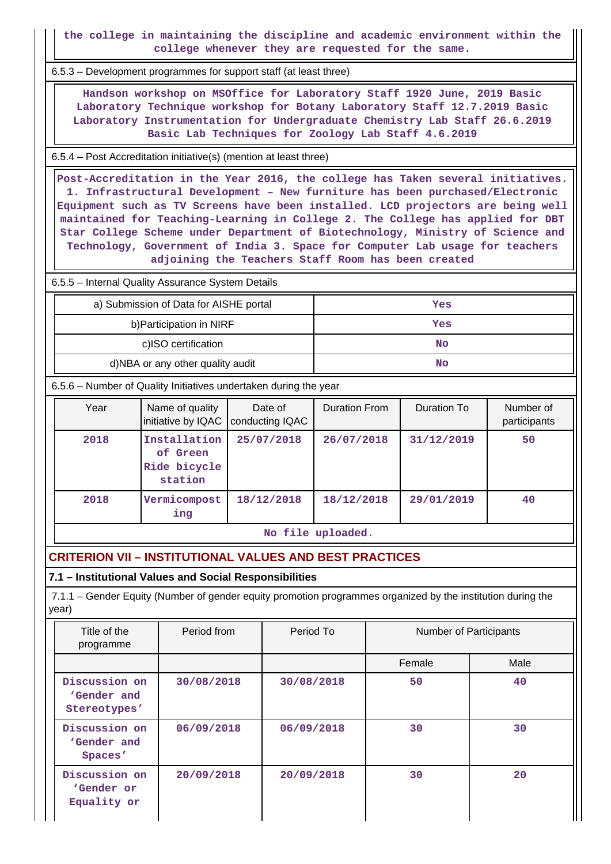**the college in maintaining the discipline and academic environment within the college whenever they are requested for the same.**

6.5.3 – Development programmes for support staff (at least three)

 **Handson workshop on MSOffice for Laboratory Staff 1920 June, 2019 Basic Laboratory Technique workshop for Botany Laboratory Staff 12.7.2019 Basic Laboratory Instrumentation for Undergraduate Chemistry Lab Staff 26.6.2019 Basic Lab Techniques for Zoology Lab Staff 4.6.2019**

6.5.4 – Post Accreditation initiative(s) (mention at least three)

 **Post-Accreditation in the Year 2016, the college has Taken several initiatives. 1. Infrastructural Development – New furniture has been purchased/Electronic Equipment such as TV Screens have been installed. LCD projectors are being well maintained for Teaching-Learning in College 2. The College has applied for DBT Star College Scheme under Department of Biotechnology, Ministry of Science and Technology, Government of India 3. Space for Computer Lab usage for teachers adjoining the Teachers Staff Room has been created**

## 6.5.5 – Internal Quality Assurance System Details

| a) Submission of Data for AISHE portal | Yes |
|----------------------------------------|-----|
| b) Participation in NIRF               | Yes |
| c)ISO certification                    | No  |
| d)NBA or any other quality audit       | No  |

6.5.6 – Number of Quality Initiatives undertaken during the year

| Year | Name of quality<br>initiative by IQAC               | Date of<br>conducting IQAC | <b>Duration From</b> | Duration To | Number of<br>participants |
|------|-----------------------------------------------------|----------------------------|----------------------|-------------|---------------------------|
| 2018 | Installation<br>of Green<br>Ride bicycle<br>station | 25/07/2018                 | 26/07/2018           | 31/12/2019  | 50                        |
| 2018 | Vermicompost<br>ing                                 | 18/12/2018                 | 18/12/2018           | 29/01/2019  | 40                        |

**No file uploaded.**

# **CRITERION VII – INSTITUTIONAL VALUES AND BEST PRACTICES**

#### **7.1 – Institutional Values and Social Responsibilities**

 7.1.1 – Gender Equity (Number of gender equity promotion programmes organized by the institution during the year)

| Title of the<br>programme                    | Period from | Period To  | <b>Number of Participants</b> |      |
|----------------------------------------------|-------------|------------|-------------------------------|------|
|                                              |             |            | Female                        | Male |
| Discussion on<br>'Gender and<br>Stereotypes' | 30/08/2018  | 30/08/2018 | 50                            | 40   |
| Discussion on<br>'Gender and<br>Spaces'      | 06/09/2018  | 06/09/2018 | 30                            | 30   |
| Discussion on<br>'Gender or<br>Equality or   | 20/09/2018  | 20/09/2018 | 30                            | 20   |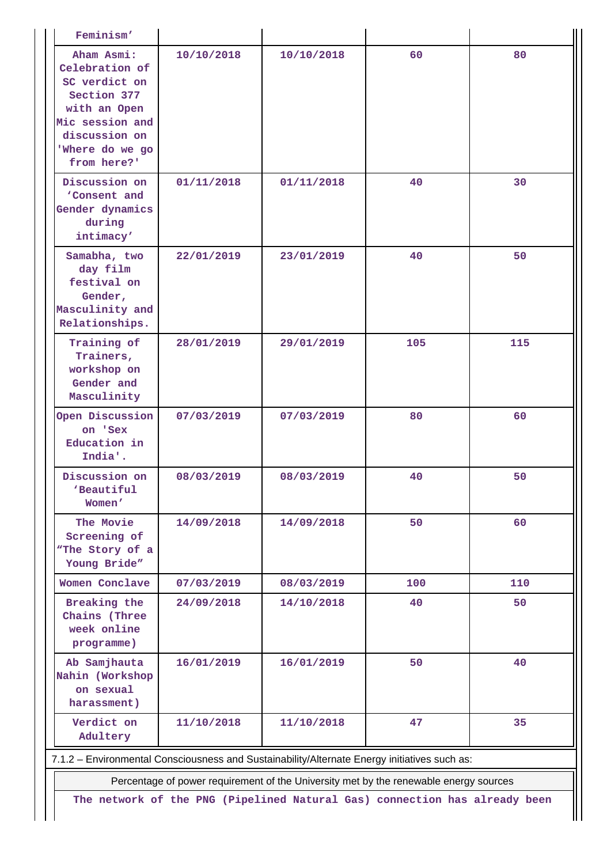| Feminism'                                                                                                                                          |            |            |     |     |  |  |  |  |
|----------------------------------------------------------------------------------------------------------------------------------------------------|------------|------------|-----|-----|--|--|--|--|
| Aham Asmi:<br>Celebration of<br>SC verdict on<br>Section 377<br>with an Open<br>Mic session and<br>discussion on<br>'Where do we go<br>from here?' | 10/10/2018 | 10/10/2018 | 60  | 80  |  |  |  |  |
| Discussion on<br>'Consent and<br>Gender dynamics<br>during<br>intimacy'                                                                            | 01/11/2018 | 01/11/2018 | 40  | 30  |  |  |  |  |
| Samabha, two<br>day film<br>festival on<br>Gender,<br>Masculinity and<br>Relationships.                                                            | 22/01/2019 | 23/01/2019 | 40  | 50  |  |  |  |  |
| Training of<br>Trainers,<br>workshop on<br>Gender and<br>Masculinity                                                                               | 28/01/2019 | 29/01/2019 | 105 | 115 |  |  |  |  |
| Open Discussion<br>on 'Sex<br>Education in<br>India'.                                                                                              | 07/03/2019 | 07/03/2019 | 80  | 60  |  |  |  |  |
| Discussion on<br>'Beautiful<br>Women'                                                                                                              | 08/03/2019 | 08/03/2019 | 40  | 50  |  |  |  |  |
| The Movie<br>Screening of<br>"The Story of a<br>Young Bride"                                                                                       | 14/09/2018 | 14/09/2018 | 50  | 60  |  |  |  |  |
| Women Conclave                                                                                                                                     | 07/03/2019 | 08/03/2019 | 100 | 110 |  |  |  |  |
| Breaking the<br>Chains (Three<br>week online<br>programme)                                                                                         | 24/09/2018 | 14/10/2018 | 40  | 50  |  |  |  |  |
| Ab Samjhauta<br>Nahin (Workshop<br>on sexual<br>harassment)                                                                                        | 16/01/2019 | 16/01/2019 | 50  | 40  |  |  |  |  |
| Verdict on<br>Adultery                                                                                                                             | 11/10/2018 | 11/10/2018 | 47  | 35  |  |  |  |  |
| 7.1.2 - Environmental Consciousness and Sustainability/Alternate Energy initiatives such as:                                                       |            |            |     |     |  |  |  |  |

Percentage of power requirement of the University met by the renewable energy sources

**The network of the PNG (Pipelined Natural Gas) connection has already been**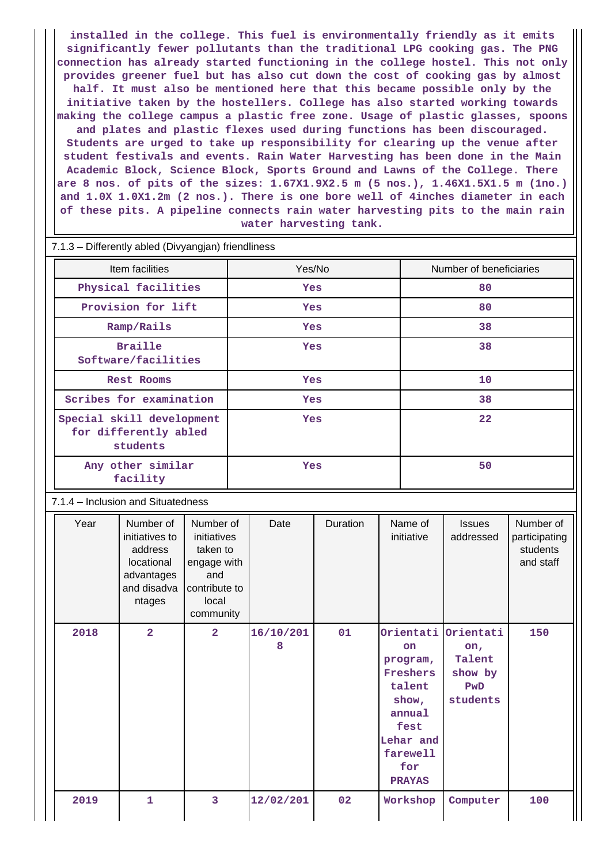**installed in the college. This fuel is environmentally friendly as it emits significantly fewer pollutants than the traditional LPG cooking gas. The PNG connection has already started functioning in the college hostel. This not only provides greener fuel but has also cut down the cost of cooking gas by almost half. It must also be mentioned here that this became possible only by the initiative taken by the hostellers. College has also started working towards making the college campus a plastic free zone. Usage of plastic glasses, spoons and plates and plastic flexes used during functions has been discouraged. Students are urged to take up responsibility for clearing up the venue after student festivals and events. Rain Water Harvesting has been done in the Main Academic Block, Science Block, Sports Ground and Lawns of the College. There are 8 nos. of pits of the sizes: 1.67X1.9X2.5 m (5 nos.), 1.46X1.5X1.5 m (1no.) and 1.0X 1.0X1.2m (2 nos.). There is one bore well of 4inches diameter in each of these pits. A pipeline connects rain water harvesting pits to the main rain water harvesting tank.**

| Item facilities                    |                                                                                             |                                                                                                   | Yes/No |                |          |    | Number of beneficiaries                                                                                                                |                                                          |                                                     |  |
|------------------------------------|---------------------------------------------------------------------------------------------|---------------------------------------------------------------------------------------------------|--------|----------------|----------|----|----------------------------------------------------------------------------------------------------------------------------------------|----------------------------------------------------------|-----------------------------------------------------|--|
| Physical facilities                |                                                                                             |                                                                                                   | Yes    |                |          | 80 |                                                                                                                                        |                                                          |                                                     |  |
| Provision for lift                 |                                                                                             |                                                                                                   | Yes    |                |          | 80 |                                                                                                                                        |                                                          |                                                     |  |
| Ramp/Rails                         |                                                                                             |                                                                                                   | Yes    |                |          | 38 |                                                                                                                                        |                                                          |                                                     |  |
|                                    | <b>Braille</b>                                                                              |                                                                                                   | Yes    |                |          | 38 |                                                                                                                                        |                                                          |                                                     |  |
|                                    | Software/facilities                                                                         |                                                                                                   |        |                |          |    |                                                                                                                                        |                                                          |                                                     |  |
|                                    | Rest Rooms                                                                                  |                                                                                                   |        | Yes            |          |    | 10                                                                                                                                     |                                                          |                                                     |  |
|                                    | Scribes for examination                                                                     |                                                                                                   |        | Yes            |          |    | 38                                                                                                                                     |                                                          |                                                     |  |
|                                    | Special skill development                                                                   |                                                                                                   |        | Yes            |          |    | 22                                                                                                                                     |                                                          |                                                     |  |
|                                    | for differently abled<br>students                                                           |                                                                                                   |        |                |          |    |                                                                                                                                        |                                                          |                                                     |  |
| Any other similar<br>facility      |                                                                                             |                                                                                                   | Yes    |                |          |    | 50                                                                                                                                     |                                                          |                                                     |  |
| 7.1.4 - Inclusion and Situatedness |                                                                                             |                                                                                                   |        |                |          |    |                                                                                                                                        |                                                          |                                                     |  |
| Year                               | Number of<br>initiatives to<br>address<br>locational<br>advantages<br>and disadva<br>ntages | Number of<br>initiatives<br>taken to<br>engage with<br>and<br>contribute to<br>local<br>community |        | Date           | Duration |    | Name of<br>initiative                                                                                                                  | <b>Issues</b><br>addressed                               | Number of<br>participating<br>students<br>and staff |  |
| 2018                               | $\overline{2}$                                                                              | $\overline{2}$                                                                                    |        | 16/10/201<br>8 | 01       |    | Orientati  <br><b>on</b><br>program,<br>Freshers<br>talent<br>show,<br>annual<br>fest<br>Lehar and<br>farewell<br>for<br><b>PRAYAS</b> | Orientati<br>on,<br>Talent<br>show by<br>PwD<br>students | 150                                                 |  |
| 2019                               | 1                                                                                           | 3                                                                                                 |        | 12/02/201      | 02       |    | Workshop                                                                                                                               | Computer                                                 | 100                                                 |  |

#### 7.1.3 – Differently abled (Divyangjan) friendliness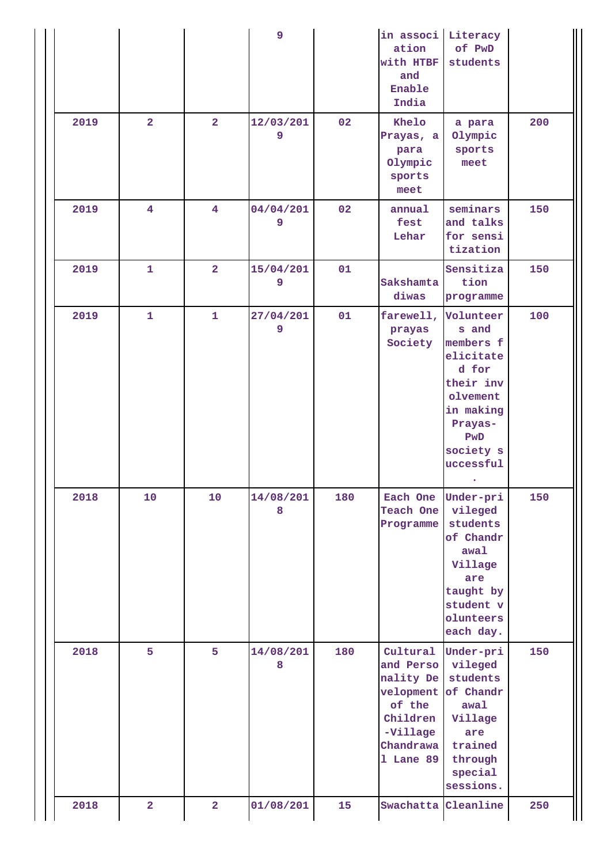|      |                         |                         | 9              |     | in associ<br>ation<br>with HTBF<br>and<br>Enable<br>India                                                   | Literacy<br>of PwD<br>students                                                                                                          |     |
|------|-------------------------|-------------------------|----------------|-----|-------------------------------------------------------------------------------------------------------------|-----------------------------------------------------------------------------------------------------------------------------------------|-----|
| 2019 | $\overline{2}$          | $\overline{2}$          | 12/03/201<br>9 | 02  | Khelo<br>Prayas, a<br>para<br>Olympic<br>sports<br>meet                                                     | a para<br>Olympic<br>sports<br>meet                                                                                                     | 200 |
| 2019 | $\overline{4}$          | $\overline{\mathbf{4}}$ | 04/04/201<br>9 | 02  | annual<br>fest<br>Lehar                                                                                     | seminars<br>and talks<br>for sensi<br>tization                                                                                          | 150 |
| 2019 | $\mathbf{1}$            | $\overline{2}$          | 15/04/201<br>9 | 01  | Sakshamta<br>diwas                                                                                          | Sensitiza<br>tion<br>programme                                                                                                          | 150 |
| 2019 | $\mathbf{1}$            | $\mathbf{1}$            | 27/04/201<br>9 | 01  | farewell,<br>prayas<br>Society                                                                              | Volunteer<br>s and<br>members f<br>elicitate<br>d for<br>their inv<br>olvement<br>in making<br>Prayas-<br>PwD<br>society s<br>uccessful | 100 |
| 2018 | 10                      | 10                      | 14/08/201<br>8 | 180 | Each One<br>Teach One<br>Programme                                                                          | Under-pri<br>vileged<br>students<br>of Chandr<br>awal<br>Village<br>are<br>taught by<br>student v<br>olunteers<br>each day.             | 150 |
| 2018 | 5                       | 5                       | 14/08/201<br>8 | 180 | Cultural<br>and Perso<br>nality De<br>velopment<br>of the<br>Children<br>-Village<br>Chandrawa<br>1 Lane 89 | Under-pri<br>vileged<br>students<br>of Chandr<br>awal<br>Village<br>are<br>trained<br>through<br>special<br>sessions.                   | 150 |
| 2018 | $\overline{\mathbf{2}}$ | $\overline{\mathbf{2}}$ | 01/08/201      | 15  | Swachatta                                                                                                   | Cleanline                                                                                                                               | 250 |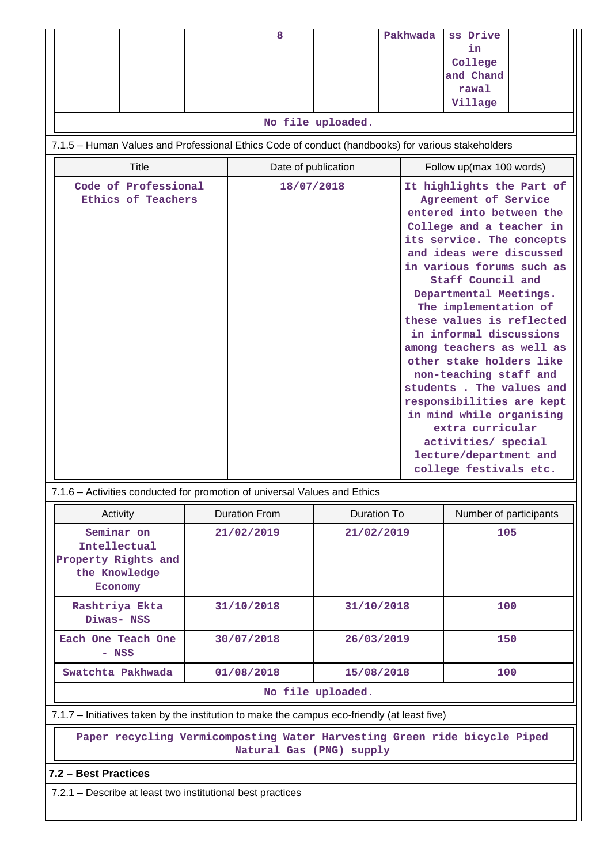|                                                                                                       |                                                                                              | 8                    |                    | Pakhwada | ss Drive<br>in                                                                                                                                                                                                                                                                                                                                                                                                                                                                                                                                                            |  |  |  |
|-------------------------------------------------------------------------------------------------------|----------------------------------------------------------------------------------------------|----------------------|--------------------|----------|---------------------------------------------------------------------------------------------------------------------------------------------------------------------------------------------------------------------------------------------------------------------------------------------------------------------------------------------------------------------------------------------------------------------------------------------------------------------------------------------------------------------------------------------------------------------------|--|--|--|
|                                                                                                       |                                                                                              |                      |                    |          | College                                                                                                                                                                                                                                                                                                                                                                                                                                                                                                                                                                   |  |  |  |
|                                                                                                       |                                                                                              |                      |                    |          | and Chand<br>rawal                                                                                                                                                                                                                                                                                                                                                                                                                                                                                                                                                        |  |  |  |
|                                                                                                       |                                                                                              |                      |                    |          | Village                                                                                                                                                                                                                                                                                                                                                                                                                                                                                                                                                                   |  |  |  |
|                                                                                                       |                                                                                              |                      | No file uploaded.  |          |                                                                                                                                                                                                                                                                                                                                                                                                                                                                                                                                                                           |  |  |  |
| 7.1.5 - Human Values and Professional Ethics Code of conduct (handbooks) for various stakeholders     |                                                                                              |                      |                    |          |                                                                                                                                                                                                                                                                                                                                                                                                                                                                                                                                                                           |  |  |  |
| <b>Title</b><br>Date of publication<br>Follow up(max 100 words)                                       |                                                                                              |                      |                    |          |                                                                                                                                                                                                                                                                                                                                                                                                                                                                                                                                                                           |  |  |  |
|                                                                                                       |                                                                                              | 18/07/2018           |                    |          | It highlights the Part of                                                                                                                                                                                                                                                                                                                                                                                                                                                                                                                                                 |  |  |  |
| Code of Professional<br>Ethics of Teachers                                                            |                                                                                              |                      |                    |          | Agreement of Service<br>entered into between the<br>College and a teacher in<br>its service. The concepts<br>and ideas were discussed<br>in various forums such as<br>Staff Council and<br>Departmental Meetings.<br>The implementation of<br>these values is reflected<br>in informal discussions<br>among teachers as well as<br>other stake holders like<br>non-teaching staff and<br>students. The values and<br>responsibilities are kept<br>in mind while organising<br>extra curricular<br>activities/ special<br>lecture/department and<br>college festivals etc. |  |  |  |
| 7.1.6 – Activities conducted for promotion of universal Values and Ethics                             |                                                                                              |                      |                    |          |                                                                                                                                                                                                                                                                                                                                                                                                                                                                                                                                                                           |  |  |  |
| Activity                                                                                              |                                                                                              | <b>Duration From</b> | <b>Duration To</b> |          | Number of participants                                                                                                                                                                                                                                                                                                                                                                                                                                                                                                                                                    |  |  |  |
| Seminar on<br>Intellectual<br>Property Rights and<br>the Knowledge<br>Economy                         |                                                                                              | 21/02/2019           | 21/02/2019         |          | 105                                                                                                                                                                                                                                                                                                                                                                                                                                                                                                                                                                       |  |  |  |
| Rashtriya Ekta<br>Diwas- NSS                                                                          | 31/10/2018                                                                                   |                      | 31/10/2018         |          | 100                                                                                                                                                                                                                                                                                                                                                                                                                                                                                                                                                                       |  |  |  |
| Each One Teach One<br>- NSS                                                                           | 30/07/2018                                                                                   |                      | 26/03/2019         |          | 150                                                                                                                                                                                                                                                                                                                                                                                                                                                                                                                                                                       |  |  |  |
| Swatchta Pakhwada                                                                                     | 01/08/2018                                                                                   |                      | 15/08/2018         |          | 100                                                                                                                                                                                                                                                                                                                                                                                                                                                                                                                                                                       |  |  |  |
|                                                                                                       | No file uploaded.                                                                            |                      |                    |          |                                                                                                                                                                                                                                                                                                                                                                                                                                                                                                                                                                           |  |  |  |
|                                                                                                       | 7.1.7 – Initiatives taken by the institution to make the campus eco-friendly (at least five) |                      |                    |          |                                                                                                                                                                                                                                                                                                                                                                                                                                                                                                                                                                           |  |  |  |
| Paper recycling Vermicomposting Water Harvesting Green ride bicycle Piped<br>Natural Gas (PNG) supply |                                                                                              |                      |                    |          |                                                                                                                                                                                                                                                                                                                                                                                                                                                                                                                                                                           |  |  |  |
| 7.2 - Best Practices                                                                                  |                                                                                              |                      |                    |          |                                                                                                                                                                                                                                                                                                                                                                                                                                                                                                                                                                           |  |  |  |
| 7.2.1 – Describe at least two institutional best practices                                            |                                                                                              |                      |                    |          |                                                                                                                                                                                                                                                                                                                                                                                                                                                                                                                                                                           |  |  |  |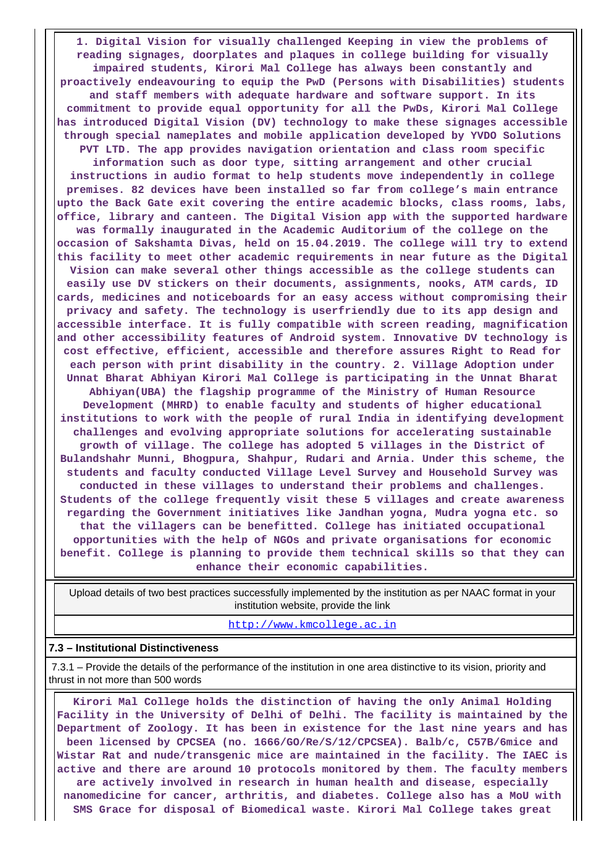**1. Digital Vision for visually challenged Keeping in view the problems of reading signages, doorplates and plaques in college building for visually impaired students, Kirori Mal College has always been constantly and proactively endeavouring to equip the PwD (Persons with Disabilities) students and staff members with adequate hardware and software support. In its commitment to provide equal opportunity for all the PwDs, Kirori Mal College has introduced Digital Vision (DV) technology to make these signages accessible through special nameplates and mobile application developed by YVDO Solutions PVT LTD. The app provides navigation orientation and class room specific information such as door type, sitting arrangement and other crucial instructions in audio format to help students move independently in college premises. 82 devices have been installed so far from college's main entrance upto the Back Gate exit covering the entire academic blocks, class rooms, labs, office, library and canteen. The Digital Vision app with the supported hardware was formally inaugurated in the Academic Auditorium of the college on the occasion of Sakshamta Divas, held on 15.04.2019. The college will try to extend this facility to meet other academic requirements in near future as the Digital Vision can make several other things accessible as the college students can easily use DV stickers on their documents, assignments, nooks, ATM cards, ID cards, medicines and noticeboards for an easy access without compromising their privacy and safety. The technology is userfriendly due to its app design and accessible interface. It is fully compatible with screen reading, magnification and other accessibility features of Android system. Innovative DV technology is cost effective, efficient, accessible and therefore assures Right to Read for each person with print disability in the country. 2. Village Adoption under Unnat Bharat Abhiyan Kirori Mal College is participating in the Unnat Bharat Abhiyan(UBA) the flagship programme of the Ministry of Human Resource Development (MHRD) to enable faculty and students of higher educational institutions to work with the people of rural India in identifying development challenges and evolving appropriate solutions for accelerating sustainable growth of village. The college has adopted 5 villages in the District of Bulandshahr Munni, Bhogpura, Shahpur, Rudari and Arnia. Under this scheme, the students and faculty conducted Village Level Survey and Household Survey was conducted in these villages to understand their problems and challenges. Students of the college frequently visit these 5 villages and create awareness regarding the Government initiatives like Jandhan yogna, Mudra yogna etc. so that the villagers can be benefitted. College has initiated occupational opportunities with the help of NGOs and private organisations for economic benefit. College is planning to provide them technical skills so that they can enhance their economic capabilities.**

 Upload details of two best practices successfully implemented by the institution as per NAAC format in your institution website, provide the link

http://www.kmcollege.ac.in

#### **7.3 – Institutional Distinctiveness**

 7.3.1 – Provide the details of the performance of the institution in one area distinctive to its vision, priority and thrust in not more than 500 words

 **Kirori Mal College holds the distinction of having the only Animal Holding Facility in the University of Delhi of Delhi. The facility is maintained by the Department of Zoology. It has been in existence for the last nine years and has been licensed by CPCSEA (no. 1666/GO/Re/S/12/CPCSEA). Balb/c, C57B/6mice and Wistar Rat and nude/transgenic mice are maintained in the facility. The IAEC is active and there are around 10 protocols monitored by them. The faculty members are actively involved in research in human health and disease, especially nanomedicine for cancer, arthritis, and diabetes. College also has a MoU with SMS Grace for disposal of Biomedical waste. Kirori Mal College takes great**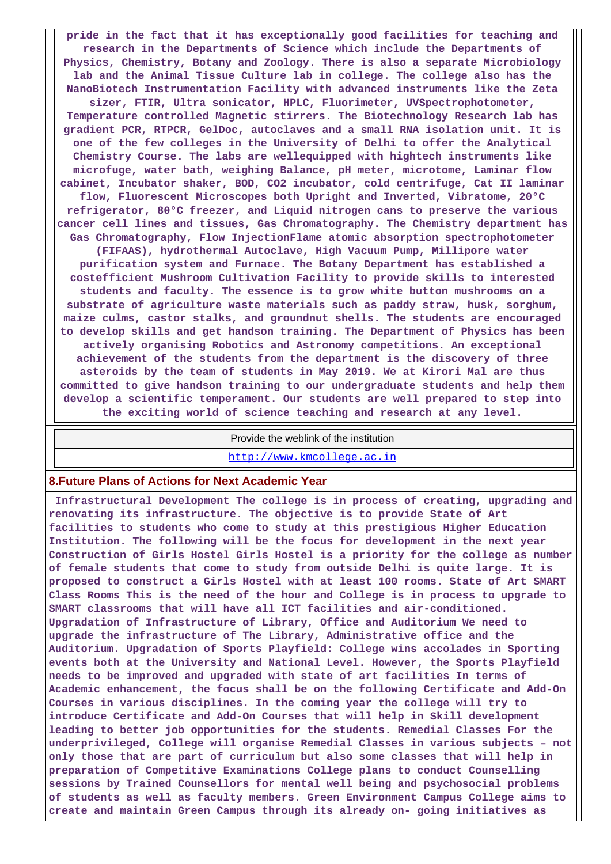**pride in the fact that it has exceptionally good facilities for teaching and research in the Departments of Science which include the Departments of Physics, Chemistry, Botany and Zoology. There is also a separate Microbiology lab and the Animal Tissue Culture lab in college. The college also has the NanoBiotech Instrumentation Facility with advanced instruments like the Zeta sizer, FTIR, Ultra sonicator, HPLC, Fluorimeter, UVSpectrophotometer, Temperature controlled Magnetic stirrers. The Biotechnology Research lab has gradient PCR, RTPCR, GelDoc, autoclaves and a small RNA isolation unit. It is one of the few colleges in the University of Delhi to offer the Analytical Chemistry Course. The labs are wellequipped with hightech instruments like microfuge, water bath, weighing Balance, pH meter, microtome, Laminar flow cabinet, Incubator shaker, BOD, CO2 incubator, cold centrifuge, Cat II laminar flow, Fluorescent Microscopes both Upright and Inverted, Vibratome, 20°C refrigerator, 80°C freezer, and Liquid nitrogen cans to preserve the various cancer cell lines and tissues, Gas Chromatography. The Chemistry department has Gas Chromatography, Flow InjectionFlame atomic absorption spectrophotometer (FIFAAS), hydrothermal Autoclave, High Vacuum Pump, Millipore water purification system and Furnace. The Botany Department has established a costefficient Mushroom Cultivation Facility to provide skills to interested students and faculty. The essence is to grow white button mushrooms on a substrate of agriculture waste materials such as paddy straw, husk, sorghum, maize culms, castor stalks, and groundnut shells. The students are encouraged to develop skills and get handson training. The Department of Physics has been actively organising Robotics and Astronomy competitions. An exceptional achievement of the students from the department is the discovery of three asteroids by the team of students in May 2019. We at Kirori Mal are thus committed to give handson training to our undergraduate students and help them develop a scientific temperament. Our students are well prepared to step into**

**the exciting world of science teaching and research at any level.**

#### Provide the weblink of the institution

http://www.kmcollege.ac.in

#### **8.Future Plans of Actions for Next Academic Year**

 **Infrastructural Development The college is in process of creating, upgrading and renovating its infrastructure. The objective is to provide State of Art facilities to students who come to study at this prestigious Higher Education Institution. The following will be the focus for development in the next year Construction of Girls Hostel Girls Hostel is a priority for the college as number of female students that come to study from outside Delhi is quite large. It is proposed to construct a Girls Hostel with at least 100 rooms. State of Art SMART Class Rooms This is the need of the hour and College is in process to upgrade to SMART classrooms that will have all ICT facilities and air-conditioned. Upgradation of Infrastructure of Library, Office and Auditorium We need to upgrade the infrastructure of The Library, Administrative office and the Auditorium. Upgradation of Sports Playfield: College wins accolades in Sporting events both at the University and National Level. However, the Sports Playfield needs to be improved and upgraded with state of art facilities In terms of Academic enhancement, the focus shall be on the following Certificate and Add-On Courses in various disciplines. In the coming year the college will try to introduce Certificate and Add-On Courses that will help in Skill development leading to better job opportunities for the students. Remedial Classes For the underprivileged, College will organise Remedial Classes in various subjects – not only those that are part of curriculum but also some classes that will help in preparation of Competitive Examinations College plans to conduct Counselling sessions by Trained Counsellors for mental well being and psychosocial problems of students as well as faculty members. Green Environment Campus College aims to create and maintain Green Campus through its already on- going initiatives as**